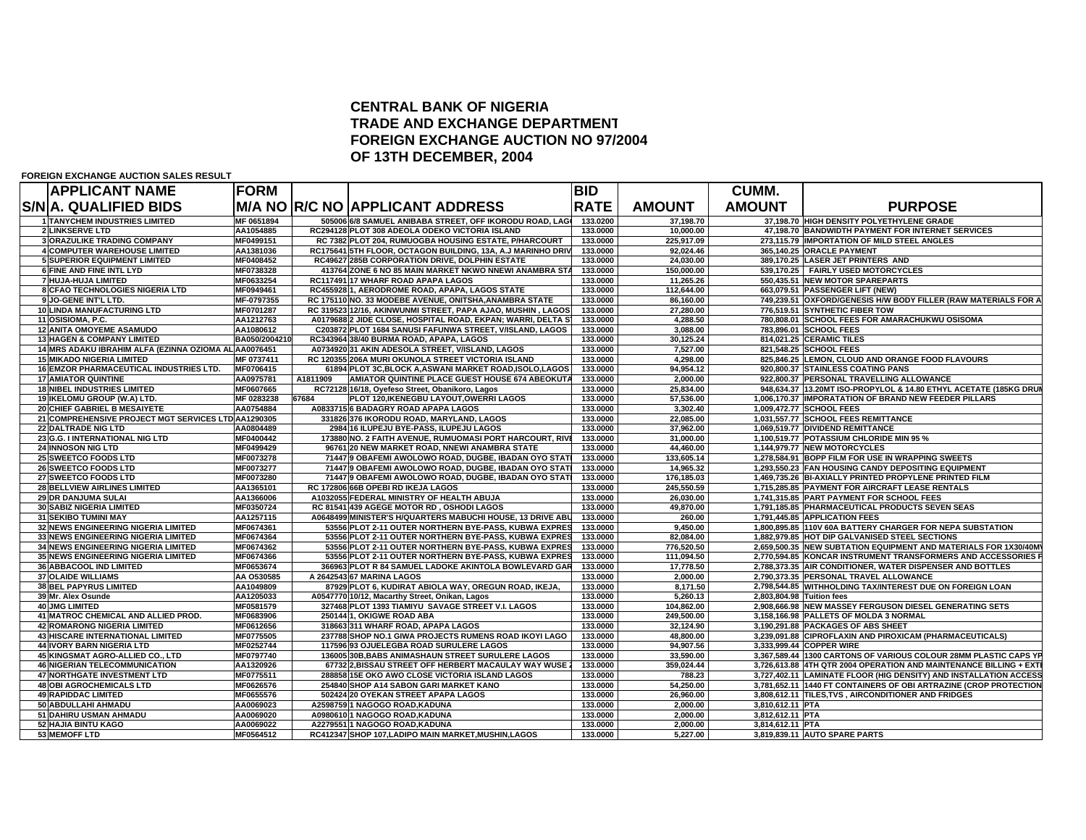## **CENTRAL BANK OF NIGERIA TRADE AND EXCHANGE DEPARTMENT FOREIGN EXCHANGE AUCTION NO 97/2004 OF 13TH DECEMBER, 2004**

| <b>APPLICANT NAME</b>                                 | <b>FORM</b>   |          |                                                              | <b>BID</b>  |               | <b>CUMM.</b>              |                                                                    |
|-------------------------------------------------------|---------------|----------|--------------------------------------------------------------|-------------|---------------|---------------------------|--------------------------------------------------------------------|
| S/N A. QUALIFIED BIDS                                 |               |          | <b>M/A NO R/C NO APPLICANT ADDRESS</b>                       | <b>RATE</b> | <b>AMOUNT</b> | <b>AMOUNT</b>             | <b>PURPOSE</b>                                                     |
| <b>1 TANYCHEM INDUSTRIES LIMITED</b>                  | MF 0651894    |          | 505006 6/8 SAMUEL ANIBABA STREET, OFF IKORODU ROAD, LAGO     | 133.0200    | 37,198.70     |                           | 37,198.70 HIGH DENSITY POLYETHYLENE GRADE                          |
| <b>2 LINKSERVE LTD</b>                                | AA1054885     |          | RC294128 PLOT 308 ADEOLA ODEKO VICTORIA ISLAND               | 133.0000    | 10,000.00     |                           | 47,198.70 BANDWIDTH PAYMENT FOR INTERNET SERVICES                  |
| <b>3 ORAZULIKE TRADING COMPANY</b>                    | MF0499151     |          | RC 7382 PLOT 204, RUMUOGBA HOUSING ESTATE, P/HARCOURT        | 133.0000    | 225,917.09    |                           | 273,115.79 IMPORTATION OF MILD STEEL ANGLES                        |
| <b>4 COMPUTER WAREHOUSE LIMITED</b>                   | AA1381036     |          | RC175641 5TH FLOOR, OCTAGON BUILDING, 13A, A.J MARINHO DRIV  | 133.0000    | 92,024.46     |                           | 365,140.25 ORACLE PAYMENT                                          |
| <b>5 SUPERIOR EQUIPMENT LIMITED</b>                   | MF0408452     |          | RC49627 285B CORPORATION DRIVE, DOLPHIN ESTATE               | 133.0000    | 24,030.00     |                           | 389,170.25 LASER JET PRINTERS AND                                  |
| 6 FINE AND FINE INTL LYD                              | MF0738328     |          | 413764 ZONE 6 NO 85 MAIN MARKET NKWO NNEWI ANAMBRA STA       | 133.0000    | 150.000.00    |                           | 539.170.25 FAIRLY USED MOTORCYCLES                                 |
| 7 HUJA-HUJA LIMITED                                   | MF0633254     |          | RC117491 17 WHARF ROAD APAPA LAGOS                           | 133.0000    | 11,265.26     |                           | 550.435.51 NEW MOTOR SPAREPARTS                                    |
| 8 CFAO TECHNOLOGIES NIGERIA LTD                       | MF0949461     |          | RC455928 1, AERODROME ROAD, APAPA, LAGOS STATE               | 133.0000    | 112,644.00    |                           | 663,079.51 PASSENGER LIFT (NEW)                                    |
| 9 JO-GENE INT'L LTD.                                  | MF-0797355    |          | RC 175110 NO. 33 MODEBE AVENUE, ONITSHA, ANAMBRA STATE       | 133.0000    | 86,160.00     |                           | 749,239.51 OXFORD/GENESIS H/W BODY FILLER (RAW MATERIALS FOR A     |
| 10 LINDA MANUFACTURING LTD                            | MF0701287     |          | RC 319523 12/16, AKINWUNMI STREET, PAPA AJAO, MUSHIN, LAGOS  | 133.0000    | 27,280.00     |                           | 776,519.51 SYNTHETIC FIBER TOW                                     |
| 11 OSISIOMA, P.C.                                     | AA1212763     |          | A0179688 2 JIDE CLOSE, HOSPITAL ROAD, EKPAN; WARRI, DELTA S' | 133.0000    | 4,288.50      |                           | 780,808.01 SCHOOL FEES FOR AMARACHUKWU OSISOMA                     |
| <b>12 ANITA OMOYEME ASAMUDO</b>                       | AA1080612     |          | C203872 PLOT 1684 SANUSI FAFUNWA STREET, V/ISLAND, LAGOS     | 133.0000    | 3,088.00      |                           | 783,896.01 SCHOOL FEES                                             |
| <b>13 HAGEN &amp; COMPANY LIMITED</b>                 | BA050/2004210 |          | RC343964 38/40 BURMA ROAD, APAPA, LAGOS                      | 133.0000    | 30.125.24     |                           | 814.021.25 CERAMIC TILES                                           |
| 14 MRS ADAKU IBRAHIM ALFA (EZINNA OZIOMA AL AA0076451 |               |          | A0734920 31 AKIN ADESOLA STREET, V/ISLAND, LAGOS             | 133.0000    | 7.527.00      |                           | 821.548.25 SCHOOL FEES                                             |
| <b>15 MIKADO NIGERIA LIMITED</b>                      | MF 0737411    |          | RC 120355 206A MURI OKUNOLA STREET VICTORIA ISLAND           | 133.0000    | 4,298.00      |                           | 825,846.25 LEMON, CLOUD AND ORANGE FOOD FLAVOURS                   |
| <b>16 EMZOR PHARMACEUTICAL INDUSTRIES LTD.</b>        | MF0706415     |          | 61894 PLOT 3C.BLOCK A.ASWANI MARKET ROAD.ISOLO.LAGOS         | 133.0000    | 94.954.12     |                           | 920.800.37 STAINLESS COATING PANS                                  |
| <b>17 AMIATOR QUINTINE</b>                            | AA0975781     | A1811909 | AMIATOR QUINTINE PLACE GUEST HOUSE 674 ABEOKUTA              | 133.0000    | 2.000.00      |                           | 922.800.37 PERSONAL TRAVELLING ALLOWANCE                           |
| <b>18 NIBEL INDUSTRIES LIMITED</b>                    | MF0607665     |          | RC72128 16/18, Oyefeso Street, Obanikoro, Lagos              | 133.0000    | 25,834.00     |                           | 948,634.37 13.20MT ISO-PROPYLOL & 14.80 ETHYL ACETATE (185KG DRUI  |
| 19 IKELOMU GROUP (W.A) LTD.                           | MF 0283238    | 67684    | PLOT 120, IKENEGBU LAYOUT, OWERRI LAGOS                      | 133.0000    | 57,536.00     |                           | 1.006.170.37 IMPORATATION OF BRAND NEW FEEDER PILLARS              |
| 20 CHIEF GABRIEL B MESAIYETE                          | AA0754884     |          | A0833715 6 BADAGRY ROAD APAPA LAGOS                          | 133.0000    | 3.302.40      |                           | 1.009.472.77 SCHOOL FEES                                           |
| 21 COMPREHENSIVE PROJECT MGT SERVICES LTD AA1290305   |               |          | 331826 376 IKORODU ROAD, MARYLAND, LAGOS                     | 133.0000    | 22.085.00     |                           | 1.031.557.77 SCHOOL FEES REMITTANCE                                |
| <b>22 DALTRADE NIG LTD</b>                            | AA0804489     |          | 2984 16 ILUPEJU BYE-PASS, ILUPEJU LAGOS                      | 133.0000    | 37,962.00     |                           | 1.069.519.77 DIVIDEND REMITTANCE                                   |
| 23 G.G. I INTERNATIONAL NIG LTD                       | MF0400442     |          | 173880 NO. 2 FAITH AVENUE, RUMUOMASI PORT HARCOURT, RIVE     | 133.0000    | 31,000.00     |                           | 1,100,519.77 POTASSIUM CHLORIDE MIN 95 %                           |
| 24 INNOSON NIG LTD                                    | MF0499429     |          | 96761 20 NEW MARKET ROAD, NNEWI ANAMBRA STATE                | 133.0000    | 44.460.00     |                           | 1,144,979.77 NEW MOTORCYCLES                                       |
| 25 SWEETCO FOODS LTD                                  | MF0073278     |          | 71447 9 OBAFEMI AWOLOWO ROAD, DUGBE, IBADAN OYO STATI        | 133.0000    | 133,605.14    |                           | 1,278,584.91 BOPP FILM FOR USE IN WRAPPING SWEETS                  |
| 26 SWEETCO FOODS LTD                                  | MF0073277     |          | 71447 9 OBAFEMI AWOLOWO ROAD, DUGBE, IBADAN OYO STATI        | 133.0000    | 14,965.32     |                           | 1,293,550.23 FAN HOUSING CANDY DEPOSITING EQUIPMENT                |
| 27 SWEETCO FOODS LTD                                  | MF0073280     |          | 71447 9 OBAFEMI AWOLOWO ROAD, DUGBE, IBADAN OYO STATI        | 133.0000    | 176,185.03    |                           | 1,469,735.26 BI-AXIALLY PRINTED PROPYLENE PRINTED FILM             |
| <b>28 BELLVIEW AIRLINES LIMITED</b>                   | AA1365101     |          | RC 172806 66B OPEBI RD IKEJA LAGOS                           | 133.0000    | 245,550.59    |                           | 1,715,285.85 PAYMENT FOR AIRCRAFT LEASE RENTALS                    |
| 29 DR DANJUMA SULAI                                   | AA1366006     |          | A1032055 FEDERAL MINISTRY OF HEALTH ABUJA                    | 133.0000    | 26,030.00     |                           | 1,741,315.85 PART PAYMENT FOR SCHOOL FEES                          |
| <b>30 SABIZ NIGERIA LIMITED</b>                       | MF0350724     |          | RC 81541 439 AGEGE MOTOR RD, OSHODI LAGOS                    | 133.0000    | 49,870.00     |                           | 1,791,185.85 PHARMACEUTICAL PRODUCTS SEVEN SEAS                    |
| <b>31 SEKIBO TUMINI MAY</b>                           | AA1257115     |          | A0648499 MINISTER'S H/QUARTERS MABUCHI HOUSE, 13 DRIVE ABU   | 133.0000    | 260.00        |                           | 1.791.445.85 APPLICATION FEES                                      |
| 32 NEWS ENGINEERING NIGERIA LIMITED                   | MF0674361     |          | 53556 PLOT 2-11 OUTER NORTHERN BYE-PASS, KUBWA EXPRES        | 133.0000    | 9,450.00      |                           | 1,800,895.85 110V 60A BATTERY CHARGER FOR NEPA SUBSTATION          |
| 33 NEWS ENGINEERING NIGERIA LIMITED                   | MF0674364     |          | 53556 PLOT 2-11 OUTER NORTHERN BYE-PASS, KUBWA EXPRES        | 133.0000    | 82,084.00     |                           | 1,882,979.85 HOT DIP GALVANISED STEEL SECTIONS                     |
| <b>34 NEWS ENGINEERING NIGERIA LIMITED</b>            | MF0674362     |          | 53556 PLOT 2-11 OUTER NORTHERN BYE-PASS. KUBWA EXPRES        | 133.0000    | 776,520.50    |                           | 2.659.500.35 NEW SUBTATION EQUIPMENT AND MATERIALS FOR 1X30/40M    |
| 35 NEWS ENGINEERING NIGERIA LIMITED                   | MF0674366     |          | 53556 PLOT 2-11 OUTER NORTHERN BYE-PASS, KUBWA EXPRES        | 133.0000    | 111,094.50    |                           | 2.770.594.85 KONCAR INSTRUMENT TRANSFORMERS AND ACCESSORIES P      |
| 36 ABBACOOL IND LIMITED                               | MF0653674     |          | 366963 PLOT R 84 SAMUEL LADOKE AKINTOLA BOWLEVARD GAR        | 133.0000    | 17,778.50     |                           | 2,788,373.35 AIR CONDITIONER, WATER DISPENSER AND BOTTLES          |
| <b>37 OLAIDE WILLIAMS</b>                             | AA 0530585    |          | A 2642543 67 MARINA LAGOS                                    | 133.0000    | 2.000.00      |                           | 2.790.373.35 PERSONAL TRAVEL ALLOWANCE                             |
| <b>38 BEL PAPYRUS LIMITED</b>                         | AA1049809     |          | 87929 PLOT 6. KUDIRAT ABIOLA WAY, OREGUN ROAD, IKEJA.        | 133.0000    | 8.171.50      |                           | 2.798.544.85 WITHHOLDING TAX/INTEREST DUE ON FOREIGN LOAN          |
| 39 Mr. Alex Osunde                                    | AA1205033     |          | A0547770 10/12, Macarthy Street, Onikan, Lagos               | 133.0000    | 5,260.13      | 2,803,804.98 Tuition fees |                                                                    |
| <b>40 JMG LIMITED</b>                                 | MF0581579     |          | 327468 PLOT 1393 TIAMIYU SAVAGE STREET V.I. LAGOS            | 133.0000    | 104,862.00    |                           | 2,908,666.98 NEW MASSEY FERGUSON DIESEL GENERATING SETS            |
| 41 MATROC CHEMICAL AND ALLIED PROD.                   | MF0683906     |          | 250144 1. OKIGWE ROAD ABA                                    | 133.0000    | 249.500.00    |                           | 3.158.166.98 PALLETS OF MOLDA 3 NORMAL                             |
| <b>42 ROMARONG NIGERIA LIMITED</b>                    | MF0612656     |          | 318663 311 WHARF ROAD, APAPA LAGOS                           | 133.0000    | 32,124.90     |                           | 3.190.291.88 PACKAGES OF ABS SHEET                                 |
| <b>43 HISCARE INTERNATIONAL LIMITED</b>               | MF0775505     |          | 237788 SHOP NO.1 GIWA PROJECTS RUMENS ROAD IKOYI LAGO        | 133.0000    | 48,800.00     |                           | 3,239,091.88 CIPROFLAXIN AND PIROXICAM (PHARMACEUTICALS)           |
| <b>44 IVORY BARN NIGERIA LTD</b>                      | MF0252744     |          | 117596 93 OJUELEGBA ROAD SURULERE LAGOS                      | 133.0000    | 94.907.56     |                           | 3.333.999.44 COPPER WIRE                                           |
| 45 KINGSMAT AGRO-ALLIED CO., LTD                      | MF0797740     |          | 136005 30B, BABS ANIMASHAUN STREET SURULERE LAGOS            | 133.0000    | 33,590.00     |                           | 3,367,589.44 1300 CARTONS OF VARIOUS COLOUR 28MM PLASTIC CAPS YP   |
| <b>46 NIGERIAN TELECOMMUNICATION</b>                  | AA1320926     |          | 67732 2, BISSAU STREET OFF HERBERT MACAULAY WAY WUSE 2       | 133.0000    | 359.024.44    |                           | 3.726.613.88 4TH QTR 2004 OPERATION AND MAINTENANCE BILLING + EXTI |
| 47 NORTHGATE INVESTMENT LTD                           | MF0775511     |          | 288858 15E OKO AWO CLOSE VICTORIA ISLAND LAGOS               | 133.0000    | 788.23        |                           | 3,727,402.11 LAMINATE FLOOR (HIG DENSITY) AND INSTALLATION ACCESS  |
| <b>48 OBI AGROCHEMICALS LTD</b>                       | MF0626576     |          | 254840 SHOP A14 SABON GARI MARKET KANO                       | 133.0000    | 54,250.00     |                           | 3,781,652.11 1440 FT CONTAINERS OF OBI ARTRAZINE (CROP PROTECTION  |
| <b>49 RAPIDDAC LIMITED</b>                            | MF0655576     |          | 502424 20 OYEKAN STREET APAPA LAGOS                          | 133.0000    | 26,960.00     |                           | 3,808,612.11 TILES, TVS, AIRCONDITIONER AND FRIDGES                |
| 50 ABDULLAHI AHMADU                                   | AA0069023     |          | A2598759 1 NAGOGO ROAD, KADUNA                               | 133.0000    | 2,000.00      | 3,810,612.11 PTA          |                                                                    |
| 51 DAHIRU USMAN AHMADU                                | AA0069020     |          | A0980610 1 NAGOGO ROAD, KADUNA                               | 133.0000    | 2,000.00      | 3,812,612.11 PTA          |                                                                    |
| 52 HAJIA BINTU KAGO                                   | AA0069022     |          | A2279551 1 NAGOGO ROAD, KADUNA                               | 133.0000    | 2,000.00      | 3,814,612.11 PTA          |                                                                    |
| 53 MEMOFF LTD                                         | MF0564512     |          | RC412347 SHOP 107, LADIPO MAIN MARKET, MUSHIN, LAGOS         | 133.0000    | 5,227.00      |                           | 3,819,839.11 AUTO SPARE PARTS                                      |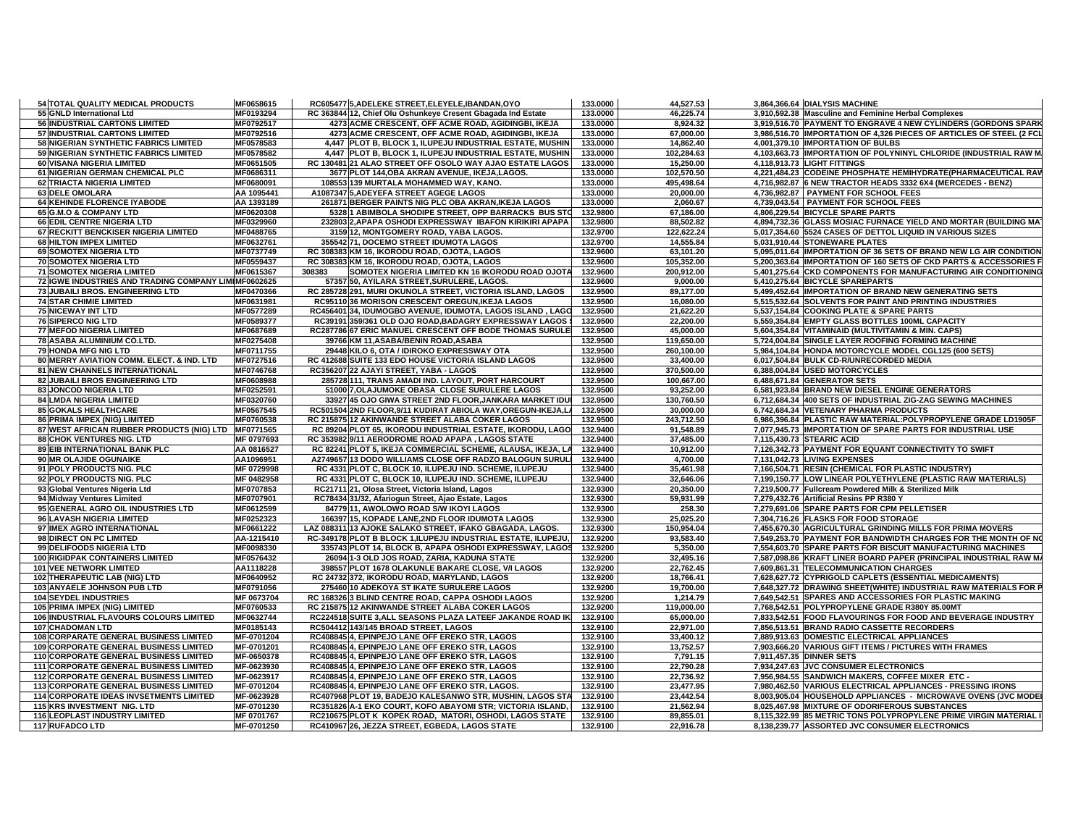| 54 TOTAL QUALITY MEDICAL PRODUCTS                                                       | MF0658615                | RC605477 5, ADELEKE STREET, ELEYELE, IBANDAN, OYO                                                | 133.0000             | 44,527.53              | 3,864,366.64 DIALYSIS MACHINE                                                                         |
|-----------------------------------------------------------------------------------------|--------------------------|--------------------------------------------------------------------------------------------------|----------------------|------------------------|-------------------------------------------------------------------------------------------------------|
| 55 GNLD International Ltd                                                               | MF0193294                | RC 363844 12, Chief Olu Oshunkeye Cresent Gbagada Ind Estate                                     | 133.0000             | 46,225.74              | 3,910,592.38 Masculine and Feminine Herbal Complexes                                                  |
| 56 INDUSTRIAL CARTONS LIMITED                                                           | MF0792517                | 4273 ACME CRESCENT, OFF ACME ROAD, AGIDINGBI, IKEJA                                              | 133.0000             | 8,924.32               | 3,919,516.70 PAYMENT TO ENGRAVE 4 NEW CYLINDERS (GORDONS SPARK                                        |
| 57 INDUSTRIAL CARTONS LIMITED                                                           | MF0792516                | 4273 ACME CRESCENT, OFF ACME ROAD, AGIDINGBI, IKEJA                                              | 133.0000             | 67.000.00              | 3,986,516.70 IMPORTATION OF 4,326 PIECES OF ARTICLES OF STEEL (2 FCI                                  |
| 58 NIGERIAN SYNTHETIC FABRICS LIMITED                                                   | MF0578583                | 4,447 PLOT B, BLOCK 1, ILUPEJU INDUSTRIAL ESTATE, MUSHIN                                         | 133.0000             | 14,862.40              | 4,001,379.10 IMPORTATION OF BULBS                                                                     |
| 59 NIGERIAN SYNTHETIC FABRICS LIMITED                                                   | MF0578582                | 4,447 PLOT B, BLOCK 1, ILUPEJU INDUSTRIAL ESTATE, MUSHIN                                         | 133.0000             | 102,284.63             | 4,103,663.73 IMPORTATION OF POLYNINYL CHLORIDE (INDUSTRIAL RAW M                                      |
| 60 VISANA NIGERIA LIMITED                                                               | MF0651505                | RC 130481 21 ALAO STREET OFF OSOLO WAY AJAO ESTATE LAGOS                                         | 133.0000             | 15,250.00              | 4.118.913.73 LIGHT FITTINGS                                                                           |
| 61 NIGERIAN GERMAN CHEMICAL PLC                                                         | MF0686311                | 3677 PLOT 144, OBA AKRAN AVENUE, IKEJA, LAGOS.                                                   | 133.0000             | 102,570.50             | 4,221,484.23 CODEINE PHOSPHATE HEMIHYDRATE(PHARMACEUTICAL RAV                                         |
| 62 TRIACTA NIGERIA LIMITED                                                              | MF0680091                | 108553 139 MURTALA MOHAMMED WAY, KANO.                                                           | 133.0000             | 495,498.64             | 4,716,982.87 6 NEW TRACTOR HEADS 3332 6X4 (MERCEDES - BENZ)                                           |
| 63 DELE OMOLARA                                                                         | AA 1095441               | A1087347 5.ADEYEFA STREET AGEGE LAGOS                                                            | 133.0000             | 20,000.00              | 4.736.982.87 PAYMENT FOR SCHOOL FEES                                                                  |
| 64 KEHINDE FLORENCE IYABODE                                                             | AA 1393189               | 261871 BERGER PAINTS NIG PLC OBA AKRAN, IKEJA LAGOS                                              | 133.0000             | 2,060.67               | 4,739,043.54 PAYMENT FOR SCHOOL FEES                                                                  |
| 65 G.M.O & COMPANY LTD                                                                  | MF0620308                | 5328 1 ABIMBOLA SHODIPE STREET, OPP BARRACKS BUS STO                                             | 132.9800             | 67,186.00              | 4.806.229.54 BICYCLE SPARE PARTS                                                                      |
| 66 EDIL CENTRE NIGERIA LTD                                                              | MF0329960                | 232803 2, APAPA OSHODI EXPRESSWAY IBAFON KIRIKIRI APAPA                                          | 132.9800             | 88,502.82              | 4,894,732.36 GLASS MOSIAC FURNACE YIELD AND MORTAR (BUILDING MA                                       |
| 67 RECKITT BENCKISER NIGERIA LIMITED                                                    | MF0488765                | 3159 12, MONTGOMERY ROAD, YABA LAGOS.                                                            | 132.9700             | 122,622.24             | 5,017,354.60 5524 CASES OF DETTOL LIQUID IN VARIOUS SIZES                                             |
| 68 HILTON IMPEX LIMITED                                                                 | MF0632761                | 355542 71, DOCEMO STREET IDUMOTA LAGOS                                                           | 132.9700             | 14,555.84              | 5,031,910.44 STONEWARE PLATES                                                                         |
| 69 SOMOTEX NIGERIA LTD                                                                  | MF0737749                | RC 308383 KM 16. IKORODU ROAD, OJOTA, LAGOS                                                      | 132.9600             | 63,101.20              | 5,095,011.64 IMPORTATION OF 36 SETS OF BRAND NEW LG AIR CONDITION                                     |
| <b>70 SOMOTEX NIGERIA LTD</b>                                                           | MF0559437                | RC 308383 KM 16, IKORODU ROAD, OJOTA, LAGOS                                                      | 132.9600             | 105,352.00             | 5,200,363.64 IMPORTATION OF 160 SETS OF CKD PARTS & ACCESSORIES F                                     |
| <b>71 SOMOTEX NIGERIA LIMITED</b>                                                       | MF0615367                | 308383<br>SOMOTEX NIGERIA LIMITED KN 16 IKORODU ROAD OJOTA                                       | 132.9600             | 200,912.00             | 5,401,275.64 CKD COMPONENTS FOR MANUFACTURING AIR CONDITIONING                                        |
| 72 IGWE INDUSTRIES AND TRADING COMPANY LIMIMF0602625                                    |                          | 57357 50, AYILARA STREET, SURULERE, LAGOS.                                                       | 132.9600             | 9,000.00               | 5,410,275.64 BICYCLE SPAREPARTS                                                                       |
| 73 JUBAILI BROS. ENGINEERING LTD                                                        | MF0470366                | RC 285728 291, MURI OKUNOLA STREET, VICTORIA ISLAND, LAGOS                                       | 132.9500             | 89,177.00              | 5,499,452.64 IMPORTATION OF BRAND NEW GENERATING SETS                                                 |
| <b>74 STAR CHIMIE LIMITED</b>                                                           | MF0631981                | RC95110 36 MORISON CRESCENT OREGUN, IKEJA LAGOS                                                  | 132.9500             | 16,080.00              | 5,515,532.64 SOLVENTS FOR PAINT AND PRINTING INDUSTRIES                                               |
| <b>75 NICEWAY INT LTD</b>                                                               | MF0577289                | RC456401 34, IDUMOGBO AVENUE, IDUMOTA, LAGOS ISLAND, LAGO                                        | 132.9500             | 21,622.20              | 5.537.154.84 COOKING PLATE & SPARE PARTS                                                              |
| <b>76 SIPERCO NIG LTD</b>                                                               | MF0589377                | RC39191 359/361 OLD OJO ROAD, BADAGRY EXPRESSWAY LAGOS \$                                        | 132.9500             | 22,200.00              | 5,559,354.84 EMPTY GLASS BOTTLES 100ML CAPACITY                                                       |
| <b>77 MEFOD NIGERIA LIMITED</b>                                                         | MF0687689                | RC287786 67 ERIC MANUEL CRESCENT OFF BODE THOMAS SURULE                                          | 132.9500             | 45,000.00              | 5,604,354.84 VITAMINAID (MULTIVITAMIN & MIN. CAPS)                                                    |
| 78 ASABA ALUMINIUM CO.LTD.                                                              | MF0275408                | 39766 KM 11, ASABA/BENIN ROAD, ASABA                                                             | 132.9500             | 119,650.00             | 5,724,004.84 SINGLE LAYER ROOFING FORMING MACHINE                                                     |
| 79 HONDA MFG NIG LTD                                                                    | MF0711755                | 29448 KILO 6, OTA / IDIROKO EXPRESSWAY OTA                                                       | 132.9500             | 260,100.00             | 5,984,104.84 HONDA MOTORCYCLE MODEL CGL125 (600 SETS)                                                 |
| 80 MERRY AVIATION COMM. ELECT. & IND. LTD                                               | MF0727516                | RC 412688 SUITE 133 EDO HOUSE VICTORIA ISLAND LAGOS                                              | 132.9500             | 33,400.00              | 6,017,504.84 BULK CD-R/UNRECORDED MEDIA                                                               |
| <b>81 NEW CHANNELS INTERNATIONAL</b>                                                    | MF0746768                | RC356207 22 AJAYI STREET. YABA - LAGOS                                                           | 132.9500             | 370,500.00             | 6,388,004.84 USED MOTORCYCLES                                                                         |
| 82 JUBAILI BROS ENGINEERING LTD                                                         | MF0608988                | 285728 111, TRANS AMADI IND. LAYOUT, PORT HARCOURT                                               | 132.9500             | 100,667.00             | 6,488,671.84 GENERATOR SETS                                                                           |
| 83 JONCOD NIGERIA LTD                                                                   | MF0252591                | 51000 7, OLAJUMOKE OBASA CLOSE SURULERE LAGOS                                                    | 132.9500             | 93,252.00              | 6,581,923.84 BRAND NEW DIESEL ENGINE GENERATORS                                                       |
| 84 LMDA NIGERIA LIMITED                                                                 | MF0320760                | 33927 45 OJO GIWA STREET 2ND FLOOR, JANKARA MARKET IDUI                                          | 132.9500             | 130,760.50             | 6,712,684.34 400 SETS OF INDUSTRIAL ZIG-ZAG SEWING MACHINES                                           |
| <b>85 GOKALS HEALTHCARE</b>                                                             | MF0567545                | RC501504 2ND FLOOR.9/11 KUDIRAT ABIOLA WAY.OREGUN-IKEJA.LA                                       | 132.9500             | 30.000.00              | 6.742.684.34 VETENARY PHARMA PRODUCTS                                                                 |
| 86 PRIMA IMPEX (NIG) LIMITED                                                            | MF0760538                | RC 215875 12 AKINWANDE STREET ALABA COKER LAGOS                                                  | 132.9500             | 243,712.50             | 6,986,396.84 PLASTIC RAW MATERIAL:POLYPROPYLENE GRADE LD1905F                                         |
| 87 WEST AFRICAN RUBBER PRODUCTS (NIG) LTD                                               | MF0771565                | RC 89204 PLOT 65, IKORODU INDUSTRIAL ESTATE, IKORODU, LAGO                                       | 132.9400             | 91,548.89              | 7,077,945.73 IMPORTATION OF SPARE PARTS FOR INDUSTRIAL USE                                            |
| 88 CHOK VENTURES NIG. LTD                                                               | MF 0797693               | RC 353982 9/11 AERODROME ROAD APAPA, LAGOS STATE                                                 | 132.9400             | 37,485.00              | 7,115,430.73 STEARIC ACID                                                                             |
| 89 EIB INTERNATIONAL BANK PLC                                                           | AA 0816527               | RC 82241 PLOT 5, IKEJA COMMERCIAL SCHEME, ALAUSA, IKEJA, LA                                      | 132.9400             | 10,912.00              | 7,126,342.73 PAYMENT FOR EQUANT CONNECTIVITY TO SWIFT                                                 |
| 90 MR OLAJIDE OGUNAIKE                                                                  | AA1096951                | A2749657 13 DODO WILLIAMS CLOSE OFF RADZO BALOGUN SURULI                                         | 132.9400             | 4,700.00               | 7,131,042.73 LIVING EXPENSES                                                                          |
| 91 POLY PRODUCTS NIG. PLC                                                               | MF 0729998               | RC 4331 PLOT C. BLOCK 10. ILUPEJU IND. SCHEME. ILUPEJU                                           | 132.9400             | 35.461.98              | 7,166,504.71 RESIN (CHEMICAL FOR PLASTIC INDUSTRY)                                                    |
| 92 POLY PRODUCTS NIG. PLC                                                               | MF 0482958               | RC 4331 PLOT C, BLOCK 10, ILUPEJU IND. SCHEME, ILUPEJU                                           | 132.9400             | 32,646.06              | 7,199,150.77 LOW LINEAR POLYETHYLENE (PLASTIC RAW MATERIALS)                                          |
| 93 Global Ventures Nigeria Ltd                                                          | MF0707853                | RC21711 21, Olosa Street, Victoria Island, Lagos                                                 | 132.9300             | 20,350.00              | 7,219,500.77 Fullcream Powdered Milk & Sterilized Milk                                                |
| 94 Midway Ventures Limited                                                              | MF0707901                | RC78434 31/32, Afariogun Street, Ajao Estate, Lagos                                              | 132.9300             | 59,931.99              | 7,279,432.76 Artificial Resins PP R380 Y                                                              |
| 95 GENERAL AGRO OIL INDUSTRIES LTD                                                      | MF0612599                | 84779 11, AWOLOWO ROAD S/W IKOYI LAGOS                                                           | 132.9300             | 258.30                 | 7,279,691.06 SPARE PARTS FOR CPM PELLETISER                                                           |
| 96 LAVASH NIGERIA LIMITED                                                               | MF0252323                | 166397 15, KOPADE LANE, 2ND FLOOR IDUMOTA LAGOS                                                  | 132.9300             | 25,025.20              | 7,304,716.26 FLASKS FOR FOOD STORAGE                                                                  |
| 97 IMEX AGRO INTERNATIONAL                                                              | MF0661222                | LAZ 088311 13 AJOKE SALAKO STREET, IFAKO GBAGADA, LAGOS.                                         | 132.9300             | 150.954.04             | 7,455,670.30 AGRICULTURAL GRINDING MILLS FOR PRIMA MOVERS                                             |
| 98 DIRECT ON PC LIMITED                                                                 | AA-1215410               | RC-349178 PLOT B BLOCK 1, ILUPEJU INDUSTRIAL ESTATE, ILUPEJU,                                    | 132.9200             | 93,583.40              | 7,549,253.70 PAYMENT FOR BANDWIDTH CHARGES FOR THE MONTH OF NO                                        |
| 99 DELIFOODS NIGERIA LTD                                                                | MF0098330                | 335743 PLOT 14, BLOCK B, APAPA OSHODI EXPRESSWAY, LAGOS                                          | 132.9200             | 5,350.00               | 7,554,603.70 SPARE PARTS FOR BISCUIT MANUFACTURING MACHINES                                           |
| <b>100 RIGIDPAK CONTAINERS LIMITED</b>                                                  | MF0576432                | 26094 1-3 OLD JOS ROAD, ZARIA, KADUNA STATE                                                      | 132.9200             | 32,495.16              | 7,587,098.86 KRAFT LINER BOARD PAPER (PRINCIPAL INDUSTRIAL RAW M/                                     |
| <b>101 VEE NETWORK LIMITED</b>                                                          | AA1118228                | 398557 PLOT 1678 OLAKUNLE BAKARE CLOSE, V/I LAGOS<br>RC 24732 372, IKORODU ROAD, MARYLAND, LAGOS | 132.9200             | 22,762.45              | 7,609,861.31 TELECOMMUNICATION CHARGES<br>7,628,627.72 CYPRIGOLD CAPLETS (ESSENTIAL MEDICAMENTS)      |
| 102 THERAPEUTIC LAB (NIG) LTD<br>103 ANYAELE JOHNSON PUB LTD                            | MF0640952<br>MF0791056   | 275460 10 ADEKOYA ST IKATE SURULERE LAGOS                                                        | 132.9200<br>132.9200 | 18,766.41<br>19.700.00 | 7,648,327.72 DRAWING SHEET(WHITE) INDUSTRIAL RAW MATERIALS FOR P                                      |
| 104 SEYDEL INDUSTRIES                                                                   | MF 0673704               | RC 168326 3 BLIND CENTRE ROAD, CAPPA OSHODI LAGOS                                                | 132.9200             | 1,214.79               | 7,649,542.51 SPARES AND ACCESSORIES FOR PLASTIC MAKING                                                |
| 105 PRIMA IMPEX (NIG) LIMITED                                                           | MF0760533                | RC 215875 12 AKINWANDE STREET ALABA COKER LAGOS                                                  | 132.9200             | 119,000.00             | 7,768,542.51 POLYPROPYLENE GRADE R380Y 85.00MT                                                        |
| 106 INDUSTRIAL FLAVOURS COLOURS LIMITED                                                 | MF0632744                | RC224518 SUITE 3, ALL SEASONS PLAZA LATEEF JAKANDE ROAD IK                                       | 132.9100             | 65,000.00              | 7,833,542.51 FOOD FLAVOURINGS FOR FOOD AND BEVERAGE INDUSTRY                                          |
| <b>107 CHADOMAN LTD</b>                                                                 | MF0185143                | RC504412 143/145 BROAD STREET, LAGOS                                                             | 132.9100             | 22,971.00              | 7,856,513.51 BRAND RADIO CASSETTE RECORDERS                                                           |
|                                                                                         |                          |                                                                                                  |                      |                        |                                                                                                       |
| 108 CORPARATE GENERAL BUSINESS LIMITED<br><b>109 CORPORATE GENERAL BUSINESS LIMITED</b> | MF-0701204<br>MF-0701201 | RC408845 4, EPINPEJO LANE OFF EREKO STR, LAGOS<br>RC408845 4, EPINPEJO LANE OFF EREKO STR, LAGOS | 132.9100<br>132.9100 | 33,400.12<br>13,752.57 | 7,889,913.63 DOMESTIC ELECTRICAL APPLIANCES<br>7,903,666.20 VARIOUS GIFT ITEMS / PICTURES WITH FRAMES |
| <b>110 CORPORATE GENERAL BUSINESS LIMITED</b>                                           | MF-0650378               | RC408845 4, EPINPEJO LANE OFF EREKO STR, LAGOS                                                   | 132.9100             | 7,791.15               | 7,911,457.35 DINNER SETS                                                                              |
| 111 CORPORATE GENERAL BUSINESS LIMITED                                                  | MF-0623930               | RC408845 4, EPINPEJO LANE OFF EREKO STR, LAGOS                                                   | 132.9100             | 22,790.28              | 7,934,247.63 JVC CONSUMER ELECTRONICS                                                                 |
| <b>112 CORPORATE GENERAL BUSINESS LIMITED</b>                                           | MF-0623917               | RC408845 4, EPINPEJO LANE OFF EREKO STR, LAGOS                                                   | 132.9100             | 22,736.92              | 7,956,984.55 SANDWICH MAKERS, COFFEE MIXER ETC -                                                      |
| <b>113 CORPORATE GENERAL BUSINESS LIMITED</b>                                           | MF-0701204               | RC408845 4, EPINPEJO LANE OFF EREKO STR, LAGOS                                                   | 132.9100             | 23,477.95              | 7,980,462.50 VARIOUS ELECTRICAL APPLIANCES - PRESSING IRONS                                           |
| <b>114 CORPORATE IDEAS INVSETMENTS LIMITED</b>                                          | MF-0623928               | RC407968 PLOT 19, BADEJO KALESANWO STR, MUSHIN, LAGOS STA                                        | 132.9100             | 23,442.54              | 8,003,905.04 HOUSEHOLD APPLIANCES - MICROWAVE OVENS (JVC MODE                                         |
| 115 KRS INVESTMENT NIG. LTD                                                             | MF-0701230               | RC351826 A-1 EKO COURT, KOFO ABAYOMI STR; VICTORIA ISLAND,                                       | 132.9100             | 21,562.94              | 8,025,467.98 MIXTURE OF ODORIFEROUS SUBSTANCES                                                        |
| <b>116 LEOPLAST INDUSTRY LIMITED</b>                                                    | MF 0701767               | RC210675 PLOT K KOPEK ROAD, MATORI, OSHODI, LAGOS STATE                                          | 132.9100             | 89,855.01              | 8,115,322.99 85 METRIC TONS POLYPROPYLENE PRIME VIRGIN MATERIAL                                       |
| 117 RUFADCO LTD                                                                         | MF-0701250               | RC410967 26, JEZZA STREET, EGBEDA, LAGOS STATE                                                   | 132.9100             | 22,916.78              | 8,138,239.77 ASSORTED JVC CONSUMER ELECTRONICS                                                        |
|                                                                                         |                          |                                                                                                  |                      |                        |                                                                                                       |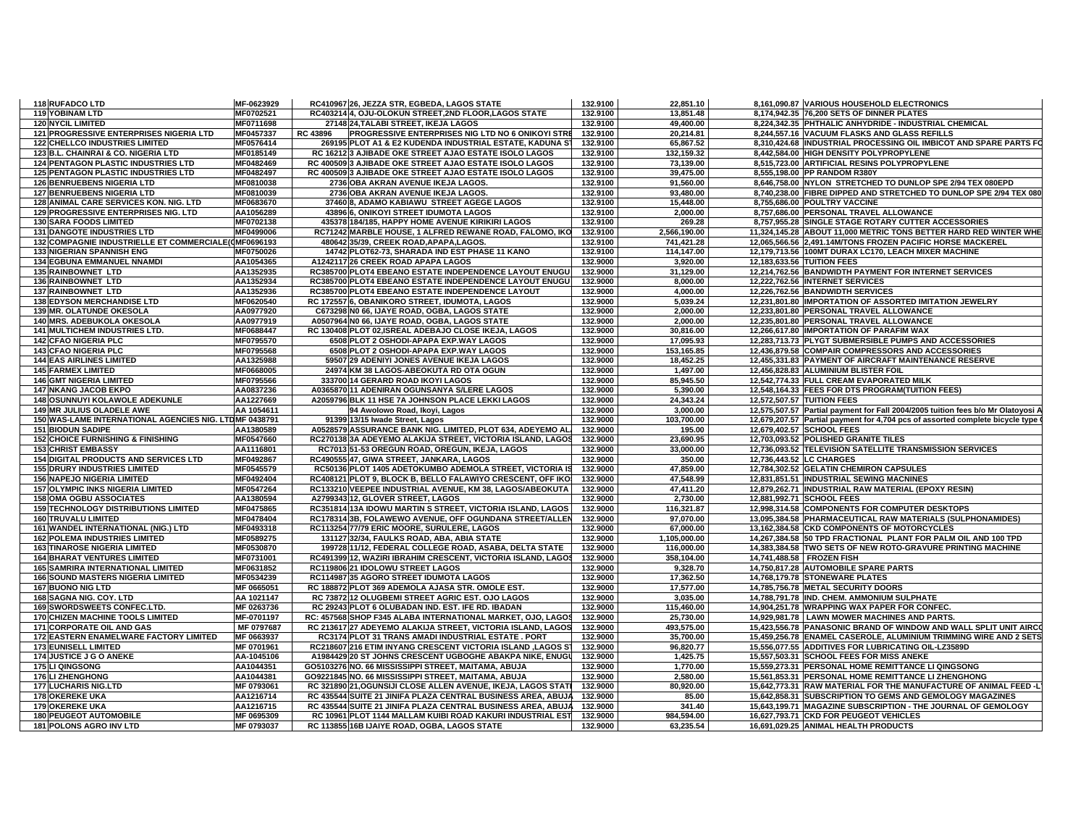| 118 RUFADCO LTD                                                 | MF-0623929               | RC410967 26, JEZZA STR, EGBEDA, LAGOS STATE                                                                | 132.9100             | 22,851.10               | 8,161,090.87 VARIOUS HOUSEHOLD ELECTRONICS                                       |
|-----------------------------------------------------------------|--------------------------|------------------------------------------------------------------------------------------------------------|----------------------|-------------------------|----------------------------------------------------------------------------------|
| <b>119 YOBINAM LTD</b>                                          | MF0702521                | RC403214 4, OJU-OLOKUN STREET,2ND FLOOR,LAGOS STATE                                                        | 132.9100             | 13,851.48               | 8,174,942.35 76,200 SETS OF DINNER PLATES                                        |
| <b>120 NYCIL LIMITED</b>                                        | MF0711698                | 27148 24, TALABI STREET, IKEJA LAGOS                                                                       | 132.9100             | 49,400.00               | 8,224,342.35 PHTHALIC ANHYDRIDE - INDUSTRIAL CHEMICAL                            |
| 121 PROGRESSIVE ENTERPRISES NIGERIA LTD                         | MF0457337                | RC 43896<br><b>PROGRESSIVE ENTERPRISES NIG LTD NO 6 ONIKOYI STRE</b>                                       | 132.9100             | 20,214.81               | 8.244.557.16 VACUUM FLASKS AND GLASS REFILLS                                     |
| <b>122 CHELLCO INDUSTRIES LIMITED</b>                           | MF0576414                | 269195 PLOT A1 & E2 KUDENDA INDUSTRIAL ESTATE, KADUNA S'                                                   | 132.9100             | 65,867.52               | 8,310,424.68 INDUSTRIAL PROCESSING OIL IMBICOT AND SPARE PARTS FO                |
| 123 B.L. CHAINRAI & CO. NIGERIA LTD                             | MF0185149                | RC 16212 3 AJIBADE OKE STREET AJAO ESTATE ISOLO LAGOS                                                      | 132.9100             | 132,159.32              | 8,442,584.00 HIGH DENSITY POLYPROPYLENE                                          |
| <b>124 PENTAGON PLASTIC INDUSTRIES LTD</b>                      | MF0482469                | RC 400509 3 AJIBADE OKE STREET AJAO ESTATE ISOLO LAGOS                                                     | 132.9100             | 73,139.00               | 8,515,723.00 ARTIFICIAL RESINS POLYPROPYLENE                                     |
| <b>125 PENTAGON PLASTIC INDUSTRIES LTD</b>                      | MF0482497                | RC 400509 3 AJIBADE OKE STREET AJAO ESTATE ISOLO LAGOS                                                     | 132.9100             | 39,475.00               | 8,555,198.00 PP RANDOM R380Y                                                     |
| 126 BENRUEBENS NIGERIA LTD                                      | MF0810038                | 2736 OBA AKRAN AVENUE IKEJA LAGOS.                                                                         | 132.9100             | 91,560.00               | 8,646,758.00 NYLON STRETCHED TO DUNLOP SPE 2/94 TEX 080EPD                       |
| <b>127 BENRUEBENS NIGERIA LTD</b>                               | MF0810039                | 2736 OBA AKRAN AVENUE IKEJA LAGOS.                                                                         | 132.9100             | 93,480.00               | 8,740,238.00 FIBRE DIPPED AND STRETCHED TO DUNLOP SPE 2/94 TEX 080               |
| 128 ANIMAL CARE SERVICES KON. NIG. LTD                          | MF0683670                | 37460 8, ADAMO KABIAWU STREET AGEGE LAGOS                                                                  | 132.9100             | 15,448.00               | 8,755,686.00 POULTRY VACCINE                                                     |
| 129 PROGRESSIVE ENTERPRISES NIG. LTD                            | AA1056289                | 43896 6, ONIKOYI STREET IDUMOTA LAGOS                                                                      | 132.9100             | 2,000.00                | 8,757,686.00 PERSONAL TRAVEL ALLOWANCE                                           |
| 130 SARA FOODS LIMITED                                          | MF0702138                | 435378 184/185, HAPPY HOME AVENUE KIRIKIRI LAGOS                                                           | 132.9100             | 269.28                  | 8,757,955.28 SINGLE STAGE ROTARY CUTTER ACCESSORIES                              |
| <b>131 DANGOTE INDUSTRIES LTD</b>                               | MF0499006                | RC71242 MARBLE HOUSE, 1 ALFRED REWANE ROAD, FALOMO, IKO                                                    | 132.9100             | 2,566,190.00            | 11,324,145.28 ABOUT 11,000 METRIC TONS BETTER HARD RED WINTER WHE                |
| 132 COMPAGNIE INDUSTRIELLE ET COMMERCIALE(0MF0696193            |                          | 480642 35/39, CREEK ROAD, APAPA, LAGOS.                                                                    | 132.9100             | 741,421.28              | 12,065,566.56 2,491.14M/TONS FROZEN PACIFIC HORSE MACKEREL                       |
| <b>133 NIGERIAN SPANNISH ENG</b>                                | MF0750026                | 14742 PLOT62-73, SHARADA IND EST PHASE 11 KANO                                                             | 132.9100             | 114,147.00              | 12,179,713.56 100MT DURAX LC170, LEACH MIXER MACHINE                             |
| <b>134 EGBUNA EMMANUEL NNAMDI</b>                               | AA1054365                | A1242117 26 CREEK ROAD APAPA LAGOS                                                                         | 132.9000             | 3.920.00                | 12.183.633.56 TUITION FEES                                                       |
| 135 RAINBOWNET LTD                                              | AA1352935                | RC385700 PLOT4 EBEANO ESTATE INDEPENDENCE LAYOUT ENUGU                                                     | 132.9000             | 31,129.00               | 12,214,762.56 BANDWIDTH PAYMENT FOR INTERNET SERVICES                            |
| <b>136 RAINBOWNET LTD</b>                                       | AA1352934                | RC385700 PLOT4 EBEANO ESTATE INDEPENDENCE LAYOUT ENUGU                                                     | 132.9000             | 8,000.00                | 12,222,762.56 INTERNET SERVICES                                                  |
| 137 RAINBOWNET LTD                                              | AA1352936                | RC385700 PLOT4 EBEANO ESTATE INDEPENDENCE LAYOUT                                                           | 132.9000             | 4,000.00                | 12,226,762.56 BANDWIDTH SERVICES                                                 |
| <b>138 EDYSON MERCHANDISE LTD</b>                               | MF0620540                | RC 172557 6, OBANIKORO STREET, IDUMOTA, LAGOS                                                              | 132.9000             | 5,039.24                | 12,231,801.80 IMPORTATION OF ASSORTED IMITATION JEWELRY                          |
| 139 MR. OLATUNDE OKESOLA                                        | AA0977920                | C673298 N0 66, IJAYE ROAD, OGBA, LAGOS STATE                                                               | 132.9000             | 2,000.00                | 12,233,801.80 PERSONAL TRAVEL ALLOWANCE                                          |
| 140 MRS. ADEBUKOLA OKESOLA                                      | AA0977919                | A0507964 N0 66, IJAYE ROAD, OGBA, LAGOS STATE                                                              | 132.9000             | 2.000.00                | 12,235,801.80 PERSONAL TRAVEL ALLOWANCE                                          |
| <b>141 MULTICHEM INDUSTRIES LTD.</b>                            | MF0688447                | RC 130408 PLOT 02, ISREAL ADEBAJO CLOSE IKEJA, LAGOS                                                       | 132.9000             | 30,816.00               | 12,266,617.80 IMPORTATION OF PARAFIM WAX                                         |
| <b>142 CFAO NIGERIA PLC</b>                                     | MF0795570                | 6508 PLOT 2 OSHODI-APAPA EXP.WAY LAGOS                                                                     | 132.9000             | 17,095.93               | 12,283,713.73 PLYGT SUBMERSIBLE PUMPS AND ACCESSORIES                            |
| <b>143 CFAO NIGERIA PLC</b>                                     | MF0795568                | 6508 PLOT 2 OSHODI-APAPA EXP.WAY LAGOS                                                                     | 132.9000             | 153,165.85              | 12,436,879.58 COMPAIR COMPRESSORS AND ACCESSORIES                                |
| <b>144 EAS AIRLINES LIMITED</b>                                 | AA1325988                | 59507 29 ADENIYI JONES AVENUE IKEJA LAGOS                                                                  | 132.9000             | 18,452.25               | 12,455,331.83 PAYMENT OF AIRCRAFT MAINTENANCE RESERVE                            |
| <b>145 FARMEX LIMITED</b>                                       | MF0668005                | 24974 KM 38 LAGOS-ABEOKUTA RD OTA OGUN                                                                     | 132.9000             | 1,497.00                | 12,456,828.83 ALUMINIUM BLISTER FOIL                                             |
| <b>146 GMT NIGERIA LIMITED</b>                                  | MF0795566                | 333700 14 GERARD ROAD IKOYI LAGOS                                                                          | 132.9000             | 85,945.50               | 12,542,774.33 FULL CREAM EVAPORATED MILK                                         |
| <b>147 NKANG JACOB EKPO</b>                                     | AA0837236                | A0365870 11 ADENIRAN OGUNSANYA S/LERE LAGOS                                                                | 132.9000             | 5,390.00                | 12,548,164.33 FEES FOR DTS PROGRAM(TUITION FEES)                                 |
| 148 OSUNNUYI KOLAWOLE ADEKUNLE                                  | AA1227669                | A2059796 BLK 11 HSE 7A JOHNSON PLACE LEKKI LAGOS                                                           | 132.9000             | 24,343.24               | 12,572,507.57 TUITION FEES                                                       |
| 149 MR JULIUS OLADELE AWE                                       | AA 1054611               | 94 Awolowo Road, Ikoyi, Lagos                                                                              | 132.9000             | 3,000.00                | 12,575,507.57 Partial payment for Fall 2004/2005 tuition fees b/o Mr Olatoyosi A |
| 150 WAS-LAME INTERNATIONAL AGENCIES NIG. LTDMF 0438791          |                          | 91399 13/15 Iwade Street, Lagos                                                                            | 132.9000             | 103.700.00              | 12,679,207.57 Partial payment for 4,704 pcs of assorted complete bicycle type    |
| <b>151 BIODUN SADIPE</b>                                        | AA1380589                | A0528579 ASSURANCE BANK NIG. LIMITED, PLOT 634, ADEYEMO AL                                                 | 132.9000             | 195.00                  | 12,679,402.57 SCHOOL FEES                                                        |
|                                                                 |                          |                                                                                                            |                      |                         |                                                                                  |
| <b>152 CHOICE FURNISHING &amp; FINISHING</b>                    | MF0547660                | RC270138 3A ADEYEMO ALAKIJA STREET, VICTORIA ISLAND, LAGOS                                                 | 132.9000             | 23,690.95               | 12,703,093.52 POLISHED GRANITE TILES                                             |
| <b>153 CHRIST EMBASSY</b>                                       | AA1116801                | RC7013 51-53 OREGUN ROAD, OREGUN, IKEJA, LAGOS                                                             | 132.9000             | 33,000.00               | 12,736,093.52 TELEVISION SATELLITE TRANSMISSION SERVICES                         |
| 154 DIGITAL PRODUCTS AND SERVICES LTD                           | MF0492867                | RC490555 47, GIWA STREET, JANKARA, LAGOS                                                                   | 132.9000             | 350.00                  | 12,736,443.52 LC CHARGES                                                         |
| <b>155 DRURY INDUSTRIES LIMITED</b>                             | MF0545579                | RC50136 PLOT 1405 ADETOKUMBO ADEMOLA STREET, VICTORIA IS                                                   | 132.9000             | 47,859.00               | 12,784,302.52 GELATIN CHEMIRON CAPSULES                                          |
| <b>156 NAPEJO NIGERIA LIMITED</b>                               | MF0492404                | RC408121 PLOT 9, BLOCK B, BELLO FALAWIYO CRESCENT, OFF IKO                                                 | 132.9000             | 47,548.99               | 12,831,851.51 INDUSTRIAL SEWING MACNINES                                         |
| <b>157 OLYMPIC INKS NIGERIA LIMITED</b>                         | MF0547264                | RC133210 VEEPEE INDUSTRIAL AVENUE, KM 38, LAGOS/ABEOKUTA                                                   | 132.9000             | 47,411.20               | 12,879,262.71 INDUSTRIAL RAW MATERIAL (EPOXY RESIN)                              |
| <b>158 OMA OGBU ASSOCIATES</b>                                  | AA1380594                | A2799343 12, GLOVER STREET, LAGOS                                                                          | 132.9000             | 2,730.00                | 12,881,992.71 SCHOOL FEES                                                        |
| <b>159 TECHNOLOGY DISTRIBUTIONS LIMITED</b>                     | MF0475865                | RC351814 13A IDOWU MARTIN S STREET, VICTORIA ISLAND, LAGOS                                                 | 132.9000             | 116,321.87              | 12,998,314.58 COMPONENTS FOR COMPUTER DESKTOPS                                   |
| <b>160 TRUVALU LIMITED</b>                                      | MF0478404                | RC178314 3B, FOLAWEWO AVENUE, OFF OGUNDANA STREET/ALLEN                                                    | 132.9000             | 97,070.00               | 13,095,384.58 PHARMACEUTICAL RAW MATERIALS (SULPHONAMIDES)                       |
| 161 WANDEL INTERNATIONAL (NIG.) LTD                             | MF0493318                | RC113254 77/79 ERIC MOORE, SURULERE, LAGOS                                                                 | 132.9000             | 67,000.00               | 13,162,384.58 CKD COMPONENTS OF MOTORCYCLES                                      |
| <b>162 POLEMA INDUSTRIES LIMITED</b>                            | MF0589275                | 131127 32/34, FAULKS ROAD, ABA, ABIA STATE                                                                 | 132.9000             | 1,105,000.00            | 14,267,384.58 50 TPD FRACTIONAL PLANT FOR PALM OIL AND 100 TPD                   |
| <b>163 TINAROSE NIGERIA LIMITED</b>                             | MF0530870                | 199728 11/12, FEDERAL COLLEGE ROAD, ASABA, DELTA STATE                                                     | 132.9000             | 116,000.00              | 14,383,384.58 TWO SETS OF NEW ROTO-GRAVURE PRINTING MACHINE                      |
| <b>164 BHARAT VENTURES LIMITED</b>                              | MF0731001                | RC491399 12, WAZIRI IBRAHIM CRESCENT, VICTORIA ISLAND, LAGOS                                               | 132.9000             | 358,104.00              | 14,741,488.58 FROZEN FISH                                                        |
| <b>165 SAMRIRA INTERNATIONAL LIMITED</b>                        | MF0631852                | RC119806 21 IDOLOWU STREET LAGOS                                                                           | 132.9000             | 9,328.70                | 14,750,817.28 AUTOMOBILE SPARE PARTS                                             |
| <b>166 SOUND MASTERS NIGERIA LIMITED</b>                        | MF0534239                | RC114987 35 AGORO STREET IDUMOTA LAGOS                                                                     | 132.9000             | 17,362.50               | 14,768,179.78 STONEWARE PLATES                                                   |
| <b>167 BUONO NIG LTD</b>                                        | MF 0665051               | RC 188872 PLOT 369 ADEMOLA AJASA STR. OMOLE EST.                                                           | 132.9000             | 17,577.00               | 14,785,756.78 METAL SECURITY DOORS                                               |
| 168 SAGNA NIG. COY. LTD                                         | AA 1021147               | RC 73872 12 OLUGBEMI STREET AGRIC EST. OJO LAGOS                                                           | 132.9000             | 3,035.00                | 14,788,791.78 IND. CHEM. AMMONIUM SULPHATE                                       |
| 169 SWORDSWEETS CONFEC.LTD.                                     | MF 0263736               | RC 29243 PLOT 6 OLUBADAN IND. EST. IFE RD. IBADAN                                                          | 132.9000             | 115,460.00              | 14,904,251.78 WRAPPING WAX PAPER FOR CONFEC.                                     |
| <b>170 CHIZEN MACHINE TOOLS LIMITED</b>                         | MF-0701197               | RC: 457568 SHOP F345 ALABA INTERNATIONAL MARKET, OJO, LAGOS                                                | 132.9000             | 25,730.00               | 14.929.981.78 LAWN MOWER MACHINES AND PARTS.                                     |
| 171 CORPORATE OIL AND GAS                                       | MF 0797687               | RC 213617 27 ADEYEMO ALAKIJA STREET, VICTORIA ISLAND, LAGOS                                                | 132.9000             | 493,575.00              | 15,423,556.78 PANASONIC BRAND OF WINDOW AND WALL SPLIT UNIT AIRCO                |
| 172 EASTERN ENAMELWARE FACTORY LIMITED                          | MF 0663937               | RC3174 PLOT 31 TRANS AMADI INDUSTRIAL ESTATE . PORT                                                        | 132.9000             | 35.700.00               | 15,459,256.78 ENAMEL CASEROLE, ALUMINIUM TRIMMING WIRE AND 2 SETS                |
| <b>173 EUNISELL LIMITED</b>                                     | MF 0701961               | RC218607 216 ETIM INYANG CRESCENT VICTORIA ISLAND ,LAGOS S'                                                | 132.9000             | 96,820.77               | 15,556,077.55 ADDITIVES FOR LUBRICATING OIL-LZ3589D                              |
| 174 JUSTICE J G O ANEKE                                         | AA-1045106               | A1984429 20 ST JOHNS CRESCENT UGBOGHE ABAKPA NIKE, ENUGL                                                   | 132.9000             | 1,425.75                | 15,557,503.31 SCHOOL FEES FOR MISS ANEKE                                         |
| 175 LI QINGSONG                                                 | AA1044351                | GO5103276 NO. 66 MISSISSIPPI STREET, MAITAMA, ABUJA                                                        | 132.9000             | 1,770.00                | 15,559,273.31 PERSONAL HOME REMITTANCE LI QINGSONG                               |
| 176 LI ZHENGHONG                                                | AA1044381                | GO9221845 NO. 66 MISSISSIPPI STREET, MAITAMA, ABUJA                                                        | 132.9000             | 2,580.00                | 15,561,853.31 PERSONAL HOME REMITTANCE LI ZHENGHONG                              |
| <b>177 LUCHARIS NIG.LTD</b>                                     | MF 0793061               | RC 321890 21, OGUNSIJI CLOSE ALLEN AVENUE, IKEJA, LAGOS STATI                                              | 132.9000             | 80,920.00               | 15,642,773.31 RAW MATERIAL FOR THE MANUFACTURE OF ANIMAL FEED -L                 |
| <b>178 OKEREKE UKA</b>                                          | AA1216714                | RC 435544 SUITE 21 JINIFA PLAZA CENTRAL BUSINESS AREA, ABUJA                                               | 132.9000             | 85.00                   | 15,642,858.31 SUBSCRIPTION TO GEMS AND GEMOLOGY MAGAZINES                        |
| <b>179 OKEREKE UKA</b>                                          | AA1216715                | RC 435544 SUITE 21 JINIFA PLAZA CENTRAL BUSINESS AREA, ABUJA                                               | 132.9000             | 341.40                  | 15,643,199.71 MAGAZINE SUBSCRIPTION - THE JOURNAL OF GEMOLOGY                    |
| <b>180 PEUGEOT AUTOMOBILE</b><br><b>181 POLONS AGRO INV LTD</b> | MF 0695309<br>MF 0793037 | RC 10961 PLOT 1144 MALLAM KUIBI ROAD KAKURI INDUSTRIAL EST<br>RC 113855 16B IJAIYE ROAD, OGBA, LAGOS STATE | 132.9000<br>132.9000 | 984,594.00<br>63.235.54 | 16,627,793.71 CKD FOR PEUGEOT VEHICLES<br>16.691.029.25 ANIMAL HEALTH PRODUCTS   |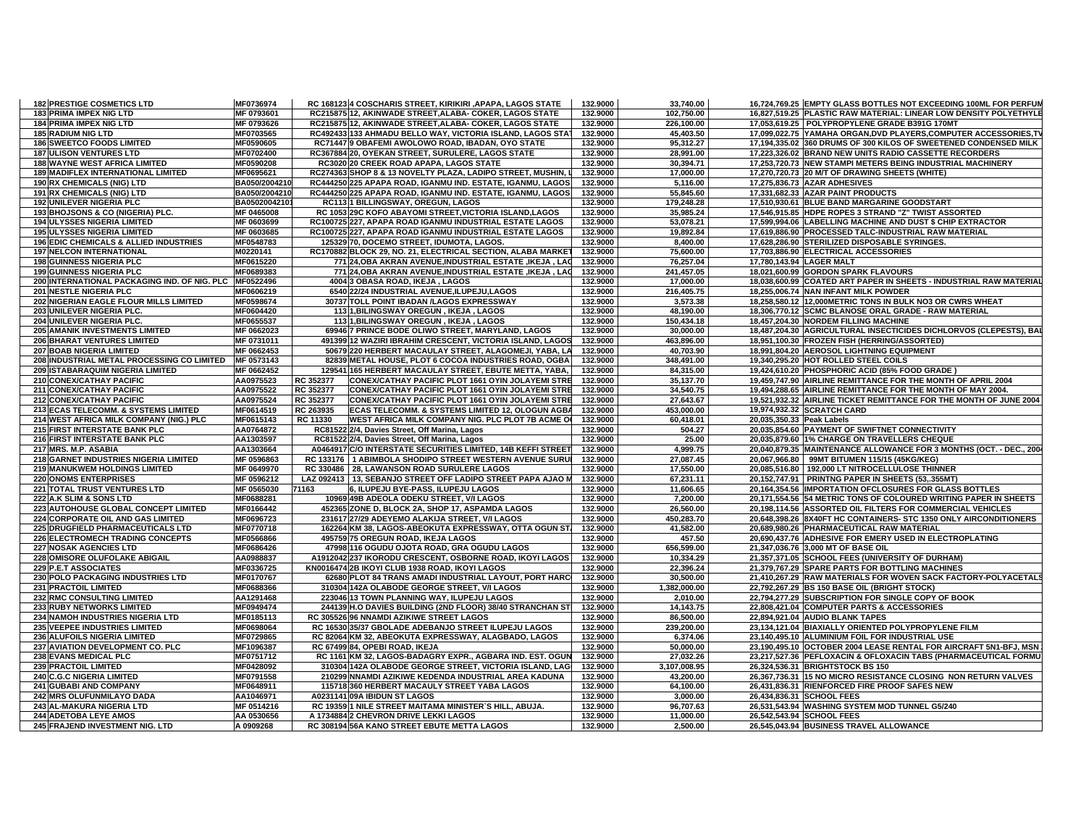| <b>182 PRESTIGE COSMETICS LTD</b>                      | MF0736974     |           | RC 168123 4 COSCHARIS STREET, KIRIKIRI ,APAPA, LAGOS STATE       | 132.9000 | 33,740.00    | 16,724,769.25 EMPTY GLASS BOTTLES NOT EXCEEDING 100ML FOR PERFUN                                               |
|--------------------------------------------------------|---------------|-----------|------------------------------------------------------------------|----------|--------------|----------------------------------------------------------------------------------------------------------------|
| 183 PRIMA IMPEX NIG LTD                                | MF 0793601    |           | RC215875 12, AKINWADE STREET, ALABA- COKER, LAGOS STATE          | 132.9000 | 102,750.00   | 16.827.519.25 PLASTIC RAW MATERIAL: LINEAR LOW DENSITY POLYETHYLE                                              |
| <b>184 PRIMA IMPEX NIG LTD</b>                         | MF 0793626    |           | RC215875 12, AKINWADE STREET, ALABA- COKER, LAGOS STATE          | 132.9000 | 226,100.00   | 17,053,619.25 POLYPROPYLENE GRADE B391G 170MT                                                                  |
| <b>185 RADIUM NIG LTD</b>                              | MF0703565     |           | RC492433 133 AHMADU BELLO WAY, VICTORIA ISLAND, LAGOS STAT       | 132.9000 | 45,403.50    | 17,099,022.75 YAMAHA ORGAN,DVD PLAYERS,COMPUTER ACCESSORIES,TV                                                 |
| <b>186 SWEETCO FOODS LIMITED</b>                       | MF0590605     |           | RC71447 9 OBAFEMI AWOLOWO ROAD, IBADAN, OYO STATE                | 132.9000 | 95,312.27    | 17,194,335.02 360 DRUMS OF 300 KILOS OF SWEETENED CONDENSED MILK                                               |
| <b>187 ULISON VENTURES LTD</b>                         | MF0702400     |           | RC367884 20, OYEKAN STREET, SURULERE, LAGOS STATE                | 132.9000 | 28,991.00    | 17,223,326.02 BRAND NEW UNITS RADIO CASSETTE RECORDERS                                                         |
| <b>188 WAYNE WEST AFRICA LIMITED</b>                   | MF0590208     |           | RC3020 20 CREEK ROAD APAPA, LAGOS STATE                          | 132.9000 | 30,394.71    | 17,253,720.73 NEW STAMPI METERS BEING INDUSTRIAL MACHINERY                                                     |
| <b>189 MADIFLEX INTERNATIONAL LIMITED</b>              | MF0695621     |           | RC274363 SHOP 8 & 13 NOVELTY PLAZA, LADIPO STREET, MUSHIN, L     | 132.9000 | 17,000.00    | 17,270,720.73 20 M/T OF DRAWING SHEETS (WHITE)                                                                 |
| 190 RX CHEMICALS (NIG) LTD                             | BA050/2004210 |           | RC444250 225 APAPA ROAD, IGANMU IND. ESTATE, IGANMU, LAGOS       | 132.9000 | 5,116.00     | 17,275,836.73 AZAR ADHESIVES                                                                                   |
| 191 RX CHEMICALS (NIG) LTD                             | BA050/2004210 |           | RC444250 225 APAPA ROAD, IGANMU IND. ESTATE, IGANMU, LAGOS       | 132.9000 | 55,845.60    | 17,331,682.33 AZAR PAINT PRODUCTS                                                                              |
| 192 UNILEVER NIGERIA PLC                               | BA05020042101 |           | RC1131 BILLINGSWAY, OREGUN, LAGOS                                | 132.9000 | 179,248.28   | 17,510,930.61 BLUE BAND MARGARINE GOODSTART                                                                    |
|                                                        |               |           |                                                                  |          |              |                                                                                                                |
| 193 BHOJSONS & CO (NIGERIA) PLC.                       | MF 0465008    |           | RC 1053 29C KOFO ABAYOMI STREET, VICTORIA ISLAND, LAGOS          | 132.9000 | 35,985.24    | 17,546,915.85 HDPE ROPES 3 STRAND "Z" TWIST ASSORTED                                                           |
| 194 ULYSSES NIGERIA LIMITED                            | MF 0603699    |           | RC100725 227, APAPA ROAD IGANMU INDUSTRIAL ESTATE LAGOS          | 132.9000 | 53,078.21    | 17,599,994.06 LABELLING MACHINE AND DUST \$ CHIP EXTRACTOR                                                     |
| <b>195 ULYSSES NIGERIA LIMITED</b>                     | MF 0603685    |           | RC100725 227, APAPA ROAD IGANMU INDUSTRIAL ESTATE LAGOS          | 132.9000 | 19,892.84    | 17,619,886.90 PROCESSED TALC-INDUSTRIAL RAW MATERIAL                                                           |
| <b>196 EDIC CHEMICALS &amp; ALLIED INDUSTRIES</b>      | MF0548783     |           | 125329 70, DOCEMO STREET, IDUMOTA, LAGOS.                        | 132.9000 | 8,400.00     | 17,628,286.90 STERILIZED DISPOSABLE SYRINGES.                                                                  |
| <b>197 NELCON INTERNATIONAL</b>                        | M0220141      |           | RC170882 BLOCK 29, NO. 21, ELECTRICAL SECTION, ALABA MARKET      | 132.9000 | 75,600.00    | 17,703,886.90 ELECTRICAL ACCESSORIES                                                                           |
| 198 GUINNESS NIGERIA PLC                               | MF0615220     |           | 771 24.OBA AKRAN AVENUE.INDUSTRIAL ESTATE .IKEJA . LAC           | 132.9000 | 76.257.04    | 17.780.143.94 LAGER MALT                                                                                       |
| 199 GUINNESS NIGERIA PLC                               | MF0689383     |           | 771 24, OBA AKRAN AVENUE, INDUSTRIAL ESTATE, IKEJA, LAC 132.9000 |          | 241,457.05   | 18,021,600.99 GORDON SPARK FLAVOURS                                                                            |
| 200 INTERNATIONAL PACKAGING IND. OF NIG. PLC MF0522496 |               |           | 4004 3 OBASA ROAD, IKEJA, LAGOS                                  | 132.9000 | 17,000.00    | 18,038,600.99 COATED ART PAPER IN SHEETS - INDUSTRIAL RAW MATERIAL                                             |
| 201 NESTLE NIGERIA PLC                                 | MF0606219     |           | 6540 22/24 INDUSTRIAL AVENUE,ILUPEJU,LAGOS                       | 132.9000 | 216,405.75   | 18,255,006.74 NAN INFANT MILK POWDER                                                                           |
| 202 NIGERIAN EAGLE FLOUR MILLS LIMITED                 | MF0598674     |           | 30737 TOLL POINT IBADAN /LAGOS EXPRESSWAY                        | 132.9000 | 3,573.38     | 18,258,580.12 12,000 METRIC TONS IN BULK NO3 OR CWRS WHEAT                                                     |
| 203 UNILEVER NIGERIA PLC.                              | MF0604420     |           | 113 1, BILINGSWAY OREGUN, IKEJA, LAGOS                           | 132.9000 | 48,190.00    | 18,306,770.12 SCMC BLANOSE ORAL GRADE - RAW MATERIAL                                                           |
| 204 UNILEVER NIGERIA PLC.                              | MF0655537     |           | 113 1, BILINGSWAY OREGUN, IKEJA, LAGOS                           | 132.9000 | 150,434.18   | 18,457,204.30 NORDEM FILLING MACHINE                                                                           |
| <b>205 AMANIK INVESTMENTS LIMITED</b>                  | MF 0662023    |           | 69946 7 PRINCE BODE OLIWO STREET, MARYLAND, LAGOS                | 132.9000 | 30,000.00    | 18,487,204.30 AGRICULTURAL INSECTICIDES DICHLORVOS (CLEPESTS), BAI                                             |
| <b>206 BHARAT VENTURES LIMITED</b>                     | MF 0731011    |           | 491399 12 WAZIRI IBRAHIM CRESCENT, VICTORIA ISLAND, LAGOS        | 132.9000 | 463,896.00   | 18,951,100.30 FROZEN FISH (HERRING/ASSORTED)                                                                   |
| 207 BOAB NIGERIA LIMITED                               | MF 0662453    |           | 50679 220 HERBERT MACAULAY STREET, ALAGOMEJI, YABA, LA           | 132.9000 | 40,703.90    | 18,991,804.20 AEROSOL LIGHTNING EQUIPMENT                                                                      |
| 208 INDUSTRIAL METAL PROCESSING CO LIMITED             | MF 0573143    |           | 82839 METAL HOUSE, PLOT 6 COCOA INDUSTRIES ROAD, OGBA            | 132.9000 | 348,491.00   | 19,340,295.20 HOT ROLLED STEEL COILS                                                                           |
| 209 ISTABARAQUIM NIGERIA LIMITED                       | MF 0662452    |           | 129541 165 HERBERT MACAULAY STREET, EBUTE METTA, YABA,           | 132.9000 | 84,315.00    | 19,424,610.20 PHOSPHORIC ACID (85% FOOD GRADE)                                                                 |
| 210 CONEX/CATHAY PACIFIC                               | AA0975523     | RC 352377 | CONEX/CATHAY PACIFIC PLOT 1661 OYIN JOLAYEMI STRE                | 132.9000 | 35,137.70    | 19,459,747.90 AIRLINE REMITTANCE FOR THE MONTH OF APRIL 2004                                                   |
| 211 CONEX/CATHAY PACIFIC                               | AA0975522     | RC 352377 | CONEX/CATHAY PACIFIC PLOT 1661 OYIN JOLAYEMI STRE                | 132.9000 | 34,540.75    | 19,494,288.65 AIRLINE REMITTANCE FOR THE MONTH OF MAY 2004.                                                    |
| 212 CONEX/CATHAY PACIFIC                               | AA0975524     | RC 352377 | CONEX/CATHAY PACIFIC PLOT 1661 OYIN JOLAYEMI STRE                | 132.9000 | 27,643.67    | 19,521,932.32 AIRLINE TICKET REMITTANCE FOR THE MONTH OF JUNE 2004                                             |
| 213 ECAS TELECOMM. & SYSTEMS LIMITED                   | MF0614519     | RC 263935 | ECAS TELECOMM. & SYSTEMS LIMITED 12, OLOGUN AGBA                 | 132.9000 | 453,000.00   | 19,974,932.32 SCRATCH CARD                                                                                     |
| 214 WEST AFRICA MILK COMPANY (NIG.) PLC                | MF0615143     | RC 11330  | WEST AFRICA MILK COMPANY NIG. PLC PLOT 7B ACME OF                | 132.9000 | 60.418.01    | 20.035.350.33 Peak Labels                                                                                      |
| 215 FIRST INTERSTATE BANK PLC                          | AA0764872     |           | RC81522 2/4, Davies Street, Off Marina, Lagos                    | 132.9000 | 504.27       | 20,035,854.60 PAYMENT OF SWIFTNET CONNECTIVITY                                                                 |
| 216 FIRST INTERSTATE BANK PLC                          | AA1303597     |           | RC81522 2/4, Davies Street, Off Marina, Lagos                    | 132.9000 | 25.00        | 20,035,879.60 1% CHARGE ON TRAVELLERS CHEQUE                                                                   |
| 217 MRS. M.P. ASABIA                                   | AA1303664     |           | A0464917 C/O INTERSTATE SECURITIES LIMITED, 14B KEFFI STREET     | 132.9000 | 4,999.75     | 20,040,879.35 MAINTENANCE ALLOWANCE FOR 3 MONTHS (OCT. - DEC., 200                                             |
| 218 GARNET INDUSTRIES NIGERIA LIMITED                  | MF 0596863    |           | RC 133176 1 ABIMBOLA SHODIPO STREET WESTERN AVENUE SURUI         | 132.9000 | 27,087.45    | 20,067,966.80 99MT BITUMEN 115/15 (45KG/KEG)                                                                   |
| 219 MANUKWEM HOLDINGS LIMITED                          | MF 0649970    |           | RC 330486 28, LAWANSON ROAD SURULERE LAGOS                       | 132.9000 | 17,550.00    | 20,085,516.80 192,000 LT NITROCELLULOSE THINNER                                                                |
| <b>220 ONOMS ENTERPRISES</b>                           | MF 0596212    |           | LAZ 092413   13, SEBANJO STREET OFF LADIPO STREET PAPA AJAO M    | 132.9000 | 67,231.11    | 20,152,747.91 PRINTNG PAPER IN SHEETS (53,.355MT)                                                              |
| 221 TOTAL TRUST VENTURES LTD                           | MF 0565030    | 71163     | 6, ILUPEJU BYE-PASS, ILUPEJU LAGOS                               | 132.9000 | 11,606.65    | 20,164,354.56 IMPORTATION OFCLOSURES FOR GLASS BOTTLES                                                         |
| 222 A.K SLIM & SONS LTD                                | MF0688281     |           | 10969 49B ADEOLA ODEKU STREET, V/I LAGOS                         | 132.9000 | 7,200.00     | 20,171,554.56 54 METRIC TONS OF COLOURED WRITING PAPER IN SHEETS                                               |
| 223 AUTOHOUSE GLOBAL CONCEPT LIMITED                   | MF0166442     |           | 452365 ZONE D, BLOCK 2A, SHOP 17, ASPAMDA LAGOS                  | 132.9000 | 26,560.00    | 20,198,114.56 ASSORTED OIL FILTERS FOR COMMERCIAL VEHICLES                                                     |
|                                                        |               |           |                                                                  |          |              |                                                                                                                |
| 224 CORPORATE OIL AND GAS LIMITED                      | MF0696723     |           | 231617 27/29 ADEYEMO ALAKIJA STREET, V/I LAGOS                   | 132.9000 | 450,283.70   | 20,648,398.26 8X40FT HC CONTAINERS- STC 1350 ONLY AIRCONDITIONERS<br>20.689.980.26 PHARMACEUTICAL RAW MATERIAL |
| 225 DRUGFIELD PHARMACEUTICALS LTD                      | MF0770718     |           | 162264 KM 38, LAGOS-ABEOKUTA EXPRESSWAY, OTTA OGUN ST.           | 132.9000 | 41,582.00    |                                                                                                                |
| <b>226 ELECTROMECH TRADING CONCEPTS</b>                | MF0566866     |           | 495759 75 OREGUN ROAD, IKEJA LAGOS                               | 132.9000 | 457.50       | 20,690,437.76 ADHESIVE FOR EMERY USED IN ELECTROPLATING                                                        |
| <b>227 NOSAK AGENCIES LTD</b>                          | MF0686426     |           | 47998 116 OGUDU OJOTA ROAD, GRA OGUDU LAGOS                      | 132.9000 | 656,599.00   | 21,347,036.76 3,000 MT OF BASE OIL                                                                             |
| 228 OMISORE OLUFOLAKE ABIGAIL                          | AA0988837     |           | A1912042 237 IKORODU CRESCENT, OSBORNE ROAD, IKOYI LAGOS         | 132.9000 | 10,334.29    | 21,357,371.05 SCHOOL FEES (UNIVERSITY OF DURHAM)                                                               |
| 229 P.E.T ASSOCIATES                                   | MF0336725     |           | KN0016474 2B IKOYI CLUB 1938 ROAD, IKOYI LAGOS                   | 132.9000 | 22,396.24    | 21,379,767.29 SPARE PARTS FOR BOTTLING MACHINES                                                                |
| 230 POLO PACKAGING INDUSTRIES LTD                      | MF0170767     |           | 62680 PLOT 84 TRANS AMADI INDUSTRIAL LAYOUT, PORT HARC           | 132.9000 | 30,500.00    | 21,410,267.29 RAW MATERIALS FOR WOVEN SACK FACTORY-POLYACETAL                                                  |
| 231 PRACTOIL LIMITED                                   | MF0688366     |           | 310304 142A OLABODE GEORGE STREET, V/I LAGOS                     | 132.9000 | 1,382,000.00 | 22,792,267.29 BS 150 BASE OIL (BRIGHT STOCK)                                                                   |
| 232 RMC CONSULTING LIMITED                             | AA1291468     |           | 223046 13 TOWN PLANNING WAY, ILUPEJU LAGOS                       | 132.9000 | 2,010.00     | 22,794,277.29 SUBSCRIPTION FOR SINGLE COPY OF BOOK                                                             |
| 233 RUBY NETWORKS LIMITED                              | MF0949474     |           | 244139 H.O DAVIES BUILDING (2ND FLOOR) 38/40 STRANCHAN ST        | 132.9000 | 14,143.75    | 22,808,421.04 COMPUTER PARTS & ACCESSORIES                                                                     |
| <b>234 NAMOH INDUSTRIES NIGERIA LTD</b>                | MF0185113     |           | RC 305526 96 NNAMDI AZIKIWE STREET LAGOS                         | 132.9000 | 86,500.00    | 22.894.921.04 AUDIO BLANK TAPES                                                                                |
| 235 VEEPEE INDUSTRIES LIMITED                          | MF0698064     |           | RC 16530 35/37 GBOLADE ADEBANJO STREET ILUPEJU LAGOS             | 132.9000 | 239,200.00   | 23,134,121.04 BIAXIALLY ORIENTED POLYPROPYLENE FILM                                                            |
| <b>236 ALUFOILS NIGERIA LIMITED</b>                    | MF0729865     |           | RC 82064 KM 32, ABEOKUTA EXPRESSWAY, ALAGBADO, LAGOS             | 132.9000 | 6.374.06     | 23.140.495.10 ALUMINIUM FOIL FOR INDUSTRIAL USE                                                                |
| 237 AVIATION DEVELOPMENT CO. PLC                       | MF1096387     |           | RC 67499 84, OPEBI ROAD, IKEJA                                   | 132.9000 | 50,000.00    | 23,190,495.10 OCTOBER 2004 LEASE RENTAL FOR AIRCRAFT 5N1-BFJ, MSN                                              |
| 238 EVANS MEDICAL PLC                                  | MF0751712     |           | RC 1161 KM 32, LAGOS-BADAGRY EXPR., AGBARA IND. EST. OGUN        | 132.9000 | 27,032.26    | 23,217,527.36 PEFLOXACIN & OFLOXACIN TABS (PHARMACEUTICAL FORMU                                                |
| <b>239 PRACTOIL LIMITED</b>                            | MF0428092     |           | 310304 142A OLABODE GEORGE STREET, VICTORIA ISLAND, LAG          | 132.9000 | 3,107,008.95 | 26,324,536.31 BRIGHTSTOCK BS 150                                                                               |
| 240 C.G.C NIGERIA LIMITED                              | MF0791558     |           | 210299 NNAMDI AZIKIWE KEDENDA INDUSTRIAL AREA KADUNA             | 132.9000 | 43,200.00    | 26,367,736.31 15 NO MICRO RESISTANCE CLOSING NON RETURN VALVES                                                 |
| 241 GUBABI AND COMPANY                                 | MF0648911     |           | 115718 360 HERBERT MACAULY STREET YABA LAGOS                     | 132.9000 | 64,100.00    | 26,431,836.31 RIENFORCED FIRE PROOF SAFES NEW                                                                  |
| 242 MRS OLUFUNMILAYO DADA                              | AA1046971     |           | A0231141 09A IBIDUN ST LAGOS                                     | 132.9000 | 3,000.00     | 26,434,836.31 SCHOOL FEES                                                                                      |
| 243 AL-MAKURA NIGERIA LTD                              | MF 0514216    |           | RC 19359 1 NILE STREET MAITAMA MINISTER'S HILL, ABUJA.           | 132.9000 | 96,707.63    | 26,531,543.94 WASHING SYSTEM MOD TUNNEL G5/240                                                                 |
| 244 ADETOBA LEYE AMOS                                  | AA 0530656    |           | A 1734884 2 CHEVRON DRIVE LEKKI LAGOS                            | 132.9000 | 11,000.00    | 26,542,543.94 SCHOOL FEES                                                                                      |
| 245 FRAJEND INVESTMENT NIG. LTD                        | A 0909268     |           | RC 308194 56A KANO STREET EBUTE METTA LAGOS                      | 132.9000 | 2.500.00     | 26.545.043.94 BUSINESS TRAVEL ALLOWANCE                                                                        |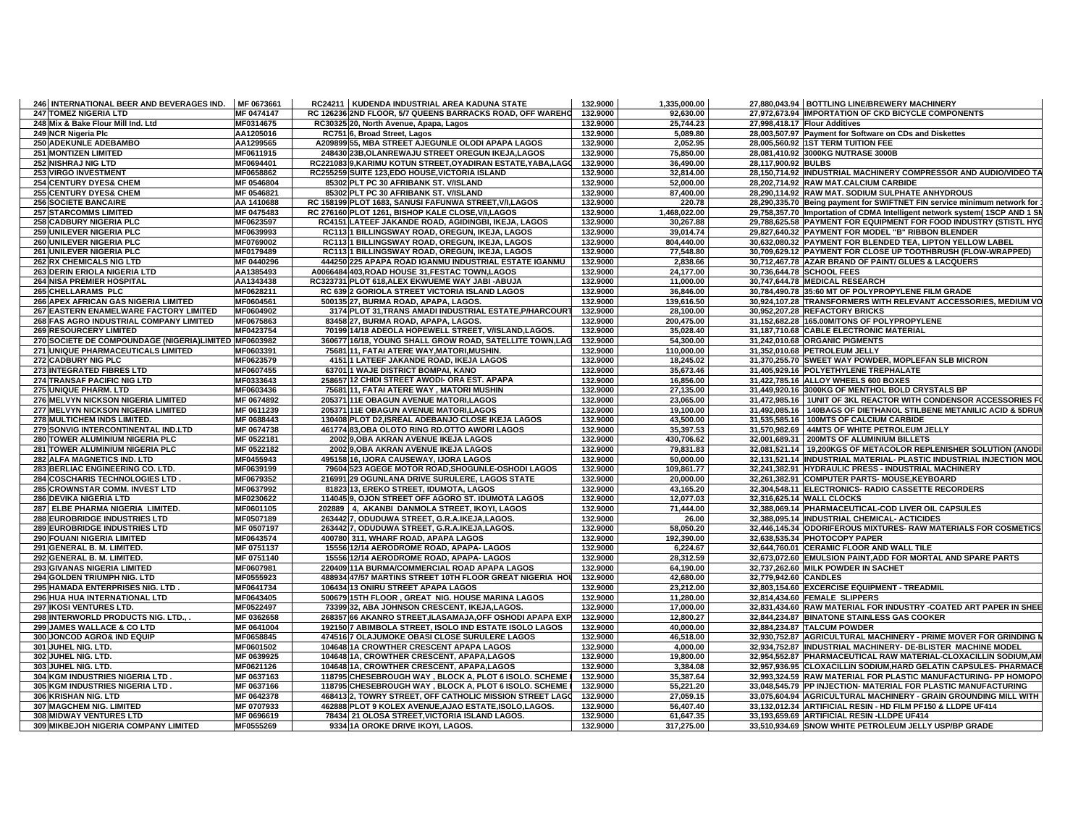| 246 INTERNATIONAL BEER AND BEVERAGES IND.             | MF 0673661 | RC24211   KUDENDA INDUSTRIAL AREA KADUNA STATE               | 132.9000 | 1,335,000.00 |                       | 27,880,043.94 BOTTLING LINE/BREWERY MACHINERY                               |
|-------------------------------------------------------|------------|--------------------------------------------------------------|----------|--------------|-----------------------|-----------------------------------------------------------------------------|
| 247 TOMEZ NIGERIA LTD                                 | MF 0474147 | RC 126236 2ND FLOOR, 5/7 QUEENS BARRACKS ROAD, OFF WAREHO    | 132.9000 | 92,630.00    |                       | 27,972,673.94 IMPORTATION OF CKD BICYCLE COMPONENTS                         |
| 248 Mix & Bake Flour Mill Ind. Ltd                    | MF0314675  | RC30325 20, North Avenue, Apapa, Lagos                       | 132.9000 | 25,744.23    |                       | 27,998,418.17 Flour Additives                                               |
| 249 NCR Nigeria Plc                                   | AA1205016  | RC751 6, Broad Street, Lagos                                 | 132.9000 | 5,089.80     |                       | 28,003,507.97 Payment for Software on CDs and Diskettes                     |
| 250 ADEKUNLE ADEBAMBO                                 | AA1299565  | A209899 55, MBA STREET AJEGUNLE OLODI APAPA LAGOS            | 132.9000 | 2,052.95     |                       | 28,005,560.92 1ST TERM TUITION FEE                                          |
| <b>251 MONTIZEN LIMITED</b>                           | MF0611915  | 248430 23B, OLANREWAJU STREET OREGUN IKEJA, LAGOS            | 132.9000 | 75.850.00    |                       | 28,081,410.92 3000KG NUTRASE 3000B                                          |
| 252 NISHRAJ NIG LTD                                   | MF0694401  | RC221083 9, KARIMU KOTUN STREET, OYADIRAN ESTATE, YABA, LAGO | 132.9000 | 36,490.00    | 28,117,900.92 BULBS   |                                                                             |
| 253 VIRGO INVESTMENT                                  | MF0658862  | RC255259 SUITE 123, EDO HOUSE, VICTORIA ISLAND               | 132.9000 | 32,814.00    |                       | 28,150,714.92 INDUSTRIAL MACHINERY COMPRESSOR AND AUDIO/VIDEO TA            |
| 254 CENTURY DYES& CHEM                                | MF 0546804 | 85302 PLT PC 30 AFRIBANK ST. V/ISLAND                        | 132.9000 | 52,000.00    |                       | 28,202,714.92 RAW MAT.CALCIUM CARBIDE                                       |
| <b>255 CENTURY DYES&amp; CHEM</b>                     | MF 0546821 | 85302 PLT PC 30 AFRIBANK ST. V/ISLAND                        | 132.9000 | 87,400.00    |                       | 28,290,114.92 RAW MAT. SODIUM SULPHATE ANHYDROUS                            |
| <b>256 SOCIETE BANCAIRE</b>                           | AA 1410688 | RC 158199 PLOT 1683, SANUSI FAFUNWA STREET, V/I, LAGOS       | 132.9000 | 220.78       |                       | 28,290,335.70 Being payment for SWIFTNET FIN service minimum network for    |
| <b>257 STARCOMMS LIMITED</b>                          | MF 0475483 | RC 276160 PLOT 1261, BISHOP KALE CLOSE, V/I, LAGOS           | 132.9000 | 1,468,022.00 |                       | 29,758,357.70 Importation of CDMA Intelligent network system( 1SCP AND 1 SI |
| <b>258 CADBURY NIGERIA PLC</b>                        | MF0623597  | RC4151 LATEEF JAKANDE ROAD, AGIDINGBI, IKEJA, LAGOS          | 132.9000 | 30,267.88    |                       | 29,788,625.58 PAYMENT FOR EQUIPMENT FOR FOOD INDUSTRY (STISTL HYG           |
| 259 UNILEVER NIGERIA PLC                              | MF0639993  | RC113 1 BILLINGSWAY ROAD, OREGUN, IKEJA, LAGOS               | 132.9000 | 39,014.74    |                       | 29,827,640.32 PAYMENT FOR MODEL "B" RIBBON BLENDER                          |
| 260 UNILEVER NIGERIA PLC                              | MF0769002  | RC113 1 BILLINGSWAY ROAD, OREGUN, IKEJA, LAGOS               | 132.9000 | 804.440.00   |                       | 30,632,080.32 PAYMENT FOR BLENDED TEA, LIPTON YELLOW LABEL                  |
| 261 UNILEVER NIGERIA PLC                              | MF0179489  | RC113 1 BILLINGSWAY ROAD, OREGUN, IKEJA, LAGOS               | 132.9000 | 77,548.80    |                       | 30,709,629.12 PAYMENT FOR CLOSE UP TOOTHBRUSH (FLOW-WRAPPED)                |
| 262 RX CHEMICALS NIG LTD                              | MF 0440296 | 444250 225 APAPA ROAD IGANMU INDUSTRIAL ESTATE IGANMU        | 132.9000 | 2,838.66     |                       | 30,712,467.78 AZAR BRAND OF PAINT/ GLUES & LACQUERS                         |
| 263 DERIN ERIOLA NIGERIA LTD                          | AA1385493  | A0066484 403, ROAD HOUSE 31, FESTAC TOWN, LAGOS              | 132.9000 | 24,177.00    |                       | 30,736,644.78 SCHOOL FEES                                                   |
| 264 NISA PREMIER HOSPITAL                             | AA1343438  | RC323731 PLOT 618, ALEX EKWUEME WAY JABI - ABUJA             | 132.9000 | 11,000.00    |                       | 30.747.644.78 MEDICAL RESEARCH                                              |
| 265 CHELLARAMS PLC                                    | MF0628211  | RC 639 2 GORIOLA STREET VICTORIA ISLAND LAGOS                | 132.9000 | 36,846.00    |                       | 30,784,490.78 35:60 MT OF POLYPROPYLENE FILM GRADE                          |
| 266 APEX AFRICAN GAS NIGERIA LIMITED                  | MF0604561  | 500135 27, BURMA ROAD, APAPA, LAGOS.                         | 132.9000 | 139,616.50   |                       | 30,924,107.28 TRANSFORMERS WITH RELEVANT ACCESSORIES, MEDIUM VO             |
| 267 EASTERN ENAMELWARE FACTORY LIMITED                | MF0604902  | 3174 PLOT 31, TRANS AMADI INDUSTRIAL ESTATE, P/HARCOURT      | 132.9000 | 28,100.00    |                       | 30,952,207.28 REFACTORY BRICKS                                              |
| 268 FAS AGRO INDUSTRIAL COMPANY LIMITED               | MF0675863  | 83458 27, BURMA ROAD, APAPA, LAGOS.                          | 132.9000 | 200,475.00   |                       | 31,152,682.28 165.00M/TONS OF POLYPROPYLENE                                 |
| <b>269 RESOURCERY LIMITED</b>                         | MF0423754  | 70199 14/18 ADEOLA HOPEWELL STREET, V/ISLAND,LAGOS.          | 132.9000 | 35,028.40    |                       | 31,187,710.68 CABLE ELECTRONIC MATERIAL                                     |
| 270 SOCIETE DE COMPOUNDAGE (NIGERIA)LIMITED MF0603982 |            | 360677 16/18, YOUNG SHALL GROW ROAD, SATELLITE TOWN,LAG      | 132.9000 | 54,300.00    |                       | 31,242,010.68 ORGANIC PIGMENTS                                              |
| 271 UNIQUE PHARMACEUTICALS LIMITED                    | MF0603391  | 75681 11, FATAI ATERE WAY, MATORI, MUSHIN.                   | 132.9000 | 110,000.00   |                       | 31,352,010.68 PETROLEUM JELLY                                               |
| 272 CADBURY NIG PLC                                   | MF0623579  | 4151 1 LATEEF JAKANDE ROAD, IKEJA LAGOS                      | 132.9000 | 18,245.02    |                       | 31,370,255.70 SWEET WAY POWDER, MOPLEFAN SLB MICRON                         |
| 273 INTEGRATED FIBRES LTD                             | MF0607455  | 63701 1 WAJE DISTRICT BOMPAI, KANO                           | 132.9000 | 35,673.46    |                       | 31,405,929.16 POLYETHYLENE TREPHALATE                                       |
| 274 TRANSAF PACIFIC NIG LTD                           | MF0333643  | 258657 12 CHIDI STREET AWODI- ORA EST. APAPA                 | 132.9000 | 16,856.00    |                       | 31,422,785.16 ALLOY WHEELS 600 BOXES                                        |
| 275 UNIQUE PHARM. LTD                                 | MF0603436  | 75681 11, FATAI ATERE WAY, MATORI MUSHIN                     | 132.9000 | 27,135.00    |                       | 31,449,920.16 3000KG OF MENTHOL BOLD CRYSTALS BP                            |
| 276 MELVYN NICKSON NIGERIA LIMITED                    | MF 0674892 | 205371 11E OBAGUN AVENUE MATORI,LAGOS                        | 132.9000 | 23,065.00    |                       | 31,472,985.16   1UNIT OF 3KL REACTOR WITH CONDENSOR ACCESSORIES FO          |
| 277 MELVYN NICKSON NIGERIA LIMITED                    | MF 0611239 | 205371 11E OBAGUN AVENUE MATORI.LAGOS                        | 132.9000 | 19.100.00    |                       | 31.492.085.16   140BAGS OF DIETHANOL STILBENE METANILIC ACID & 5DRUI        |
| 278 MULTICHEM INDS LIMITED.                           | MF 0688443 | 130408 PLOT D2, ISREAL ADEBANJO CLOSE IKEJA LAGOS            | 132.9000 | 43,500.00    |                       | 31,535,585.16   100MTS OF CALCIUM CARBIDE                                   |
| 279 SONVIG INTERCONTINENTAL IND.LTD                   | MF 0674738 | 461774 83, OBA OLOTO RING RD. OTTO AWORI LAGOS               | 132.9000 | 35,397.53    |                       | 31,570,982.69 44MTS OF WHITE PETROLEUM JELLY                                |
| 280 TOWER ALUMINIUM NIGERIA PLC                       | MF 0522181 | 2002 9, OBA AKRAN AVENUE IKEJA LAGOS                         | 132.9000 | 430,706.62   |                       | 32,001,689.31   200MTS OF ALUMINIUM BILLETS                                 |
| 281 TOWER ALUMINIUM NIGERIA PLC                       | MF 0522182 | 2002 9, OBA AKRAN AVENUE IKEJA LAGOS                         | 132.9000 | 79,831.83    |                       | 32,081,521.14   19,200KGS OF METACOLOR REPLENISHER SOLUTION (ANODI          |
| 282 ALFA MAGNETICS IND. LTD                           | MF0455943  | 495158 16, IJORA CAUSEWAY, IJORA LAGOS                       | 132.9000 | 50,000.00    |                       | 32,131,521.14 INDUSTRIAL MATERIAL- PLASTIC INDUSTRIAL INJECTION MOU         |
| 283 BERLIAC ENGINEERING CO. LTD.                      | MF0639199  | 79604 523 AGEGE MOTOR ROAD, SHOGUNLE-OSHODI LAGOS            | 132.9000 | 109.861.77   |                       | 32,241,382.91 HYDRAULIC PRESS - INDUSTRIAL MACHINERY                        |
| 284 COSCHARIS TECHNOLOGIES LTD                        | MF0679352  | 216991 29 OGUNLANA DRIVE SURULERE, LAGOS STATE               | 132.9000 | 20,000.00    |                       | 32,261,382.91 COMPUTER PARTS- MOUSE, KEYBOARD                               |
| 285 CROWNSTAR COMM. INVEST LTD                        | MF0637992  | 81823 13, EREKO STREET, IDUMOTA, LAGOS                       | 132.9000 | 43,165.20    |                       | 32,304,548.11 ELECTRONICS- RADIO CASSETTE RECORDERS                         |
| 286 DEVIKA NIGERIA LTD                                | MF0230622  | 114045 9, OJON STREET OFF AGORO ST. IDUMOTA LAGOS            | 132.9000 | 12,077.03    |                       | 32,316,625.14 WALL CLOCKS                                                   |
| 287 ELBE PHARMA NIGERIA LIMITED.                      | MF0601105  | 202889 4, AKANBI DANMOLA STREET, IKOYI, LAGOS                | 132.9000 | 71,444.00    |                       | 32,388,069.14 PHARMACEUTICAL-COD LIVER OIL CAPSULES                         |
| 288 EUROBRIDGE INDUSTRIES LTD                         | MF0507189  | 263442 7, ODUDUWA STREET, G.R.A.IKEJA,LAGOS.                 | 132.9000 | 26.00        |                       | 32,388,095.14 INDUSTRIAL CHEMICAL- ACTICIDES                                |
| 289 EUROBRIDGE INDUSTRIES LTD                         | MF 0507197 | 263442 7, ODUDUWA STREET, G.R.A.IKEJA,LAGOS.                 | 132.9000 | 58,050.20    |                       | 32,446,145.34 ODORIFEROUS MIXTURES- RAW MATERIALS FOR COSMETICS             |
| 290 FOUANI NIGERIA LIMITED                            | MF0643574  | 400780 311, WHARF ROAD, APAPA LAGOS                          | 132.9000 | 192,390.00   |                       | 32,638,535.34 PHOTOCOPY PAPER                                               |
| 291 GENERAL B. M. LIMITED.                            | MF 0751137 | 15556 12/14 AERODROME ROAD, APAPA- LAGOS                     | 132.9000 | 6,224.67     |                       | 32,644,760.01 CERAMIC FLOOR AND WALL TILE                                   |
| 292 GENERAL B. M. LIMITED.                            | MF 0751140 | 15556 12/14 AERODROME ROAD, APAPA- LAGOS                     | 132.9000 | 28,312.59    |                       | 32,673,072.60 EMULSION PAINT, ADD FOR MORTAL AND SPARE PARTS                |
| 293 GIVANAS NIGERIA LIMITED                           | MF0607981  | 220409 11A BURMA/COMMERCIAL ROAD APAPA LAGOS                 | 132.9000 | 64,190.00    |                       | 32,737,262.60 MILK POWDER IN SACHET                                         |
| 294 GOLDEN TRIUMPH NIG. LTD                           | MF0555923  | 488934 47/57 MARTINS STREET 10TH FLOOR GREAT NIGERIA HOU     | 132.9000 | 42,680.00    | 32,779,942.60 CANDLES |                                                                             |
| 295 HAMADA ENTERPRISES NIG. LTD.                      | MF0641734  | 106434 13 ONIRU STREET APAPA LAGOS                           | 132.9000 | 23,212.00    |                       | 32,803,154.60 EXCERCISE EQUIPMENT - TREADMIL                                |
| 296 HUA HUA INTERNATIONAL LTD                         | MF0643405  | 500679 15TH FLOOR , GREAT NIG. HOUSE MARINA LAGOS            | 132.9000 | 11,280.00    |                       | 32,814,434.60 FEMALE SLIPPERS                                               |
| 297 IKOSI VENTURES LTD.                               | MF0522497  | 73399 32, ABA JOHNSON CRESCENT, IKEJA,LAGOS.                 | 132.9000 | 17,000.00    |                       | 32,831,434.60 RAW MATERIAL FOR INDUSTRY -COATED ART PAPER IN SHEE           |
| 298 INTERWORLD PRODUCTS NIG. LTD., .                  | MF 0362658 | 268357 66 AKANRO STREET, ILASAMAJA, OFF OSHODI APAPA EXP     | 132.9000 | 12,800.27    |                       | 32,844,234.87 BINATONE STAINLESS GAS COOKER                                 |
| 299 JAMES WALLACE & CO LTD                            | MF 0641004 | 192150 7 ABIMBOLA STREET, ISOLO IND ESTATE ISOLO LAGOS       | 132.9000 | 40,000.00    |                       | 32,884,234.87 TALCUM POWDER                                                 |
| 300 JONCOD AGRO& IND EQUIP                            | MF0658845  | 474516 7 OLAJUMOKE OBASI CLOSE SURULERE LAGOS                | 132.9000 | 46,518.00    |                       | 32,930,752.87 AGRICULTURAL MACHINERY - PRIME MOVER FOR GRINDING I           |
| 301 JUHEL NIG. LTD.                                   | MF0601502  | 104648 1A CROWTHER CRESCENT APAPA LAGOS                      | 132.9000 | 4,000.00     |                       | 32,934,752.87 INDUSTRIAL MACHINERY- DE-BLISTER MACHINE MODEL                |
| 302 JUHEL NIG. LTD.                                   | MF 0639925 | 104648 1A, CROWTHER CRESCENT, APAPA, LAGOS                   | 132.9000 | 19.800.00    |                       | 32.954.552.87 PHARMACEUTICAL RAW MATERIAL-CLOXACILLIN SODIUM.AM             |
| 303 JUHEL NIG. LTD.                                   | MF0621126  | 104648 1A, CROWTHER CRESCENT, APAPA,LAGOS                    | 132.9000 | 3,384.08     |                       | 32,957,936.95 CLOXACILLIN SODIUM, HARD GELATIN CAPSULES- PHARMACE           |
| 304 KGM INDUSTRIES NIGERIA LTD                        | MF 0637163 | 118795 CHESEBROUGH WAY, BLOCK A, PLOT 6 ISOLO. SCHEME I      | 132.9000 | 35,387.64    |                       | 32,993,324.59 RAW MATERIAL FOR PLASTIC MANUFACTURING- PP HOMOPO             |
| 305 KGM INDUSTRIES NIGERIA LTD.                       | MF 0637166 | 118795 CHESEBROUGH WAY, BLOCK A, PLOT 6 ISOLO. SCHEME I      | 132.9000 | 55,221.20    |                       | 33,048,545.79 PP INJECTION- MATERIAL FOR PLASTIC MANUFACTURING              |
| 306 KRISHAN NIG. LTD                                  | MF 0642378 | 468413 2, TOWRY STREET, OFF CATHOLIC MISSION STREET LAGO     | 132.9000 | 27,059.15    |                       | 33,075,604.94 AGRICULTURAL MACHINERY - GRAIN GROUNDING MILL WITH            |
| 307 MAGCHEM NIG. LIMITED                              | MF 0707933 | 462888 PLOT 9 KOLEX AVENUE, AJAO ESTATE, ISOLO, LAGOS.       | 132.9000 | 56,407.40    |                       | 33,132,012.34 ARTIFICIAL RESIN - HD FILM PF150 & LLDPE UF414                |
| <b>308 MIDWAY VENTURES LTD</b>                        | MF 0696619 | 78434 21 OLOSA STREET, VICTORIA ISLAND LAGOS.                | 132.9000 | 61,647.35    |                       | 33,193,659.69 ARTIFICIAL RESIN - LLDPE UF414                                |
| 309 MIKBEJOH NIGERIA COMPANY LIMITED                  | MF0555269  | 9334 1A OROKE DRIVE IKOYI, LAGOS.                            | 132.9000 | 317,275.00   |                       | 33,510,934.69 SNOW WHITE PETROLEUM JELLY USP/BP GRADE                       |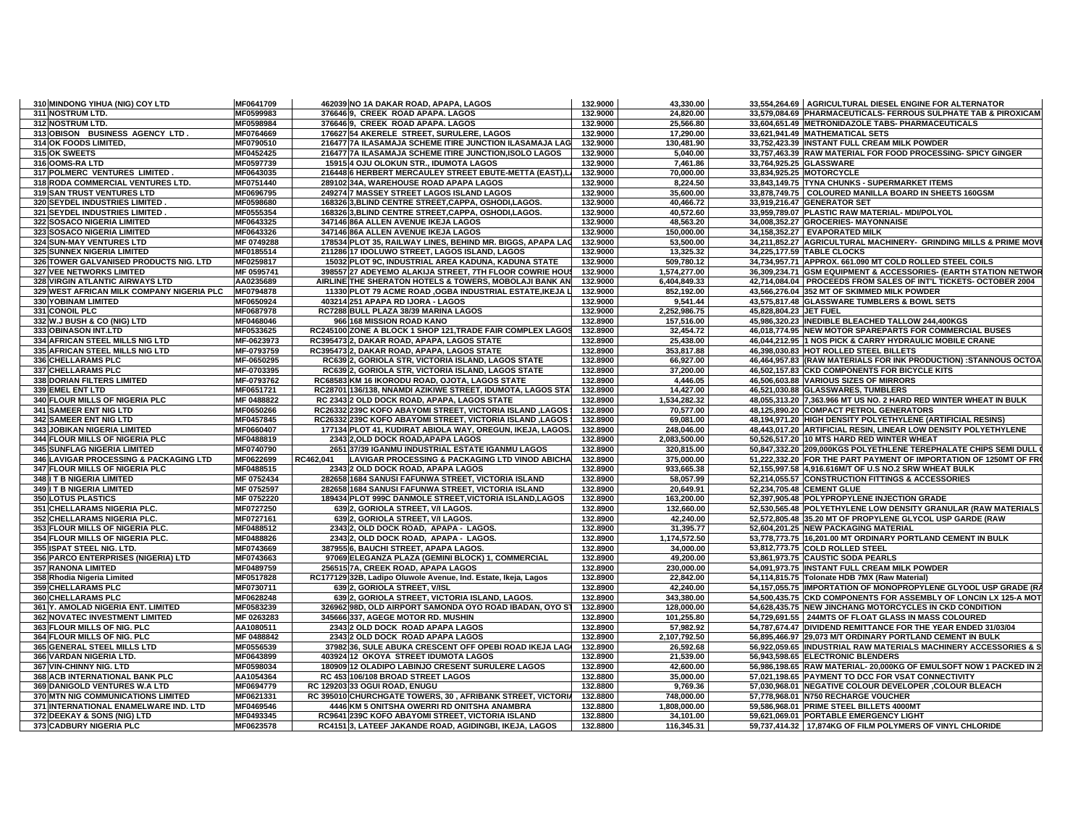| 310 MINDONG YIHUA (NIG) COY LTD           | MF0641709  | 462039 NO 1A DAKAR ROAD, APAPA, LAGOS                          | 132.9000 | 43,330.00    |                         | 33,554,264.69 AGRICULTURAL DIESEL ENGINE FOR ALTERNATOR            |
|-------------------------------------------|------------|----------------------------------------------------------------|----------|--------------|-------------------------|--------------------------------------------------------------------|
| 311 NOSTRUM LTD.                          | MF0599983  | 376646 9, CREEK ROAD APAPA. LAGOS                              | 132.9000 | 24,820.00    |                         | 33,579,084.69 PHARMACEUTICALS- FERROUS SULPHATE TAB & PIROXICAM    |
| 312 NOSTRUM LTD.                          | MF0598984  | 376646 9, CREEK ROAD APAPA. LAGOS                              | 132.9000 | 25,566.80    |                         | 33,604,651.49 METRONIDAZOLE TABS- PHARMACEUTICALS                  |
| 313 OBISON BUSINESS AGENCY LTD.           | MF0764669  | 176627 54 AKERELE STREET, SURULERE, LAGOS                      | 132.9000 | 17,290.00    |                         | 33.621.941.49 MATHEMATICAL SETS                                    |
| 314 OK FOODS LIMITED,                     | MF0790510  | 216477 7A ILASAMAJA SCHEME ITIRE JUNCTION ILASAMAJA LAG        | 132.9000 | 130,481.90   |                         | 33,752,423.39 INSTANT FULL CREAM MILK POWDER                       |
| 315 OK SWEETS                             | MF0452425  | 216477 7A ILASAMAJA SCHEME ITIRE JUNCTION, ISOLO LAGOS         | 132.9000 | 5,040.00     |                         | 33,757,463.39 RAW MATERIAL FOR FOOD PROCESSING- SPICY GINGER       |
| 316 OOMS-RALTD                            | MF0597739  | 15915 4 OJU OLOKUN STR., IDUMOTA LAGOS                         | 132.9000 | 7,461.86     | 33,764,925.25 GLASSWARE |                                                                    |
| 317 POLMERC VENTURES LIMITED              | MF0643035  | 216448 6 HERBERT MERCAULEY STREET EBUTE-METTA (EAST),L         | 132.9000 | 70,000.00    |                         | 33,834,925.25 MOTORCYCLE                                           |
| 318 RODA COMMERCIAL VENTURES LTD.         | MF0751440  | 289102 34A, WAREHOUSE ROAD APAPA LAGOS                         | 132.9000 | 8,224.50     |                         | 33,843,149.75 TYNA CHUNKS - SUPERMARKET ITEMS                      |
| 319 SAN TRUST VENTURES LTD                | MF0696795  | 249274 7 MASSEY STREET LAGOS ISLAND LAGOS                      | 132.9000 | 35,600.00    |                         | 33,878,749.75 COLOURED MANILLA BOARD IN SHEETS 160GSM              |
| 320 SEYDEL INDUSTRIES LIMITED             | MF0598680  | 168326 3, BLIND CENTRE STREET, CAPPA, OSHODI, LAGOS.           | 132.9000 | 40,466.72    |                         | 33,919,216.47 GENERATOR SET                                        |
| 321 SEYDEL INDUSTRIES LIMITED.            | MF0555354  | 168326 3, BLIND CENTRE STREET, CAPPA, OSHODI, LAGOS.           | 132.9000 | 40,572.60    |                         | 33,959,789.07 PLASTIC RAW MATERIAL- MDI/POLYOL                     |
| 322 SOSACO NIGERIA LIMITED                | MF0643325  | 347146 86A ALLEN AVENUE IKEJA LAGOS                            | 132.9000 | 48,563.20    |                         | 34,008,352.27 GROCERIES- MAYONNAISE                                |
| 323 SOSACO NIGERIA LIMITED                | MF0643326  | 347146 86A ALLEN AVENUE IKEJA LAGOS                            | 132.9000 | 150,000.00   |                         | 34,158,352.27 EVAPORATED MILK                                      |
| 324 SUN-MAY VENTURES LTD                  | MF 0749288 | 178534 PLOT 35, RAILWAY LINES, BEHIND MR. BIGGS, APAPA LAC     | 132.9000 | 53,500.00    |                         | 34,211,852.27 AGRICULTURAL MACHINERY- GRINDING MILLS & PRIME MOV   |
| 325 SUNNEX NIGERIA LIMITED                | MF0185514  | 211286 17 IDOLUWO STREET, LAGOS ISLAND, LAGOS                  | 132.9000 | 13,325.32    |                         | 34,225,177.59 TABLE CLOCKS                                         |
| 326 TOWER GALVANISED PRODUCTS NIG. LTD    | MF0259817  | 15032 PLOT 9C, INDUSTRIAL AREA KADUNA, KADUNA STATE            | 132.9000 | 509,780.12   |                         | 34,734,957.71 APPROX. 661.090 MT COLD ROLLED STEEL COILS           |
| 327 VEE NETWORKS LIMITED                  | MF 0595741 | 398557 27 ADEYEMO ALAKIJA STREET, 7TH FLOOR COWRIE HOUS        | 132.9000 | 1,574,277.00 |                         | 36,309,234.71 GSM EQUIPMENT & ACCESSORIES- (EARTH STATION NETWOR   |
| 328 VIRGIN ATLANTIC AIRWAYS LTD           | AA0235689  | AIRLINE THE SHERATON HOTELS & TOWERS, MOBOLAJI BANK AN         | 132.9000 | 6,404,849.33 |                         | 42,714,084.04 PROCEEDS FROM SALES OF INT'L TICKETS- OCTOBER 2004   |
| 329 WEST AFRICAN MILK COMPANY NIGERIA PLC | MF0794878  | 11330 PLOT 79 ACME ROAD , OGBA INDUSTRIAL ESTATE, IKEJA L      | 132.9000 | 852,192.00   |                         | 43,566,276.04 352 MT OF SKIMMED MILK POWDER                        |
| 330 YOBINAM LIMITED                       | MF0650924  | 403214 251 APAPA RD IJORA - LAGOS                              | 132.9000 | 9,541.44     |                         | 43,575,817.48 GLASSWARE TUMBLERS & BOWL SETS                       |
| 331 CONOIL PLC                            | MF0687978  | RC7288 BULL PLAZA 38/39 MARINA LAGOS                           | 132.9000 | 2,252,986.75 | 45.828.804.23 JET FUEL  |                                                                    |
| 332 W.J BUSH & CO (NIG) LTD               | MF0468046  | 966 168 MISSION ROAD KANO                                      | 132.8900 | 157,516.00   |                         | 45,986,320.23 INEDIBLE BLEACHED TALLOW 244,400KGS                  |
| 333 OBINASON INT.LTD                      | MF0533625  | RC245100 ZONE A BLOCK 1 SHOP 121, TRADE FAIR COMPLEX LAGOS     | 132.8900 | 32,454.72    |                         | 46,018,774.95 NEW MOTOR SPAREPARTS FOR COMMERCIAL BUSES            |
| 334 AFRICAN STEEL MILLS NIG LTD           | MF-0623973 | RC395473 2, DAKAR ROAD, APAPA, LAGOS STATE                     | 132.8900 | 25,438.00    |                         | 46,044,212.95 1 NOS PICK & CARRY HYDRAULIC MOBILE CRANE            |
| 335 AFRICAN STEEL MILLS NIG LTD           | MF-0793759 | RC395473 2, DAKAR ROAD, APAPA, LAGOS STATE                     | 132.8900 | 353,817.88   |                         | 46,398,030.83 HOT ROLLED STEEL BILLETS                             |
| 336 CHELLARAMS PLC                        | MF-0650295 | RC639 2, GORIOLA STR, VICTORIA ISLAND, LAGOS STATE             | 132.8900 | 66,927.00    |                         | 46,464,957.83 (RAW MATERIALS FOR INK PRODUCTION) :STANNOUS OCTOA   |
| 337 CHELLARAMS PLC                        | MF-0703395 | RC639 2, GORIOLA STR, VICTORIA ISLAND, LAGOS STATE             | 132.8900 | 37,200.00    |                         | 46,502,157.83 CKD COMPONENTS FOR BICYCLE KITS                      |
| 338 DORIAN FILTERS LIMITED                | MF-0793762 | RC68583 KM 16 IKORODU ROAD, OJOTA, LAGOS STATE                 | 132.8900 | 4,446.05     |                         | 46,506,603.88 VARIOUS SIZES OF MIRRORS                             |
| 339 EMEL ENT LTD                          | MF0651721  | RC28701 136/138, NNAMDI AZIKIWE STREET, IDUMOTA, LAGOS STA1    | 132.8900 | 14,427.00    |                         | 46,521,030.88 GLASSWARES, TUMBLERS                                 |
| 340 FLOUR MILLS OF NIGERIA PLC            | MF 0488822 | RC 2343 2 OLD DOCK ROAD, APAPA, LAGOS STATE                    | 132.8900 | 1,534,282.32 |                         | 48,055,313.20 7,363.966 MT US NO. 2 HARD RED WINTER WHEAT IN BULK  |
| <b>341 SAMEER ENT NIG LTD</b>             | MF0650266  | RC26332 239C KOFO ABAYOMI STREET, VICTORIA ISLAND ,LAGOS       | 132.8900 | 70,577.00    |                         | 48,125,890.20 COMPACT PETROL GENERATORS                            |
| 342 SAMEER ENT NIG LTD                    | MF0457845  | RC26332 239C KOFO ABAYOMI STREET, VICTORIA ISLAND ,LAGOS       | 132.8900 | 69,081.00    |                         | 48,194,971.20 HIGH DENSITY POLYETHYLENE (ARTIFICIAL RESINS)        |
| 343 JOBIKAN NIGERIA LIMITED               | MF0660407  | 177134 PLOT 41, KUDIRAT ABIOLA WAY, OREGUN, IKEJA, LAGOS.      | 132.8900 | 248,046.00   |                         | 48,443,017.20 ARTIFICIAL RESIN, LINEAR LOW DENSITY POLYETHYLENE    |
| 344 FLOUR MILLS OF NIGERIA PLC            | MF0488819  | 2343 2, OLD DOCK ROAD, APAPA LAGOS                             | 132.8900 | 2,083,500.00 |                         | 50,526,517.20 10 MTS HARD RED WINTER WHEAT                         |
| 345 SUNFLAG NIGERIA LIMITED               | MF0740790  | 2651 37/39 IGANMU INDUSTRIAL ESTATE IGANMU LAGOS               | 132.8900 | 320,815.00   |                         | 50,847,332.20 209,000KGS POLYETHLENE TEREPHALATE CHIPS SEMI DULL   |
| 346 LAVIGAR PROCESSING & PACKAGING LTD    | MF0622699  | RC462.041<br>LAVIGAR PROCESSING & PACKAGING LTD VINOD ABICHA   | 132.8900 | 375,000.00   |                         | 51,222,332.20 FOR THE PART PAYMENT OF IMPORTATION OF 1250MT OF FRO |
| 347 FLOUR MILLS OF NIGERIA PLC            | MF0488515  | 2343 2 OLD DOCK ROAD, APAPA LAGOS                              | 132.8900 | 933,665.38   |                         | 52,155,997.58 4,916.616M/T OF U.S NO.2 SRW WHEAT BULK              |
| 348 IT B NIGERIA LIMITED                  | MF 0752434 | 282658 1684 SANUSI FAFUNWA STREET, VICTORIA ISLAND             | 132.8900 | 58,057.99    |                         | 52,214,055.57 CONSTRUCTION FITTINGS & ACCESSORIES                  |
| 349 I T B NIGERIA LIMITED                 | MF 0752597 | 282658 1684 SANUSI FAFUNWA STREET, VICTORIA ISLAND             | 132.8900 | 20,649.91    |                         | 52,234,705.48 CEMENT GLUE                                          |
| 350 LOTUS PLASTICS                        | MF 0752220 | 189434 PLOT 999C DANMOLE STREET, VICTORIA ISLAND, LAGOS        | 132.8900 | 163,200.00   |                         | 52,397,905.48 POLYPROPYLENE INJECTION GRADE                        |
| 351 CHELLARAMS NIGERIA PLC.               | MF0727250  | 639 2, GORIOLA STREET, V/I LAGOS.                              | 132.8900 | 132,660.00   |                         | 52,530,565.48 POLYETHYLENE LOW DENSITY GRANULAR (RAW MATERIALS     |
| 352 CHELLARAMS NIGERIA PLC.               | MF0727161  | 639 2, GORIOLA STREET, V/I LAGOS.                              | 132.8900 | 42,240.00    |                         | 52,572,805.48 35.20 MT OF PROPYLENE GLYCOL USP GARDE (RAW          |
| 353 FLOUR MILLS OF NIGERIA PLC.           | MF0488512  | 2343 2, OLD DOCK ROAD, APAPA - LAGOS.                          | 132.8900 | 31,395.77    |                         | 52,604,201.25 NEW PACKAGING MATERIAL                               |
| 354 FLOUR MILLS OF NIGERIA PLC.           | MF0488826  | 2343 2, OLD DOCK ROAD, APAPA - LAGOS.                          | 132.8900 | 1,174,572.50 |                         | 53,778,773.75 16,201.00 MT ORDINARY PORTLAND CEMENT IN BULK        |
| 355 ISPAT STEEL NIG. LTD.                 | MF0743669  | 387955 6, BAUCHI STREET, APAPA LAGOS.                          | 132.8900 | 34,000.00    |                         | 53,812,773.75 COLD ROLLED STEEL                                    |
| 356 PARCO ENTERPRISES (NIGERIA) LTD       | MF0743663  | 97069 ELEGANZA PLAZA (GEMINI BLOCK) 1, COMMERCIAL              | 132.8900 | 49.200.00    |                         | 53.861.973.75 CAUSTIC SODA PEARLS                                  |
| <b>357 RANONA LIMITED</b>                 | MF0489759  | 256515 7A, CREEK ROAD, APAPA LAGOS                             | 132.8900 | 230,000.00   |                         | 54,091,973.75 INSTANT FULL CREAM MILK POWDER                       |
| 358 Rhodia Nigeria Limited                | MF0517828  | RC177129 32B, Ladipo Oluwole Avenue, Ind. Estate, Ikeja, Lagos | 132.8900 | 22,842.00    |                         | 54,114,815.75 Tolonate HDB 7MX (Raw Material)                      |
| 359 CHELLARAMS PLC                        | MF0730711  | 639 2, GORIOLA STREET, V/ISL                                   | 132.8900 | 42,240.00    |                         | 54,157,055.75 IMPORTATION OF MONOPROPYLENE GLYOOL USP GRADE (R.    |
| 360 CHELLARAMS PLC                        | MF0628248  | 639 2, GORIOLA STREET, VICTORIA ISLAND, LAGOS.                 | 132.8900 | 343,380.00   |                         | 54,500,435.75 CKD COMPONENTS FOR ASSEMBLY OF LONCIN LX 125-A MOT   |
| 361 Y. AMOLAD NIGERIA ENT. LIMITED        | MF0583239  | 326962 98D, OLD AIRPORT SAMONDA OYO ROAD IBADAN, OYO ST        | 132.8900 | 128,000.00   |                         | 54,628,435.75 NEW JINCHANG MOTORCYCLES IN CKD CONDITION            |
| 362 NOVATEC INVESTMENT LIMITED            | MF 0263283 | 345666 337, AGEGE MOTOR RD. MUSHIN                             | 132.8900 | 101,255.80   |                         | 54,729,691.55 244MTS OF FLOAT GLASS IN MASS COLOURED               |
| 363 FLOUR MILLS OF NIG. PLC               | AA1080511  | 2343 2 OLD DOCK ROAD APAPA LAGOS                               | 132.8900 | 57,982.92    |                         | 54,787,674.47 DIVIDEND REMITTANCE FOR THE YEAR ENDED 31/03/04      |
| 364 FLOUR MILLS OF NIG. PLC               | MF 0488842 | 2343 2 OLD DOCK ROAD APAPA LAGOS                               | 132.8900 | 2,107,792.50 |                         | 56,895,466.97 29,073 M/T ORDINARY PORTLAND CEMENT IN BULK          |
| 365 GENERAL STEEL MILLS LTD               | MF0556539  | 37982 36, SULE ABUKA CRESCENT OFF OPEBI ROAD IKEJA LAGI        | 132.8900 | 26,592.68    |                         | 56,922,059.65 INDUSTRIAL RAW MATERIALS MACHINERY ACCESSORIES & S   |
| 366 VARDAN NIGERIA LTD.                   | MF0643899  | 403924 12 OKOYA STREET IDUMOTA LAGOS                           | 132.8900 | 21,539.00    |                         | 56,943,598.65 ELECTRONIC BLENDERS                                  |
| 367 VIN-CHINNY NIG. LTD                   | MF0598034  | 180909 12 OLADIPO LABINJO CRESENT SURULERE LAGOS               | 132.8900 | 42,600.00    |                         | 56,986,198.65 RAW MATERIAL- 20,000KG OF EMULSOFT NOW 1 PACKED IN 2 |
| 368 ACB INTERNATIONAL BANK PLC            | AA1054364  | RC 453 106/108 BROAD STREET LAGOS                              | 132.8800 | 35,000.00    |                         | 57,021,198.65 PAYMENT TO DCC FOR VSAT CONNECTIVITY                 |
| 369 DANIGOLD VENTURES W.A LTD             | MF0694779  | RC 129203 33 OGUI ROAD, ENUGU                                  | 132.8800 | 9,769.36     |                         | 57,030,968.01 NEGATIVE COLOUR DEVELOPER ,COLOUR BLEACH             |
| 370 MTN NIG COMMUNICATIONS LIMITED        | MF0621331  | RC 395010 CHURCHGATE TOWERS, 30, AFRIBANK STREET, VICTORIA     | 132.8800 | 748,000.00   |                         | 57,778,968.01 N750 RECHARGE VOUCHER                                |
| 371 INTERNATIONAL ENAMELWARE IND. LTD     | MF0469546  | 4446 KM 5 ONITSHA OWERRI RD ONITSHA ANAMBRA                    | 132.8800 | 1,808,000.00 |                         | 59.586.968.01 PRIME STEEL BILLETS 4000MT                           |
| 372 DEEKAY & SONS (NIG) LTD               | MF0493345  | RC9641 239C KOFO ABAYOMI STREET, VICTORIA ISLAND               | 132.8800 | 34,101.00    |                         | 59,621,069.01 PORTABLE EMERGENCY LIGHT                             |
| 373 CADBURY NIGERIA PLC                   | MF0623578  | RC4151 3, LATEEF JAKANDE ROAD, AGIDINGBI, IKEJA, LAGOS         | 132.8800 | 116,345.31   |                         | 59,737,414.32 17,874KG OF FILM POLYMERS OF VINYL CHLORIDE          |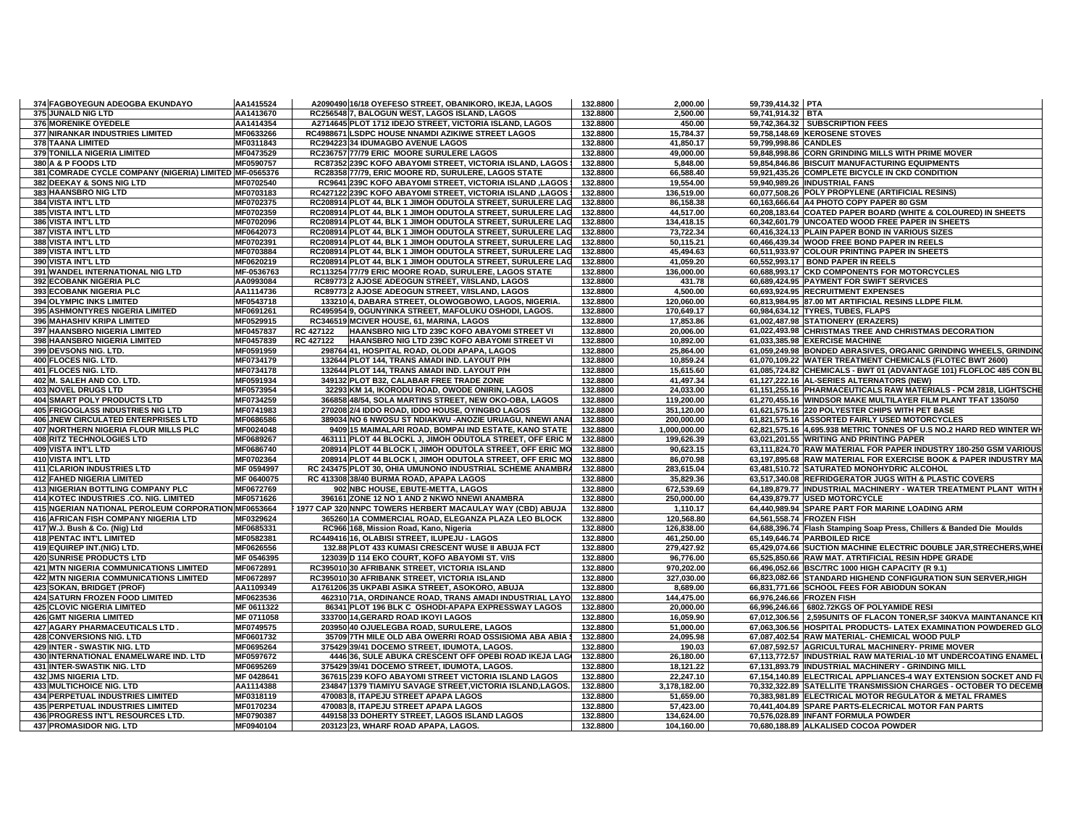| 374 FAGBOYEGUN ADEOGBA EKUNDAYO                                                    | AA1415524              | A2090490 16/18 OYEFESO STREET, OBANIKORO, IKEJA, LAGOS                               | 132.8800             | 2,000.00                 | 59,739,414.32 PTA     |                                                                                                                                       |
|------------------------------------------------------------------------------------|------------------------|--------------------------------------------------------------------------------------|----------------------|--------------------------|-----------------------|---------------------------------------------------------------------------------------------------------------------------------------|
| 375 JUNALD NIG LTD                                                                 | AA1413670              | RC256548 7, BALOGUN WEST, LAGOS ISLAND, LAGOS                                        | 132.8800             | 2,500.00                 | 59,741,914.32 BTA     |                                                                                                                                       |
| 376 MORENIKE OYEDELE                                                               | AA1414354              | A2714645 PLOT 1712 IDEJO STREET, VICTORIA ISLAND, LAGOS                              | 132.8800             | 450.00                   |                       | 59,742,364.32 SUBSCRIPTION FEES                                                                                                       |
| 377 NIRANKAR INDUSTRIES LIMITED                                                    | MF0633266              | RC4988671 LSDPC HOUSE NNAMDI AZIKIWE STREET LAGOS                                    | 132.8800             | 15,784.37                |                       | 59,758,148.69 KEROSENE STOVES                                                                                                         |
| 378 TAANA LIMITED                                                                  | MF0311843              | RC294223 34 IDUMAGBO AVENUE LAGOS                                                    | 132.8800             | 41,850.17                | 59,799,998.86 CANDLES |                                                                                                                                       |
| <b>379 TONILLA NIGERIA LIMITED</b>                                                 | MF0473529              | RC236757 77/79 ERIC MOORE SURULERE LAGOS                                             | 132.8800             | 49.000.00                |                       | 59,848,998.86 CORN GRINDING MILLS WITH PRIME MOVER                                                                                    |
| 380 A & P FOODS LTD                                                                | MF0590757              | RC87352 239C KOFO ABAYOMI STREET, VICTORIA ISLAND, LAGOS 1                           | 132.8800             | 5,848.00                 |                       | 59,854,846.86 BISCUIT MANUFACTURING EQUIPMENTS                                                                                        |
| 381 COMRADE CYCLE COMPANY (NIGERIA) LIMITED MF-0565376                             |                        | RC28358 77/79, ERIC MOORE RD, SURULERE, LAGOS STATE                                  | 132.8800             | 66,588.40                |                       | 59,921,435.26 COMPLETE BICYCLE IN CKD CONDITION                                                                                       |
| 382 DEEKAY & SONS NIG LTD                                                          | MF0702540              | RC9641 239C KOFO ABAYOMI STREET, VICTORIA ISLAND ,LAGOS                              | 132.8800             | 19,554.00                |                       | 59,940,989.26 INDUSTRIAL FANS                                                                                                         |
| 383 HAANSBRO NIG LTD                                                               | MF0703183              | RC427122 239C KOFO ABAYOMI STREET, VICTORIA ISLAND ,LAGOS !                          | 132.8800             | 136,519.00               |                       | 60,077,508.26 POLY PROPYLENE (ARTIFICIAL RESINS)                                                                                      |
| 384 VISTA INT'L LTD                                                                | MF0702375              | RC208914 PLOT 44, BLK 1 JIMOH ODUTOLA STREET, SURULERE LAG                           | 132.8800             | 86,158.38                |                       | 60,163,666.64 A4 PHOTO COPY PAPER 80 GSM                                                                                              |
| 385 VISTA INT'L LTD                                                                | MF0702359              | RC208914 PLOT 44, BLK 1 JIMOH ODUTOLA STREET, SURULERE LAG                           | 132.8800             | 44,517.00                |                       | 60,208,183.64 COATED PAPER BOARD (WHITE & COLOURED) IN SHEETS                                                                         |
| 386 VISTA INT'L LTD                                                                | MF0702096              | RC208914 PLOT 44, BLK 1 JIMOH ODUTOLA STREET, SURULERE LAG                           | 132.8800             | 134,418.15               |                       | 60,342,601.79 UNCOATED WOOD FREE PAPER IN SHEETS                                                                                      |
| 387 VISTA INT'L LTD                                                                | MF0642073              | RC208914 PLOT 44, BLK 1 JIMOH ODUTOLA STREET, SURULERE LAG                           | 132.8800             | 73,722.34                |                       | 60,416,324.13 PLAIN PAPER BOND IN VARIOUS SIZES                                                                                       |
| 388 VISTA INT'L LTD                                                                | MF0702391              | RC208914 PLOT 44, BLK 1 JIMOH ODUTOLA STREET, SURULERE LAG                           | 132.8800             | 50,115.21                |                       | 60,466,439.34 WOOD FREE BOND PAPER IN REELS                                                                                           |
| <b>389 VISTA INT'L LTD</b>                                                         | MF0703884              | RC208914 PLOT 44, BLK 1 JIMOH ODUTOLA STREET, SURULERE LAG                           | 132.8800             | 45,494.63                |                       | 60,511,933.97 COLOUR PRINTING PAPER IN SHEETS                                                                                         |
| 390 VISTA INT'L LTD                                                                | MF0620219              | RC208914 PLOT 44, BLK 1 JIMOH ODUTOLA STREET, SURULERE LAG                           | 132.8800             | 41,059.20                |                       | 60,552,993.17 BOND PAPER IN REELS                                                                                                     |
| 391 WANDEL INTERNATIONAL NIG LTD                                                   | MF-0536763             | RC113254 77/79 ERIC MOORE ROAD, SURULERE, LAGOS STATE                                | 132.8800             | 136,000.00               |                       | 60,688,993.17 CKD COMPONENTS FOR MOTORCYCLES                                                                                          |
| 392 ECOBANK NIGERIA PLC                                                            | AA0993084              | RC89773 2 AJOSE ADEOGUN STREET, V/ISLAND, LAGOS                                      | 132.8800             | 431.78                   |                       | 60,689,424.95 PAYMENT FOR SWIFT SERVICES                                                                                              |
| 393 ECOBANK NIGERIA PLC                                                            | AA1114736              | RC89773 2 AJOSE ADEOGUN STREET, V/ISLAND, LAGOS                                      | 132.8800             | 4,500.00                 |                       | 60,693,924.95 RECRUITMENT EXPENSES                                                                                                    |
| 394 OLYMPIC INKS LIMITED                                                           | MF0543718              | 133210 4, DABARA STREET, OLOWOGBOWO, LAGOS, NIGERIA.                                 | 132.8800             | 120,060.00               |                       | 60,813,984.95 87.00 MT ARTIFICIAL RESINS LLDPE FILM.                                                                                  |
| <b>395 ASHMONTYRES NIGERIA LIMITED</b>                                             | MF0691261              | RC495954 9. OGUNYINKA STREET. MAFOLUKU OSHODI. LAGOS.                                | 132.8800             | 170,649.17               |                       | 60.984.634.12 TYRES. TUBES. FLAPS                                                                                                     |
| 396 MAHASHIV KRIPA LIMITED                                                         | MF0529915              | RC346519 MCIVER HOUSE, 61, MARINA, LAGOS                                             | 132.8800             | 17,853.86                |                       | 61,002,487.98 STATIONERY (ERAZERS)                                                                                                    |
| 397 HAANSBRO NIGERIA LIMITED                                                       | MF0457837              | RC 427122<br>HAANSBRO NIG LTD 239C KOFO ABAYOMI STREET VI                            | 132.8800             | 20,006.00                |                       | 61,022,493.98 CHRISTMAS TREE AND CHRISTMAS DECORATION                                                                                 |
| 398 HAANSBRO NIGERIA LIMITED                                                       | MF0457839              | RC 427122<br>HAANSBRO NIG LTD 239C KOFO ABAYOMI STREET VI                            | 132.8800             | 10,892.00                |                       | 61,033,385.98 EXERCISE MACHINE                                                                                                        |
| 399 DEVSONS NIG. LTD.                                                              | MF0591959              | 298764 41, HOSPITAL ROAD, OLODI APAPA, LAGOS                                         | 132.8800             | 25,864.00                |                       | 61,059,249.98 BONDED ABRASIVES, ORGANIC GRINDING WHEELS, GRINDING                                                                     |
| 400 FLOCES NIG. LTD.                                                               | MF0734179              | 132644 PLOT 144, TRANS AMADI IND. LAYOUT P/H                                         | 132.8800             | 10,859.24                |                       | 61,070,109.22 WATER TREATMENT CHEMICALS (FLOTEC BWT 2600)                                                                             |
| 401 FLOCES NIG. LTD.                                                               | MF0734178              | 132644 PLOT 144, TRANS AMADI IND. LAYOUT P/H                                         | 132.8800             | 15,615.60                |                       | 61,085,724.82 CHEMICALS - BWT 01 (ADVANTAGE 101) FLOFLOC 485 CON BI                                                                   |
| 402 M. SALEH AND CO. LTD.                                                          | MF0591934              | 349132 PLOT B32, CALABAR FREE TRADE ZONE                                             | 132.8800             | 41,497.34                |                       | 61,127,222.16 AL-SERIES ALTERNATORS (NEW)                                                                                             |
| 403 NOVEL DRUGS LTD                                                                | MF0573954              | 32293 KM 14, IKORODU ROAD, OWODE ONIRIN, LAGOS                                       | 132.8800             | 24,033.00                |                       | 61,151,255.16 PHARMACEUTICALS RAW MATERIALS - PCM 2818, LIGHTSCHE                                                                     |
| 404 SMART POLY PRODUCTS LTD                                                        | MF0734259              | 366858 48/54, SOLA MARTINS STREET, NEW OKO-OBA, LAGOS                                | 132.8800             | 119,200.00               |                       | 61,270,455.16 WINDSOR MAKE MULTILAYER FILM PLANT TFAT 1350/50                                                                         |
| 405 FRIGOGLASS INDUSTRIES NIG LTD                                                  | MF0741983              | 270208 2/4 IDDO ROAD, IDDO HOUSE, OYINGBO LAGOS                                      | 132.8800             | 351,120.00               |                       | 61,621,575.16 220 POLYESTER CHIPS WITH PET BASE                                                                                       |
| 406 JNEW CIRCULATED ENTERPRISES LTD                                                | MF0686586              | 389034 NO 6 NWOSU ST NDIAKWU - ANOZIE URUAGU, NNEWI ANAI                             | 132.8800             | 200,000.00               |                       | 61,821,575.16 ASSORTED FAIRLY USED MOTORCYCLES                                                                                        |
| 407 NORTHERN NIGERIA FLOUR MILLS PLC                                               | MF0024048              | 9409 15 MAIMALARI ROAD, BOMPAI IND ESTATE, KANO STATE                                | 132.8800             | 1,000,000.00             |                       | 62,821,575.16 4,695.938 METRIC TONNES OF U.S NO.2 HARD RED WINTER WH                                                                  |
| <b>408 RITZ TECHNOLOGIES LTD</b>                                                   | MF0689267              | 463111 PLOT 44 BLOCKL J, JIMOH ODUTOLA STREET, OFF ERIC M                            | 132.8800             | 199,626.39               |                       | 63,021,201.55 WRITING AND PRINTING PAPER                                                                                              |
| 409 VISTA INT'L LTD                                                                | MF0686740              | 208914 PLOT 44 BLOCK I, JIMOH ODUTOLA STREET, OFF ERIC MO                            | 132.8800             | 90,623.15                |                       | 63,111,824.70 RAW MATERIAL FOR PAPER INDUSTRY 180-250 GSM VARIOUS                                                                     |
| 410 VISTA INT'L LTD                                                                | MF0702364              | 208914 PLOT 44 BLOCK I, JIMOH ODUTOLA STREET, OFF ERIC MO                            | 132.8800             | 86,070.98                |                       | 63,197,895.68 RAW MATERIAL FOR EXERCISE BOOK & PAPER INDUSTRY MA                                                                      |
| 411 CLARION INDUSTRIES LTD                                                         | MF 0594997             | RC 243475 PLOT 30, OHIA UMUNONO INDUSTRIAL SCHEME ANAMBRA                            | 132.8800             | 283,615.04               |                       | 63,481,510.72 SATURATED MONOHYDRIC ALCOHOL                                                                                            |
| <b>412 FAHED NIGERIA LIMITED</b>                                                   | MF 0640075             | RC 413308 38/40 BURMA ROAD, APAPA LAGOS                                              | 132.8800             | 35,829.36                |                       | 63,517,340.08 REFRIDGERATOR JUGS WITH & PLASTIC COVERS                                                                                |
| 413 NIGERIAN BOTTLING COMPANY PLC                                                  | MF0672769              | 902 NBC HOUSE, EBUTE-METTA, LAGOS                                                    | 132.8800             | 672,539.69               |                       | 64,189,879.77 INDUSTRIAL MACHINERY - WATER TREATMENT PLANT WITH                                                                       |
| 414 KOTEC INDUSTRIES .CO. NIG. LIMITED                                             | MF0571626              | 396161 ZONE 12 NO 1 AND 2 NKWO NNEWI ANAMBRA                                         | 132.8800             | 250,000.00               |                       | 64,439,879.77 USED MOTORCYCLE                                                                                                         |
| 415 NGERIAN NATIONAL PEROLEUM CORPORATION MF0653664                                |                        | 1977 CAP 320 NNPC TOWERS HERBERT MACAULAY WAY (CBD) ABUJA                            | 132.8800             | 1,110.17                 |                       | 64,440,989.94 SPARE PART FOR MARINE LOADING ARM                                                                                       |
| 416 AFRICAN FISH COMPANY NIGERIA LTD                                               | MF0329624              | 365260 1A COMMERCIAL ROAD, ELEGANZA PLAZA LEO BLOCK                                  | 132.8800             | 120,568.80               |                       | 64,561,558.74 FROZEN FISH                                                                                                             |
| 417 W.J. Bush & Co. (Nig) Ltd                                                      | MF0685331              | RC966 168, Mission Road, Kano, Nigeria                                               | 132.8800             | 126,838.00               |                       | 64,688,396.74 Flash Stamping Soap Press, Chillers & Banded Die Moulds                                                                 |
| <b>418 PENTAC INT'L LIMITED</b>                                                    | MF0582381              | RC449416 16, OLABISI STREET, ILUPEJU - LAGOS                                         | 132.8800             | 461,250.00               |                       | 65,149,646.74 PARBOILED RICE                                                                                                          |
| 419 EQUIREP INT.(NIG) LTD.                                                         | MF0626556              | 132.88 PLOT 433 KUMASI CRESCENT WUSE II ABUJA FCT                                    | 132.8800             | 279,427.92               |                       | 65,429,074.66 SUCTION MACHINE ELECTRIC DOUBLE JAR, STRECHERS, WHE                                                                     |
| <b>420 SUNRISE PRODUCTS LTD</b>                                                    | MF 0546395             | 123039 D 114 EKO COURT. KOFO ABAYOMI ST. V/IS                                        | 132.8800             | 96,776.00                |                       | 65.525.850.66 RAW MAT, ATRTIFICIAL RESIN HDPE GRADE                                                                                   |
| 421 MTN NIGERIA COMMUNICATIONS LIMITED                                             | MF0672891              | RC395010 30 AFRIBANK STREET, VICTORIA ISLAND                                         | 132.8800             | 970,202.00               |                       | 66,496,052.66 BSC/TRC 1000 HIGH CAPACITY (R 9.1)                                                                                      |
| <b>422 MTN NIGERIA COMMUNICATIONS LIMITED</b>                                      | MF0672897              | RC395010 30 AFRIBANK STREET, VICTORIA ISLAND                                         | 132.8800             | 327,030.00               |                       | 66,823,082.66 STANDARD HIGHEND CONFIGURATION SUN SERVER, HIGH                                                                         |
| 423 SOKAN, BRIDGET (PROF)                                                          | AA1109349              | A1761206 35 UKPABI ASIKA STREET, ASOKORO, ABUJA                                      | 132.8800             | 8,689.00                 |                       | 66,831,771.66 SCHOOL FEES FOR ABIODUN SOKAN                                                                                           |
| <b>424 SATURN FROZEN FOOD LIMITED</b>                                              | MF0623536              | 462310 71A, ORDINANCE ROAD, TRANS AMADI INDUSTRIAL LAYO                              | 132.8800             | 144,475.00               |                       | 66,976,246.66 FROZEN FISH                                                                                                             |
| <b>425 CLOVIC NIGERIA LIMITED</b>                                                  | MF 0611322             | 86341 PLOT 196 BLK C OSHODI-APAPA EXPRESSWAY LAGOS                                   | 132.8800             | 20,000.00                |                       | 66,996,246.66 6802.72KGS OF POLYAMIDE RESI                                                                                            |
| <b>426 GMT NIGERIA LIMITED</b>                                                     | MF 0711058             | 333700 14, GERARD ROAD IKOYI LAGOS                                                   | 132.8800             | 16,059.90                |                       | 67,012,306.56 2,595UNITS OF FLACON TONER, SF 340KVA MAINTANANCE KIT                                                                   |
| 427 AGARY PHARMACEUTICALS LTD                                                      | MF0749575              | 203950 40 OJUELEGBA ROAD, SURULERE, LAGOS                                            | 132.8800             | 51,000.00                |                       | 67,063,306.56 HOSPITAL PRODUCTS- LATEX EXAMINATION POWDERED GLO                                                                       |
| 428 CONVERSIONS NIG. LTD                                                           | MF0601732              | 35709 7TH MILE OLD ABA OWERRI ROAD OSSISIOMA ABA ABIA \$                             | 132.8800             | 24,095.98                |                       | 67,087,402.54 RAW MATERIAL- CHEMICAL WOOD PULP                                                                                        |
| 429 INTER - SWASTIK NIG. LTD                                                       | MF0695264              | 375429 39/41 DOCEMO STREET, IDUMOTA, LAGOS.                                          | 132.8800             | 190.03                   |                       | 67,087,592.57 AGRICULTURAL MACHINERY- PRIME MOVER                                                                                     |
| 430 INTERNATIONAL ENAMELWARE IND. LTD                                              | MF0597672              | 4446 36, SULE ABUKA CRESCENT OFF OPEBI ROAD IKEJA LAGI                               | 132.8800             | 26,180.00                |                       | 67,113,772.57 INDUSTRIAL RAW MATERIAL-10 MT UNDERCOATING ENAMEL                                                                       |
| 431 INTER-SWASTIK NIG. LTD                                                         | MF0695269              | 375429 39/41 DOCEMO STREET, IDUMOTA, LAGOS.                                          | 132.8800             | 18,121.22                |                       | 67,131,893.79 INDUSTRIAL MACHINERY - GRINDING MILL                                                                                    |
| 432 JMS NIGERIA LTD.                                                               | MF 0428641             | 367615 239 KOFO ABAYOMI STREET VICTORIA ISLAND LAGOS                                 | 132.8800             | 22,247.10                |                       | 67,154,140.89 ELECTRICAL APPLIANCES-4 WAY EXTENSION SOCKET AND FI<br>70,332,322.89 SATELLITE TRANSMISSION CHARGES - OCTOBER TO DECEME |
| 433 MULTICHOICE NIG. LTD                                                           | AA1114388              | 234847 1379 TIAMIYU SAVAGE STREET, VICTORIA ISLAND, LAGOS.                           | 132.8800             | 3,178,182.00             |                       |                                                                                                                                       |
| <b>434 PERPETUAL INDUSTRIES LIMITED</b><br><b>435 PERPETUAL INDUSTRIES LIMITED</b> | MF0318119              | 470083 8, ITAPEJU STREET APAPA LAGOS                                                 | 132.8800             | 51,659.00                |                       | 70,383,981.89 ELECTRICAL MOTOR REGULATOR & METAL FRAMES                                                                               |
| 436 PROGRESS INT'L RESOURCES LTD.                                                  | MF0170234<br>MF0790387 | 470083 8, ITAPEJU STREET APAPA LAGOS<br>449158 33 DOHERTY STREET, LAGOS ISLAND LAGOS | 132.8800             | 57,423.00                |                       | 70,441,404.89 SPARE PARTS-ELECRICAL MOTOR FAN PARTS<br>70,576,028.89 INFANT FORMULA POWDER                                            |
| 437 PROMASIDOR NIG. LTD                                                            | MF0940104              | 203123 23, WHARF ROAD APAPA, LAGOS.                                                  | 132.8800<br>132.8800 | 134,624.00<br>104,160.00 |                       | 70,680,188.89 ALKALISED COCOA POWDER                                                                                                  |
|                                                                                    |                        |                                                                                      |                      |                          |                       |                                                                                                                                       |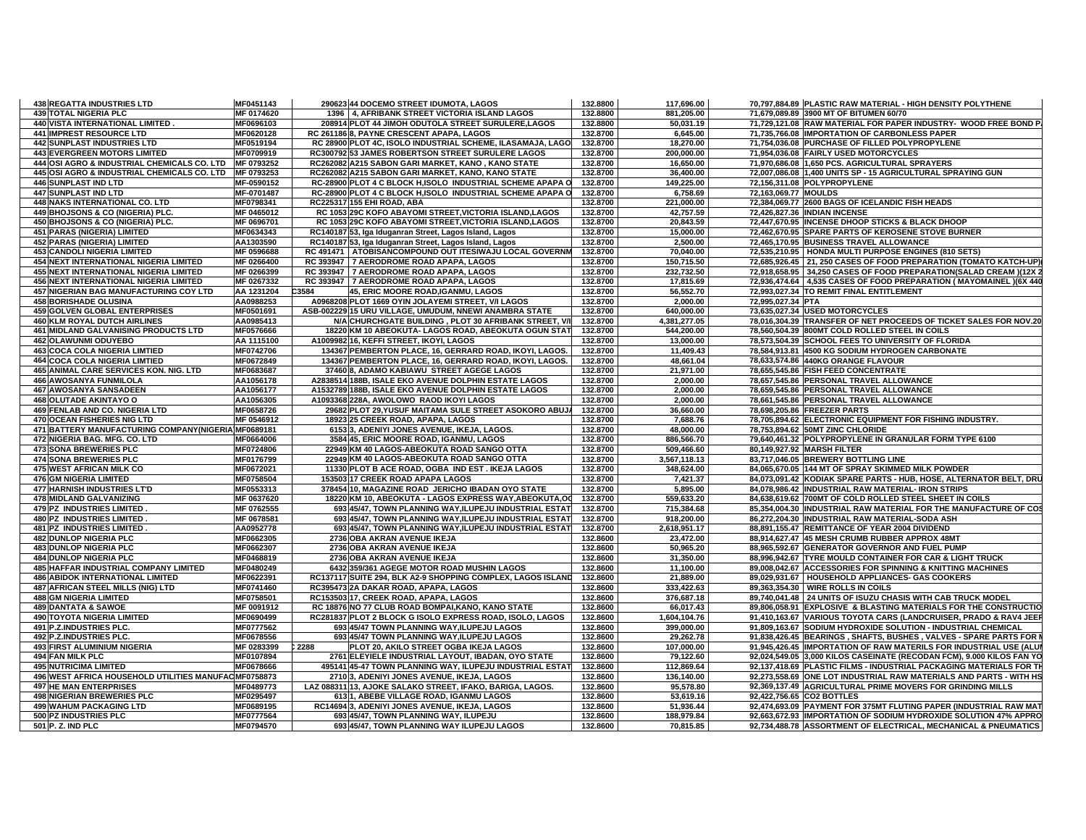| <b>438 REGATTA INDUSTRIES LTD</b>                     | MF0451143  | 290623 44 DOCEMO STREET IDUMOTA, LAGOS                      | 132.8800 | 117,696.00   |                      | 70,797,884.89 PLASTIC RAW MATERIAL - HIGH DENSITY POLYTHENE            |
|-------------------------------------------------------|------------|-------------------------------------------------------------|----------|--------------|----------------------|------------------------------------------------------------------------|
| <b>439 TOTAL NIGERIA PLC</b>                          | MF 0174620 | 1396 4, AFRIBANK STREET VICTORIA ISLAND LAGOS               | 132.8800 | 881,205.00   |                      | 71,679,089.89 3900 MT OF BITUMEN 60/70                                 |
| 440 VISTA INTERNATIONAL LIMITED.                      | MF0696103  | 208914 PLOT 44 JIMOH ODUTOLA STREET SURULERE, LAGOS         | 132.8800 | 50,031.19    |                      | 71,729,121.08 RAW MATERIAL FOR PAPER INDUSTRY- WOOD FREE BOND P        |
| 441 IMPREST RESOURCE LTD                              | MF0620128  | RC 261186 8, PAYNE CRESCENT APAPA, LAGOS                    | 132.8700 | 6,645.00     |                      | 71,735,766.08 IMPORTATION OF CARBONLESS PAPER                          |
| 442 SUNPLAST INDUSTRIES LTD                           | MF0519194  | RC 28900 PLOT 4C, ISOLO INDUSTRIAL SCHEME, ILASAMAJA, LAGO  | 132.8700 | 18,270.00    |                      | 71,754,036.08 PURCHASE OF FILLED POLYPROPYLENE                         |
| <b>443 EVERGREEN MOTORS LIMITED</b>                   | MF0709919  | RC300792 53 JAMES ROBERTSON STREET SURULERE LAGOS           | 132.8700 | 200,000.00   |                      | 71,954,036.08 FAIRLY USED MOTORCYCLES                                  |
| 444 OSI AGRO & INDUSTRIAL CHEMICALS CO. LTD           | MF 0793252 | RC262082 A215 SABON GARI MARKET, KANO, KANO STATE           | 132.8700 | 16,650.00    |                      | 71,970,686.08 1,650 PCS. AGRICULTURAL SPRAYERS                         |
| 445 OSI AGRO & INDUSTRIAL CHEMICALS CO. LTD           | MF 0793253 | RC262082 A215 SABON GARI MARKET, KANO, KANO STATE           | 132.8700 | 36,400.00    |                      | 72,007,086.08 1,400 UNITS SP - 15 AGRICULTURAL SPRAYING GUN            |
| 446 SUNPLAST IND LTD                                  | MF-0590152 | RC-28900 PLOT 4 C BLOCK H, ISOLO INDUSTRIAL SCHEME APAPA O  | 132.8700 | 149,225.00   |                      | 72,156,311.08 POLYPROPYLENE                                            |
| 447 SUNPLAST IND LTD                                  | MF-0701487 | RC-28900 PLOT 4 C BLOCK H, ISOLO INDUSTRIAL SCHEME APAPA O  | 132.8700 | 6,758.69     | 72,163,069.77 MOULDS |                                                                        |
| <b>448 NAKS INTERNATIONAL CO. LTD</b>                 | MF0798341  | RC225317 155 EHI ROAD, ABA                                  | 132.8700 | 221,000.00   |                      | 72,384,069.77 2600 BAGS OF ICELANDIC FISH HEADS                        |
| 449 BHOJSONS & CO (NIGERIA) PLC.                      | MF 0465012 | RC 1053 29C KOFO ABAYOMI STREET, VICTORIA ISLAND, LAGOS     | 132.8700 | 42,757.59    |                      | 72,426,827.36 INDIAN INCENSE                                           |
| 450 BHOJSONS & CO (NIGERIA) PLC.                      | MF 0696701 | RC 1053 29C KOFO ABAYOMI STREET, VICTORIA ISLAND, LAGOS     | 132.8700 | 20,843.59    |                      | 72,447,670.95 INCENSE DHOOP STICKS & BLACK DHOOP                       |
| 451 PARAS (NIGERIA) LIMITED                           | MF0634343  | RC140187 53, Iga Iduganran Street, Lagos Island, Lagos      | 132.8700 | 15,000.00    |                      | 72,462,670.95 SPARE PARTS OF KEROSENE STOVE BURNER                     |
| 452 PARAS (NIGERIA) LIMITED                           | AA1303590  | RC140187 53, Iga Iduganran Street, Lagos Island, Lagos      | 132.8700 | 2,500.00     |                      | 72,465,170.95 BUSINESS TRAVEL ALLOWANCE                                |
| <b>453 CANDOLI NIGERIA LIMITED</b>                    | MF 0596688 | RC 491471   ATOBISANCOMPOUND OUT ITESIWAJU LOCAL GOVERNM    | 132.8700 | 70,040.00    |                      | 72,535,210.95   HONDA MULTI PURPOSE ENGINES (810 SETS)                 |
| 454 NEXT INTERNATIONAL NIGERIA LIMITED                | MF 0266400 | RC 393947 7 AERODROME ROAD APAPA, LAGOS                     | 132.8700 | 150,715.50   |                      | 72,685,926.45 21, 250 CASES OF FOOD PREPARATION (TOMATO KATCH-UP)      |
| <b>455 NEXT INTERNATIONAL NIGERIA LIMITED</b>         | MF 0266399 | RC 393947 7 AERODROME ROAD APAPA, LAGOS                     | 132.8700 | 232,732.50   |                      | 72,918,658.95 34,250 CASES OF FOOD PREPARATION(SALAD CREAM )(12X       |
| <b>456 NEXT INTERNATIONAL NIGERIA LIMITED</b>         | MF 0267332 | RC 393947 7 AERODROME ROAD APAPA, LAGOS                     | 132.8700 | 17,815.69    |                      | 72,936,474.64   4,535 CASES OF FOOD PREPARATION ( MAYOMAINEL ) (6X 440 |
| 457 NIGERIAN BAG MANUFACTURING COY LTD                | AA 1231204 | C3584<br>45, ERIC MOORE ROAD, IGANMU, LAGOS                 | 132.8700 | 56,552.70    |                      | 72,993,027.34 TO REMIT FINAL ENTITLEMENT                               |
| <b>458 BORISHADE OLUSINA</b>                          | AA0988253  | A0968208 PLOT 1669 OYIN JOLAYEMI STREET, V/I LAGOS          | 132.8700 | 2,000.00     | 72,995,027.34 PTA    |                                                                        |
| <b>459 GOLVEN GLOBAL ENTERPRISES</b>                  | MF0501691  | ASB-002229 15 URU VILLAGE, UMUDUM, NNEWI ANAMBRA STATE      | 132.8700 | 640,000.00   |                      | 73,635,027.34 USED MOTORCYCLES                                         |
| <b>460 KLM ROYAL DUTCH AIRLINES</b>                   | AA0985413  | N/A CHURCHGATE BUILDING, PLOT 30 AFRIBANK STREET, V/I       | 132.8700 | 4,381,277.05 |                      | 78,016,304.39 TRANSFER OF NET PROCEEDS OF TICKET SALES FOR NOV.20      |
| 461 MIDLAND GALVANISING PRODUCTS LTD                  | MF0576666  | 18220 KM 10 ABEOKUTA- LAGOS ROAD, ABEOKUTA OGUN STAT        | 132.8700 | 544,200.00   |                      | 78,560,504.39 800MT COLD ROLLED STEEL IN COILS                         |
| 462 OLAWUNMI ODUYEBO                                  | AA 1115100 | A1009982 16, KEFFI STREET, IKOYI, LAGOS                     | 132.8700 | 13,000.00    |                      | 78,573,504.39 SCHOOL FEES TO UNIVERSITY OF FLORIDA                     |
|                                                       |            |                                                             |          |              |                      |                                                                        |
| <b>463 COCA COLA NIGERIA LIMTIED</b>                  | MF0742706  | 134367 PEMBERTON PLACE, 16, GERRARD ROAD, IKOYI, LAGOS.     | 132.8700 | 11.409.43    |                      | 78,584,913.81 4500 KG SODIUM HYDROGEN CARBONATE                        |
| <b>464 COCA COLA NIGERIA LIMTIED</b>                  | MF0672849  | 134367 PEMBERTON PLACE, 16, GERRARD ROAD, IKOYI, LAGOS.     | 132.8700 | 48,661.04    |                      | 78,633,574.86 440KG ORANGE FLAVOUR                                     |
| 465 ANIMAL CARE SERVICES KON. NIG. LTD                | MF0683687  | 37460 8, ADAMO KABIAWU STREET AGEGE LAGOS                   | 132.8700 | 21,971.00    |                      | 78,655,545.86 FISH FEED CONCENTRATE                                    |
| 466 AWOSANYA FUNMILOLA                                | AA1056178  | A2838514 188B, ISALE EKO AVENUE DOLPHIN ESTATE LAGOS        | 132.8700 | 2,000.00     |                      | 78,657,545.86 PERSONAL TRAVEL ALLOWANCE                                |
| <b>467 AWOSANYA SANSADEEN</b>                         | AA1056177  | A1532789 188B, ISALE EKO AVENUE DOLPHIN ESTATE LAGOS        | 132.8700 | 2,000.00     |                      | 78,659,545.86 PERSONAL TRAVEL ALLOWANCE                                |
| 468 OLUTADE AKINTAYO O                                | AA1056305  | A1093368 228A, AWOLOWO RAOD IKOYI LAGOS                     | 132.8700 | 2,000.00     |                      | 78,661,545.86 PERSONAL TRAVEL ALLOWANCE                                |
| 469 FENLAB AND CO. NIGERIA LTD                        | MF0658726  | 29682 PLOT 29, YUSUF MAITAMA SULE STREET ASOKORO ABUJA      | 132.8700 | 36,660.00    |                      | 78,698,205.86 FREEZER PARTS                                            |
| 470 OCEAN FISHERIES NIG LTD                           | MF 0546912 | 18923 25 CREEK ROAD, APAPA, LAGOS                           | 132.8700 | 7,688.76     |                      | 78,705,894.62 ELECTRONIC EQUIPMENT FOR FISHING INDUSTRY.               |
| 471 BATTERY MANUFACTURING COMPANY(NIGERIA MF0689181   |            | 6153 3, ADENIYI JONES AVENUE, IKEJA, LAGOS.                 | 132.8700 | 48,000.00    |                      | 78,753,894.62 50MT ZINC CHLORIDE                                       |
| 472 NIGERIA BAG. MFG. CO. LTD                         | MF0664006  | 3584 45, ERIC MOORE ROAD, IGANMU, LAGOS                     | 132.8700 | 886,566.70   |                      | 79,640,461.32 POLYPROPYLENE IN GRANULAR FORM TYPE 6100                 |
| <b>473 SONA BREWERIES PLC</b>                         | MF0724806  | 22949 KM 40 LAGOS-ABEOKUTA ROAD SANGO OTTA                  | 132.8700 | 509,466.60   |                      | 80,149,927.92 MARSH FILTER                                             |
| <b>474 SONA BREWERIES PLC</b>                         | MF0176799  | 22949 KM 40 LAGOS-ABEOKUTA ROAD SANGO OTTA                  | 132.8700 | 3,567,118.13 |                      | 83,717,046.05 BREWERY BOTTLING LINE                                    |
| 475 WEST AFRICAN MILK CO                              | MF0672021  | 11330 PLOT B ACE ROAD, OGBA IND EST. IKEJA LAGOS            | 132.8700 | 348,624.00   |                      | 84,065,670.05 144 MT OF SPRAY SKIMMED MILK POWDER                      |
| <b>476 GM NIGERIA LIMITED</b>                         | MF0758504  | 153503 17 CREEK ROAD APAPA LAGOS                            | 132.8700 | 7,421.37     |                      | 84,073,091.42 KODIAK SPARE PARTS - HUB, HOSE, ALTERNATOR BELT, DRU     |
| 477 HARNISH INDUSTRIES LT'D                           | MF0553313  | 378454 10, MAGAZINE ROAD JERICHO IBADAN OYO STATE           | 132.8700 | 5,895.00     |                      | 84,078,986.42 INDUSTRIAL RAW MATERIAL- IRON STRIPS                     |
| 478 MIDLAND GALVANIZING                               | MF 0637620 | 18220 KM 10, ABEOKUTA - LAGOS EXPRESS WAY, ABEOKUTA, OC     | 132.8700 | 559,633.20   |                      | 84,638,619.62 700MT OF COLD ROLLED STEEL SHEET IN COILS                |
| <b>479 PZ INDUSTRIES LIMITED</b>                      | MF 0762555 | 693 45/47. TOWN PLANNING WAY ILUPEJU INDUSTRIAL ESTAT       | 132.8700 | 715.384.68   |                      | 85.354.004.30 INDUSTRIAL RAW MATERIAL FOR THE MANUFACTURE OF COS       |
| <b>480 PZ INDUSTRIES LIMITED</b>                      | MF 0678581 | 693 45/47, TOWN PLANNING WAY, ILUPEJU INDUSTRIAL ESTAT      | 132.8700 | 918,200.00   |                      | 86,272,204.30 INDUSTRIAL RAW MATERIAL-SODA ASH                         |
| <b>481 PZ INDUSTRIES LIMITED</b>                      | AA0952778  | 693 45/47, TOWN PLANNING WAY, ILUPEJU INDUSTRIAL ESTAT      | 132.8700 | 2,618,951.17 |                      | 88.891.155.47 REMITTANCE OF YEAR 2004 DIVIDEND                         |
| <b>482 DUNLOP NIGERIA PLC</b>                         | MF0662305  | 2736 OBA AKRAN AVENUE IKEJA                                 | 132.8600 | 23,472.00    |                      | 88,914,627.47 45 MESH CRUMB RUBBER APPROX 48MT                         |
| <b>483 DUNLOP NIGERIA PLC</b>                         | MF0662307  | 2736 OBA AKRAN AVENUE IKEJA                                 | 132.8600 | 50,965.20    |                      | 88,965,592.67 GENERATOR GOVERNOR AND FUEL PUMP                         |
| <b>484 DUNLOP NIGERIA PLC</b>                         | MF0468819  | 2736 OBA AKRAN AVENUE IKEJA                                 | 132.8600 | 31,350.00    |                      | 88,996,942.67 TYRE MOULD CONTAINER FOR CAR & LIGHT TRUCK               |
| 485 HAFFAR INDUSTRIAL COMPANY LIMITED                 | MF0480249  | 6432 359/361 AGEGE MOTOR ROAD MUSHIN LAGOS                  | 132.8600 | 11,100.00    |                      | 89,008,042.67 ACCESSORIES FOR SPINNING & KNITTING MACHINES             |
| <b>486 ABIDOK INTERNATIONAL LIMITED</b>               | MF0622391  | RC137117 SUITE 294, BLK A2-9 SHOPPING COMPLEX, LAGOS ISLAND | 132.8600 | 21,889.00    |                      | 89,029,931.67 HOUSEHOLD APPLIANCES- GAS COOKERS                        |
| 487 AFRICAN STEEL MILLS (NIG) LTD                     | MF0741460  | RC395473 2A DAKAR ROAD, APAPA, LAGOS                        | 132.8600 | 333,422.63   |                      | 89,363,354.30 WIRE ROLLS IN COILS                                      |
| <b>488 GM NIGERIA LIMITED</b>                         | MF0758501  | RC153503 17, CREEK ROAD, APAPA, LAGOS                       | 132.8600 | 376,687.18   |                      | 89.740.041.48 24 UNITS OF ISUZU CHASIS WITH CAB TRUCK MODEL            |
| <b>489 DANTATA &amp; SAWOE</b>                        | MF 0091912 | RC 18876 NO 77 CLUB ROAD BOMPAI, KANO, KANO STATE           | 132.8600 | 66,017.43    |                      | 89,806,058.91 EXPLOSIVE & BLASTING MATERIALS FOR THE CONSTRUCTIO       |
| <b>490 TOYOTA NIGERIA LIMITED</b>                     | MF0690499  | RC281837 PLOT 2 BLOCK G ISOLO EXPRESS ROAD, ISOLO, LAGOS    | 132.8600 | 1,604,104.76 |                      | 91,410,163.67 VARIOUS TOYOTA CARS (LANDCRUISER, PRADO & RAV4 JEEP      |
| 491 P.Z.INDUSTRIES PLC.                               | MF0777562  | 693 45/47 TOWN PLANNING WAY, ILUPEJU LAGOS                  | 132.8600 | 399,000.00   |                      | 91,809,163.67 SODIUM HYDROXIDE SOLUTION - INDUSTRIAL CHEMICAL          |
| 492 P.Z.INDUSTRIES PLC.                               | MF0678556  | 693 45/47 TOWN PLANNING WAY, ILUPEJU LAGOS                  | 132.8600 | 29,262.78    |                      | 91,838,426.45 BEARINGS, SHAFTS, BUSHES, VALVES - SPARE PARTS FOR       |
| 493 FIRST ALUMINIUM NIGERIA                           | MF 0283399 | 2288<br>PLOT 20, AKILO STREET OGBA IKEJA LAGOS              | 132.8600 | 107,000.00   |                      | 91,945,426.45 IMPORTATION OF RAW MATERILS FOR INDUSTRIAL USE (ALU      |
| 494 FAN MILK PLC                                      | MF0107894  | 2761 ELEYIELE INDUSTRIAL LAYOUT, IBADAN, OYO STATE          | 132.8600 | 79,122.60    |                      | 92,024,549.05 3,000 KILOS CASEINATE (RECODAN FCM), 9.000 KILOS FAN YO  |
| <b>495 NUTRICIMA LIMITED</b>                          | MF0678666  | 495141 45-47 TOWN PLANNING WAY, ILUPEJU INDUSTRIAL ESTAT    | 132.8600 | 112,869.64   |                      | 92,137,418.69 PLASTIC FILMS - INDUSTRIAL PACKAGING MATERIALS FOR TI    |
| 496 WEST AFRICA HOUSEHOLD UTILITIES MANUFAC MF0758873 |            | 2710 3, ADENIYI JONES AVENUE, IKEJA, LAGOS                  | 132.8600 | 136,140.00   |                      | 92,273,558.69 ONE LOT INDUSTRIAL RAW MATERIALS AND PARTS - WITH HS     |
| <b>497 HE MAN ENTERPRISES</b>                         | MF0489773  | LAZ 088311 13, AJOKE SALAKO STREET, IFAKO, BARIGA, LAGOS.   | 132.8600 | 95,578.80    |                      | 92,369,137.49 AGRICULTURAL PRIME MOVERS FOR GRINDING MILLS             |
| <b>498 NIGERIAN BREWERIES PLC</b>                     | MF0295497  | 613 1, ABEBE VILLAGE ROAD, IGANMU LAGOS                     | 132.8600 | 53,619.16    |                      | 92,422,756.65 CO2 BOTTLES                                              |
| 499 WAHUM PACKAGING LTD                               | MF0689195  | RC14694 3, ADENIYI JONES AVENUE, IKEJA, LAGOS               | 132.8600 | 51,936.44    |                      | 92,474,693.09 PAYMENT FOR 375MT FLUTING PAPER (INDUSTRIAL RAW MAT      |
| 500 PZ INDUSTRIES PLC                                 | MF0777564  | 693 45/47, TOWN PLANNING WAY, ILUPEJU                       | 132.8600 | 188,979.84   |                      | 92,663,672.93 IMPORTATION OF SODIUM HYDROXIDE SOLUTION 47% APPRO       |
| 501 P. Z. IND PLC                                     | MF0794570  | 693 45/47. TOWN PLANNING WAY ILUPEJU LAGOS                  | 132.8600 | 70.815.85    |                      | 92,734,488.78 ASSORTMENT OF ELECTRICAL, MECHANICAL & PNEUMATICS        |
|                                                       |            |                                                             |          |              |                      |                                                                        |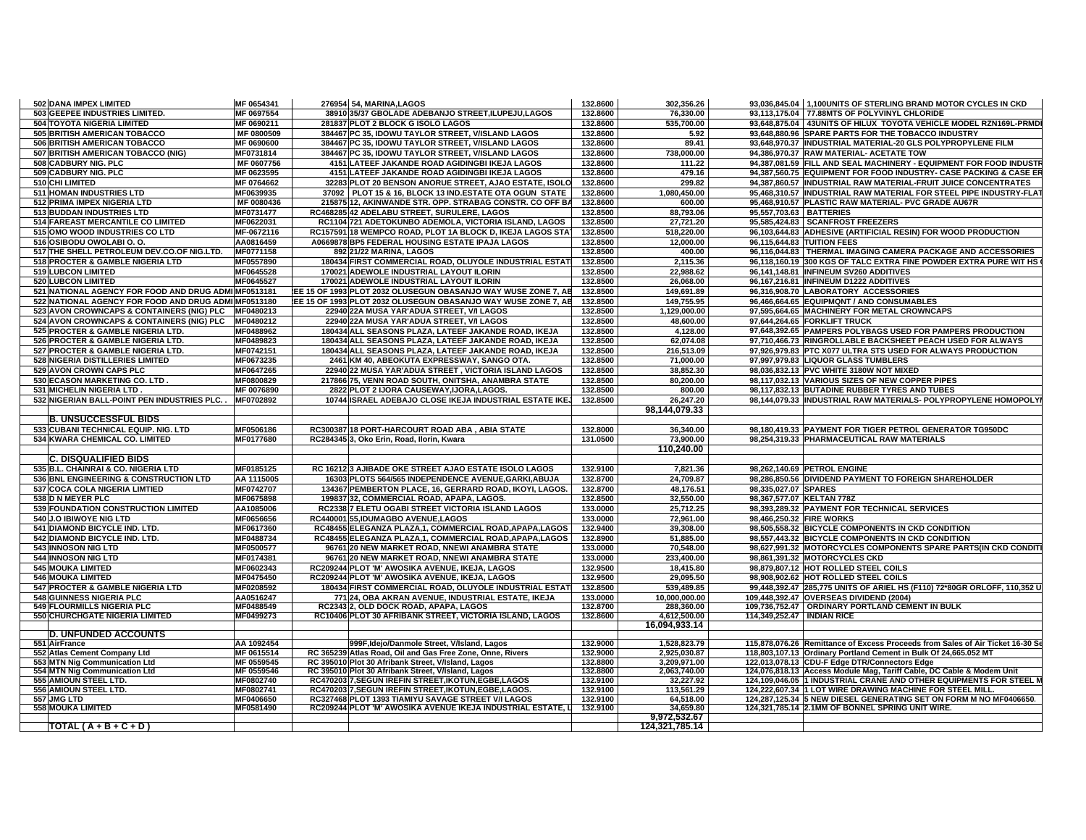| 502 DANA IMPEX LIMITED                                 | MF 0654341             | 276954 54, MARINA, LAGOS                                                                    | 132.8600             | 302,356.26                     | 93,036,845.04   1,100UNITS OF STERLING BRAND MOTOR CYCLES IN CKD                             |
|--------------------------------------------------------|------------------------|---------------------------------------------------------------------------------------------|----------------------|--------------------------------|----------------------------------------------------------------------------------------------|
| 503 GEEPEE INDUSTRIES LIMITED.                         | MF 0697554             | 38910 35/37 GBOLADE ADEBANJO STREET, ILUPEJU, LAGOS                                         | 132.8600             | 76,330.00                      | 93,113,175.04 77.88MTS OF POLYVINYL CHLORIDE                                                 |
| 504 TOYOTA NIGERIA LIMITED                             | MF 0690211             | 281837 PLOT 2 BLOCK G ISOLO LAGOS                                                           | 132.8600             | 535,700.00                     | 93,648,875.04   43UNITS OF HILUX TOYOTA VEHICLE MODEL RZN169L-PRMD                           |
| 505 BRITISH AMERICAN TOBACCO                           | MF 0800509             | 384467 PC 35, IDOWU TAYLOR STREET, V/ISLAND LAGOS                                           | 132.8600             | 5.92                           | 93,648,880.96 SPARE PARTS FOR THE TOBACCO INDUSTRY                                           |
| 506 BRITISH AMERICAN TOBACCO                           | MF 0690600             | 384467 PC 35, IDOWU TAYLOR STREET, V/ISLAND LAGOS                                           | 132.8600             | 89.41                          | 93,648,970.37 INDUSTRIAL MATERIAL-20 GLS POLYPROPYLENE FILM                                  |
| 507 BRITISH AMERICAN TOBACCO (NIG)                     | MF0731814              | 384467 PC 35, IDOWU TAYLOR STREET, V/ISLAND LAGOS                                           | 132.8600             | 738,000.00                     | 94,386,970.37 RAW MATERIAL- ACETATE TOW                                                      |
| 508 CADBURY NIG. PLC                                   | MF 0607756             | 4151 LATEEF JAKANDE ROAD AGIDINGBI IKEJA LAGOS                                              | 132.8600             | 111.22                         | 94,387,081.59 FILL AND SEAL MACHINERY - EQUIPMENT FOR FOOD INDUSTI                           |
| 509 CADBURY NIG. PLC                                   | MF 0623595             | 4151 LATEEF JAKANDE ROAD AGIDINGBI IKEJA LAGOS                                              | 132.8600             | 479.16                         | 94,387,560.75 EQUIPMENT FOR FOOD INDUSTRY- CASE PACKING & CASE EF                            |
| 510 CHI LIMITED                                        | MF 0764662             | 32283 PLOT 20 BENSON ANORUE STREET, AJAO ESTATE, ISOLO                                      | 132.8600             | 299.82                         | 94,387,860.57 INDUSTRIAL RAW MATERIAL-FRUIT JUICE CONCENTRATES                               |
| 511 HOMAN INDUSTRIES LTD                               | MF0639935              | 37092 PLOT 15 & 16, BLOCK 13 IND.ESTATE OTA OGUN STATE                                      | 132.8600             | 1,080,450.00                   | 95,468,310.57 INDUSTRIAL RAW MATERIAL FOR STEEL PIPE INDUSTRY-FLAT                           |
| 512 PRIMA IMPEX NIGERIA LTD                            | MF 0080436             | 215875 12, AKINWANDE STR. OPP. STRABAG CONSTR. CO OFF BA                                    | 132.8600             | 600.00                         | 95,468,910.57 PLASTIC RAW MATERIAL- PVC GRADE AU67R                                          |
| 513 BUDDAN INDUSTRIES LTD                              | MF0731477              | RC468285 42 ADELABU STREET, SURULERE, LAGOS                                                 | 132.8500             | 88,793.06                      | 95,557,703.63 BATTERIES                                                                      |
| 514 FAREAST MERCANTILE CO LIMITED                      | MF0622031              | RC1104 721 ADETOKUNBO ADEMOLA, VICTORIA ISLAND, LAGOS                                       | 132.8500             | 27,721.20                      | 95,585,424.83 SCANFROST FREEZERS                                                             |
| 515 OMO WOOD INDUSTRIES CO LTD                         | MF-0672116             | RC157591 18 WEMPCO ROAD, PLOT 1A BLOCK D, IKEJA LAGOS STA                                   | 132.8500             | 518,220.00                     | 96,103,644.83 ADHESIVE (ARTIFICIAL RESIN) FOR WOOD PRODUCTION                                |
| 516 OSIBODU OWOLABI O.O.                               | AA0816459              | A0669878 BP5 FEDERAL HOUSING ESTATE IPAJA LAGOS                                             | 132.8500             | 12,000.00                      | 96.115.644.83 TUITION FEES                                                                   |
| 517 THE SHELL PETROLEUM DEV.CO.OF NIG.LTD.             | MF0771158              | 892 21/22 MARINA, LAGOS                                                                     | 132.8500             | 400.00                         | 96,116,044.83 THERMAL IMAGING CAMERA PACKAGE AND ACCESSORIES                                 |
| 518 PROCTER & GAMBLE NIGERIA LTD                       | MF0557890              | 180434 FIRST COMMERCIAL ROAD, OLUYOLE INDUSTRIAL ESTAT                                      | 132.8500             | 2,115.36                       | 96,118,160.19 300 KGS OF TALC EXTRA FINE POWDER EXTRA PURE WIT HS                            |
| 519 LUBCON LIMITED                                     | MF0645528              | 170021 ADEWOLE INDUSTRIAL LAYOUT ILORIN                                                     | 132.8500             | 22,988.62                      | 96,141,148.81 INFINEUM SV260 ADDITIVES                                                       |
| <b>520 LUBCON LIMITED</b>                              | MF0645527              | 170021 ADEWOLE INDUSTRIAL LAYOUT ILORIN                                                     | 132.8500             | 26,068.00                      | 96.167.216.81 INFINEUM D1222 ADDITIVES                                                       |
| 521 NATIONAL AGENCY FOR FOOD AND DRUG ADMI MF0513181   |                        | LEE 15 OF 1993 PLOT 2032 OLUSEGUN OBASANJO WAY WUSE ZONE 7, AB                              | 132.8500             | 149,691.89                     | 96,316,908.70 LABORATORY ACCESSORIES                                                         |
| 522 NATIONAL AGENCY FOR FOOD AND DRUG ADMI MF0513180   |                        | LEE 15 OF 1993 PLOT 2032 OLUSEGUN OBASANJO WAY WUSE ZONE 7, AB                              | 132.8500             | 149,755.95                     | 96,466,664.65 EQUIPMONT / AND CONSUMABLES                                                    |
| 523 AVON CROWNCAPS & CONTAINERS (NIG) PLC              | MF0480213              | 22940 22A MUSA YAR'ADUA STREET. V/I LAGOS                                                   | 132.8500             | 1,129,000.00                   | 97,595,664.65 MACHINERY FOR METAL CROWNCAPS                                                  |
| 524 AVON CROWNCAPS & CONTAINERS (NIG) PLC              | MF0480212              | 22940 22A MUSA YAR'ADUA STREET, V/I LAGOS                                                   | 132.8500             | 48,600.00                      | 97,644,264.65 FORKLIFT TRUCK                                                                 |
| 525 PROCTER & GAMBLE NIGERIA LTD.                      | MF0488962              | 180434 ALL SEASONS PLAZA, LATEEF JAKANDE ROAD, IKEJA                                        | 132.8500             | 4,128.00                       | 97,648,392.65 PAMPERS POLYBAGS USED FOR PAMPERS PRODUCTION                                   |
| 526 PROCTER & GAMBLE NIGERIA LTD.                      | MF0489823              | 180434 ALL SEASONS PLAZA, LATEEF JAKANDE ROAD, IKEJA                                        | 132.8500             | 62,074.08                      | 97,710,466.73 RINGROLLABLE BACKSHEET PEACH USED FOR ALWAYS                                   |
| 527 PROCTER & GAMBLE NIGERIA LTD.                      | MF0742151              | 180434 ALL SEASONS PLAZA, LATEEF JAKANDE ROAD, IKEJA                                        | 132.8500             | 216,513.09                     | 97,926,979.83 PTC X077 ULTRA STS USED FOR ALWAYS PRODUCTION                                  |
| 528 NIGERIA DISTILLERIES LIMITED                       | MF0673235              | 2461 KM 40, ABEOKUTA EXPRESSWAY, SANGO OTA.                                                 | 132.8500             | 71,000.00                      | 97,997,979.83 LIQUOR GLASS TUMBLERS                                                          |
| 529 AVON CROWN CAPS PLC                                | MF0647265              | 22940 22 MUSA YAR'ADUA STREET, VICTORIA ISLAND LAGOS                                        | 132.8500             | 38,852.30                      | 98,036,832.13 PVC WHITE 3180W NOT MIXED                                                      |
| 530 ECASON MARKETING CO. LTD.                          | MF0800829              | 217866 75, VENN ROAD SOUTH, ONITSHA, ANAMBRA STATE                                          | 132.8500             | 80,200.00                      | 98,117,032.13 VARIOUS SIZES OF NEW COPPER PIPES                                              |
| 531 MICHELIN NIGERIA LTD.                              | MF 0076890             | 2822 PLOT 2 IJORA CAUSEWAY, IJORA, LAGOS.                                                   | 132.8500             | 800.00                         | 98,117,832.13 BUTADINE RUBBER TYRES AND TUBES                                                |
| 532 NIGERIAN BALL-POINT PEN INDUSTRIES PLC             | MF0702892              | 10744 ISRAEL ADEBAJO CLOSE IKEJA INDUSTRIAL ESTATE IKEJ                                     | 132.8500             | 26.247.20                      | 98.144.079.33 INDUSTRIAL RAW MATERIALS- POLYPROPYLENE HOMOPOLY                               |
|                                                        |                        |                                                                                             |                      | 98,144,079.33                  |                                                                                              |
| <b>B. UNSUCCESSFUL BIDS</b>                            |                        |                                                                                             |                      |                                |                                                                                              |
| 533 CUBANI TECHNICAL EQUIP. NIG. LTD                   | MF0506186              | RC300387 18 PORT-HARCOURT ROAD ABA, ABIA STATE                                              | 132,8000             | 36.340.00                      | 98.180.419.33 PAYMENT FOR TIGER PETROL GENERATOR TG950DC                                     |
| 534 KWARA CHEMICAL CO. LIMITED                         | MF0177680              | RC284345 3. Oko Erin, Road, Ilorin, Kwara                                                   | 131.0500             | 73.900.00                      | 98.254.319.33 PHARMACEUTICAL RAW MATERIALS                                                   |
|                                                        |                        |                                                                                             |                      | 110,240.00                     |                                                                                              |
| <b>C. DISQUALIFIED BIDS</b>                            |                        |                                                                                             |                      |                                |                                                                                              |
| 535 B.L. CHAINRAI & CO. NIGERIA LTD                    | MF0185125              | RC 16212 3 AJIBADE OKE STREET AJAO ESTATE ISOLO LAGOS                                       | 132.9100             | 7,821.36                       | 98,262,140.69 PETROL ENGINE                                                                  |
| 536 BNL ENGINEERING & CONSTRUCTION LTD                 | AA 1115005             | 16303 PLOTS 564/565 INDEPENDENCE AVENUE, GARKI, ABUJA                                       | 132.8700             | 24,709.87                      | 98,286,850.56 DIVIDEND PAYMENT TO FOREIGN SHAREHOLDER                                        |
| 537 COCA COLA NIGERIA LIMTIED                          | MF0742707              | 134367 PEMBERTON PLACE, 16, GERRARD ROAD, IKOYI, LAGOS.                                     | 132.8700             | 48,176.51                      | 98,335,027.07 SPARES                                                                         |
| 538 D N MEYER PLC                                      | MF0675898              | 199837 32, COMMERCIAL ROAD, APAPA, LAGOS.                                                   | 132.8500             | 32,550.00                      | 98,367,577.07 KELTAN 778Z                                                                    |
| 539 FOUNDATION CONSTRUCTION LIMITED                    | AA1085006              | RC2338 7 ELETU OGABI STREET VICTORIA ISLAND LAGOS                                           | 133.0000             | 25,712.25                      | 98,393,289.32 PAYMENT FOR TECHNICAL SERVICES                                                 |
| 540 J.O IBIWOYE NIG LTD                                | MF0656656              | RC440001 55,IDUMAGBO AVENUE,LAGOS                                                           | 133.0000             | 72,961.00                      | 98,466,250.32 FIRE WORKS                                                                     |
| 541 DIAMOND BICYCLE IND. LTD.                          | MF0617360              | RC48455 ELEGANZA PLAZA,1, COMMERCIAL ROAD, APAPA, LAGOS                                     | 132.9400             | 39,308.00                      | 98,505,558.32 BICYCLE COMPONENTS IN CKD CONDITION                                            |
| 542 DIAMOND BICYCLE IND. LTD.                          | MF0488734              | RC48455 ELEGANZA PLAZA,1, COMMERCIAL ROAD, APAPA, LAGOS                                     | 132.8900             | 51,885.00                      | 98,557,443.32 BICYCLE COMPONENTS IN CKD CONDITION                                            |
| 543 INNOSON NIG LTD                                    | MF0500577              | 96761 20 NEW MARKET ROAD, NNEWI ANAMBRA STATE                                               | 133.0000             | 70,548.00                      | 98,627,991.32 MOTORCYCLES COMPONENTS SPARE PARTS(IN CKD CONDIT                               |
| 544 INNOSON NIG LTD                                    | MF0174381              | 96761 20 NEW MARKET ROAD, NNEWI ANAMBRA STATE                                               | 133.0000             | 233,400.00                     | 98,861,391.32 MOTORCYCLES CKD                                                                |
| <b>545 MOUKA LIMITED</b>                               | MF0602343              | RC209244 PLOT 'M' AWOSIKA AVENUE, IKEJA, LAGOS                                              | 132.9500             | 18,415.80                      | 98,879,807.12 HOT ROLLED STEEL COILS                                                         |
| <b>546 MOUKA LIMITED</b>                               | MF0475450              | RC209244 PLOT 'M' AWOSIKA AVENUE, IKEJA, LAGOS                                              | 132.9500             | 29,095.50                      | 98,908,902.62 HOT ROLLED STEEL COILS                                                         |
| 547 PROCTER & GAMBLE NIGERIA LTD                       | MF0208592              | 180434 FIRST COMMERCIAL ROAD, OLUYOLE INDUSTRIAL ESTAT                                      | 132.8500             | 539,489.85                     | 99,448,392.47 285,775 UNITS OF ARIEL HS (F110) 72*80GR ORLOFF, 110,352 U                     |
| 548 GUINNESS NIGERIA PLC<br>549 FLOURMILLS NIGERIA PLC | AA0516247<br>MF0488549 | 771 24, OBA AKRAN AVENUE, INDUSTRIAL ESTATE, IKEJA<br>RC2343 2, OLD DOCK ROAD, APAPA, LAGOS | 133.0000<br>132.8700 | 10,000,000.00<br>288,360.00    | 109,448,392.47 OVERSEAS DIVIDEND (2004)<br>109,736,752.47   ORDINARY PORTLAND CEMENT IN BULK |
| 550 CHURCHGATE NIGERIA LIMITED                         | MF0499273              | RC10406 PLOT 30 AFRIBANK STREET, VICTORIA ISLAND, LAGOS                                     | 132.8600             | 4,612,500.00                   | 114,349,252.47   INDIAN RICE                                                                 |
|                                                        |                        |                                                                                             |                      | 16,094,933.14                  |                                                                                              |
| <b>D. UNFUNDED ACCOUNTS</b>                            |                        |                                                                                             |                      |                                |                                                                                              |
| 551 AirFrance                                          | AA 1092454             | 999F, Idejo/Danmole Street, V/Island, Lagos                                                 | 132.9000             | 1,528,823.79                   | 115,878,076.26 Remittance of Excess Proceeds from Sales of Air Ticket 16-30 Se               |
| 552 Atlas Cement Company Ltd                           | MF 0615514             | RC 365239 Atlas Road, Oil and Gas Free Zone, Onne, Rivers                                   | 132.9000             | 2,925,030.87                   | 118,803,107.13 Ordinary Portland Cement in Bulk Of 24,665.052 MT                             |
| 553 MTN Nig Communication Ltd                          | MF 0559545             | RC 395010 Plot 30 Afribank Street, V/Island, Lagos                                          | 132.8800             | 3,209,971.00                   | 122,013,078.13 CDU-F Edge DTR/Connectors Edge                                                |
| 554 MTN Nig Communication Ltd                          | MF 0559546             | RC 395010 Plot 30 Afribank Street, V/Island, Lagos                                          | 132.8800             | 2,063,740.00                   | 124,076,818.13 Access Module Mag, Tariff Cable, DC Cable & Modem Unit                        |
| 555 AMIOUN STEEL LTD.                                  | MF0802740              | RC470203 7, SEGUN IREFIN STREET, IKOTUN, EGBE, LAGOS                                        | 132.9100             | 32,227.92                      | 124,109,046.05 1 INDUSTRIAL CRANE AND OTHER EQUIPMENTS FOR STEEL M                           |
| 556 AMIOUN STEEL LTD.                                  | MF0802741              | RC470203 7.SEGUN IREFIN STREET.IKOTUN.EGBE.LAGOS.                                           | 132.9100             | 113,561.29                     | 124.222.607.34 1 LOT WIRE DRAWING MACHINE FOR STEEL MILL.                                    |
| 557 JMG LTD                                            | MF0406650              | RC327468 PLOT 1393 TIAMIYU SAVAGE STREET V/I LAGOS                                          | 132.9100             | 64,518.00                      | 124,287,125.34 5 NEW DIESEL GENERATING SET ON FORM M NO MF0406650.                           |
| <b>558 MOUKA LIMITED</b>                               | MF0581490              | RC209244 PLOT 'M' AWOSIKA AVENUE IKEJA INDUSTRIAL ESTATE, L                                 | 132.9100             | 34,659.80                      | 124,321,785.14 2.1MM OF BONNEL SPRING UNIT WIRE.                                             |
|                                                        |                        |                                                                                             |                      | 9,972,532.67<br>124,321,785.14 |                                                                                              |
| $\overline{[TOTAL(A+B+C+D)]}$                          |                        |                                                                                             |                      |                                |                                                                                              |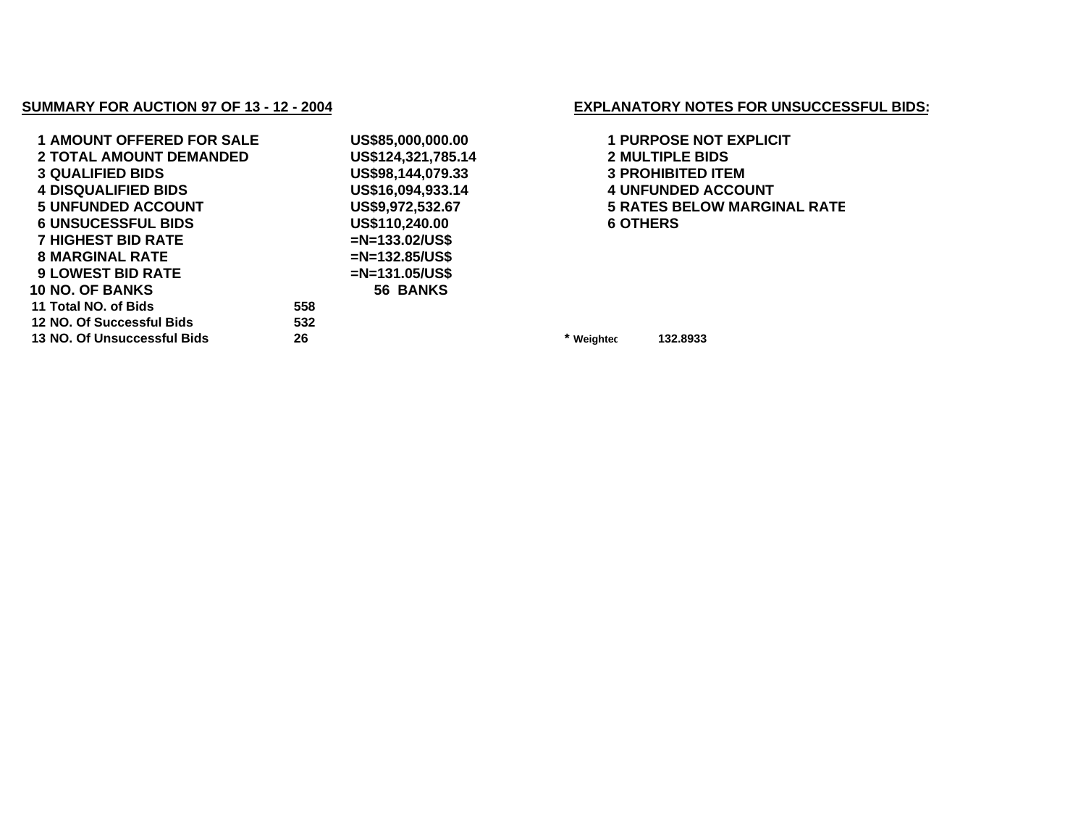## **SUMMARY FOR AUCTION 97 OF 13 - 12 - 2004**

| <b>1 AMOUNT OFFERED FOR SALE</b> | US\$85,000,000.00  |         |
|----------------------------------|--------------------|---------|
| <b>2 TOTAL AMOUNT DEMANDED</b>   | US\$124,321,785.14 |         |
| <b>3 QUALIFIED BIDS</b>          | US\$98,144,079.33  |         |
| <b>4 DISQUALIFIED BIDS</b>       | US\$16,094,933.14  |         |
| <b>5 UNFUNDED ACCOUNT</b>        | US\$9,972,532.67   |         |
| <b>6 UNSUCESSFUL BIDS</b>        | US\$110,240.00     |         |
| <b>7 HIGHEST BID RATE</b>        | $=N=133.02/US$ \$  |         |
| <b>8 MARGINAL RATE</b>           | $=N=132.85/US$ \$  |         |
| <b>9 LOWEST BID RATE</b>         | $=N=131.05/US$ \$  |         |
| <b>10 NO. OF BANKS</b>           | 56 BANKS           |         |
| 11 Total NO. of Bids             | 558                |         |
| 12 NO. Of Successful Bids        | 532                |         |
| 13 NO. Of Unsuccessful Bids      | 26                 | $\star$ |

## **EXPLANATORY NOTES FOR UNSUCCESSFUL BIDS:**

 **US\$85,000,000.00 1 PURPOSE NOT EXPLICIT TOTAL AMOUNT DEMANDED US\$124,321,785.14 2 MULTIPLE BIDS QUALIFIED BIDS US\$98,144,079.33 3 PROHIBITED ITEM UNFUNDED ACCOUNT US\$9,972,532.67 5 RATES BELOW MARGINAL RATE** OTHERS

**Weighted 132.8933**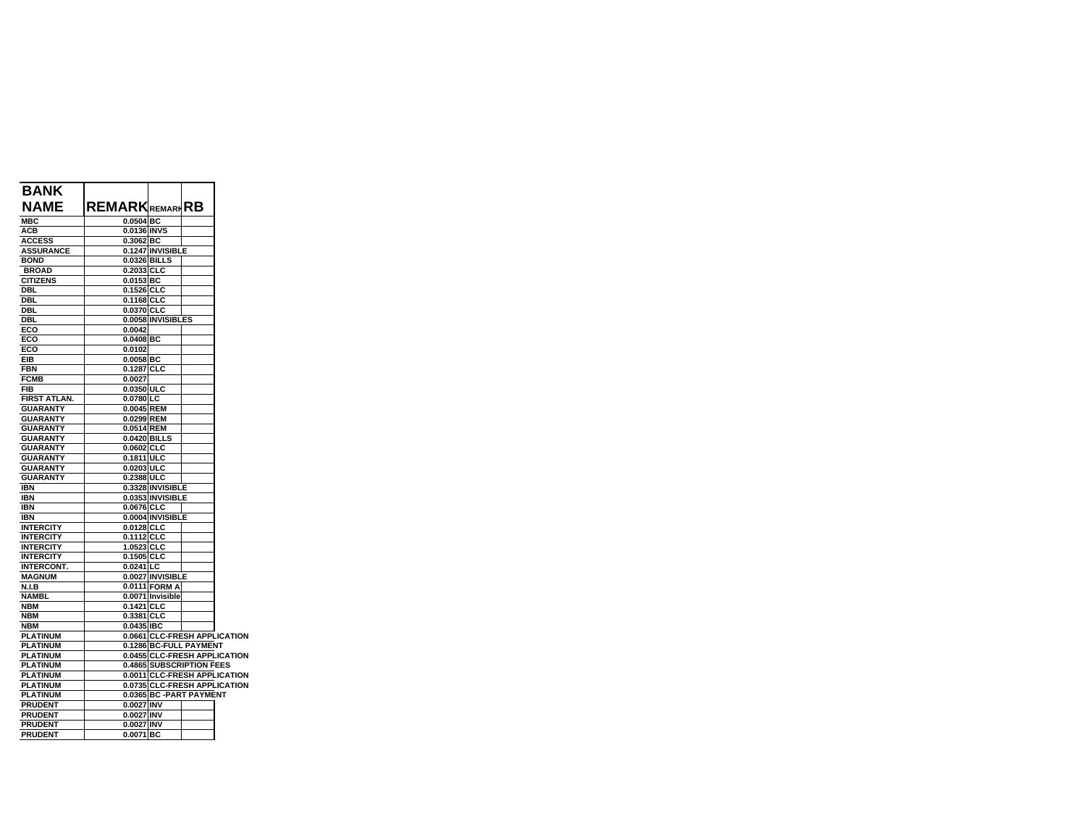| <b>BANK</b>         |                        |                   |                          |                              |
|---------------------|------------------------|-------------------|--------------------------|------------------------------|
| NAME                | <b>REMARK</b> REMARIRB |                   |                          |                              |
| <b>MBC</b>          | 0.0504 BC              |                   |                          |                              |
| ACB                 | 0.0136 INVS            |                   |                          |                              |
| <b>ACCESS</b>       | 0.3062 BC              |                   |                          |                              |
| <b>ASSURANCE</b>    |                        | 0.1247 INVISIBLE  |                          |                              |
| <b>BOND</b>         | 0.0326 BILLS           |                   |                          |                              |
| <b>BROAD</b>        | 0.2033 CLC             |                   |                          |                              |
| <b>CITIZENS</b>     | $0.0153$ BC            |                   |                          |                              |
| <b>DBL</b>          | $0.1526$ CLC           |                   |                          |                              |
| <b>DBL</b>          | 0.1168 CLC             |                   |                          |                              |
| <b>DBL</b>          | 0.0370 CLC             |                   |                          |                              |
| DBL                 |                        | 0.0058 INVISIBLES |                          |                              |
| ECO                 | 0.0042                 |                   |                          |                              |
| ECO                 | $0.0408$ BC            |                   |                          |                              |
| ECO                 | 0.0102                 |                   |                          |                              |
| EIB                 | $0.0058$ BC            |                   |                          |                              |
| <b>FBN</b>          | 0.1287 CLC             |                   |                          |                              |
| <b>FCMB</b>         | 0.0027                 |                   |                          |                              |
| FIB                 | 0.0350 ULC             |                   |                          |                              |
| <b>FIRST ATLAN.</b> | 0.0780 LC              |                   |                          |                              |
| <b>GUARANTY</b>     | 0.0045 REM             |                   |                          |                              |
| <b>GUARANTY</b>     | 0.0299 REM             |                   |                          |                              |
| <b>GUARANTY</b>     | 0.0514 REM             |                   |                          |                              |
| <b>GUARANTY</b>     | 0.0420 BILLS           |                   |                          |                              |
| <b>GUARANTY</b>     | 0.0602 CLC             |                   |                          |                              |
| <b>GUARANTY</b>     | 0.1811 ULC             |                   |                          |                              |
| <b>GUARANTY</b>     | 0.0203 ULC             |                   |                          |                              |
| <b>GUARANTY</b>     | 0.2388 ULC             |                   |                          |                              |
| <b>IBN</b>          |                        | 0.3328 INVISIBLE  |                          |                              |
| <b>IBN</b>          |                        | 0.0353 INVISIBLE  |                          |                              |
| <b>IBN</b>          | 0.0676 CLC             |                   |                          |                              |
| <b>IBN</b>          |                        | 0.0004 INVISIBLE  |                          |                              |
| <b>INTERCITY</b>    | 0.0128 CLC             |                   |                          |                              |
| <b>INTERCITY</b>    | 0.1112 CLC             |                   |                          |                              |
| <b>INTERCITY</b>    | 1.0523 CLC             |                   |                          |                              |
| <b>INTERCITY</b>    | 0.1505 CLC             |                   |                          |                              |
| <b>INTERCONT.</b>   | $0.0241$ LC            |                   |                          |                              |
| <b>MAGNUM</b>       |                        | 0.0027 INVISIBLE  |                          |                              |
| <b>N.I.B</b>        |                        | 0.0111 FORM A     |                          |                              |
| <b>NAMBL</b>        |                        | 0.0071 Invisible  |                          |                              |
| <b>NBM</b>          | 0.1421 CLC             |                   |                          |                              |
| <b>NBM</b>          | 0.3381 CLC             |                   |                          |                              |
| <b>NBM</b>          | 0.0435 IBC             |                   |                          |                              |
| <b>PLATINUM</b>     |                        |                   |                          | 0.0661 CLC-FRESH APPLICATION |
| <b>PLATINUM</b>     |                        |                   | 0.1286 BC-FULL PAYMENT   |                              |
| <b>PLATINUM</b>     |                        |                   |                          | 0.0455 CLC-FRESH APPLICATION |
| <b>PLATINUM</b>     |                        |                   | 0.4865 SUBSCRIPTION FEES |                              |
| <b>PLATINUM</b>     |                        |                   |                          | 0.0011 CLC-FRESH APPLICATION |
|                     |                        |                   |                          | 0.0735 CLC-FRESH APPLICATION |
| <b>PLATINUM</b>     |                        |                   |                          |                              |
| <b>PLATINUM</b>     |                        |                   | 0.0365 BC -PART PAYMENT  |                              |
| <b>PRUDENT</b>      | 0.0027 INV             |                   |                          |                              |
| <b>PRUDENT</b>      | 0.0027 INV             |                   |                          |                              |
| <b>PRUDENT</b>      | 0.0027 INV             |                   |                          |                              |
| <b>PRUDENT</b>      | 0.0071 BC              |                   |                          |                              |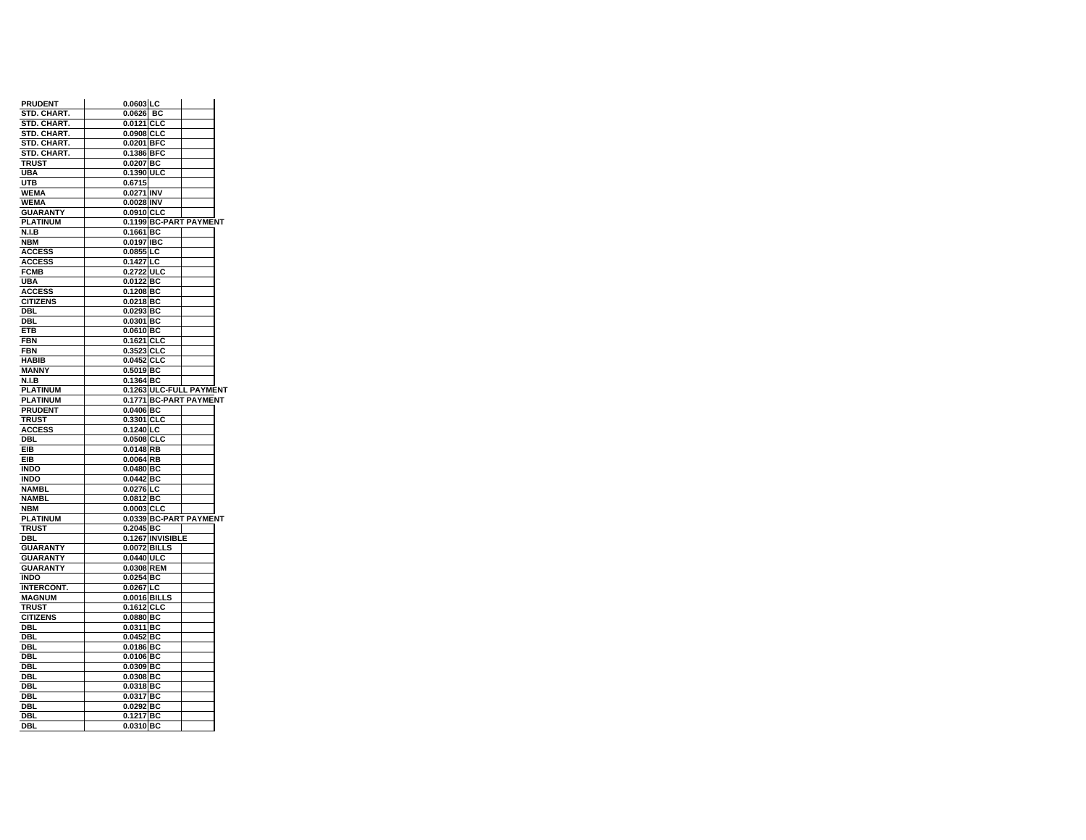| <b>PRUDENT</b>               | 0.0603 LC              |                         |
|------------------------------|------------------------|-------------------------|
| STD. CHART.                  | 0.0626 BC              |                         |
| STD. CHART.                  | 0.0121 CLC             |                         |
| STD. CHART.                  | 0.0908 CLC             |                         |
| STD. CHART.                  | 0.0201 BFC             |                         |
| STD. CHART.                  | 0.1386 BFC             |                         |
| TRUST                        | 0.0207 BC              |                         |
| UBA                          | 0.1390 ULC             |                         |
| UTB                          | 0.6715                 |                         |
| <b>WEMA</b>                  | 0.0271 INV             |                         |
| <b>WEMA</b>                  | 0.0028 INV             |                         |
| <b>GUARANTY</b>              | 0.0910 CLC             |                         |
| <b>PLATINUM</b>              |                        | 0.1199 BC-PART PAYMENT  |
| <b>N.I.B</b>                 | 0.1661 BC              |                         |
| <b>NBM</b>                   | 0.0197 IBC             |                         |
| <b>ACCESS</b>                | $0.0855$ LC            |                         |
| <b>ACCESS</b>                | 0.1427 LC              |                         |
| <b>FCMB</b>                  | 0.2722 ULC             |                         |
| UBA                          | 0.0122 BC              |                         |
| <b>ACCESS</b>                | 0.1208 BC              |                         |
| <b>CITIZENS</b>              |                        |                         |
|                              | 0.0218 BC              |                         |
| DBL                          | $0.0293$ BC            |                         |
| <b>DBL</b>                   | 0.0301 BC              |                         |
| ETB                          | 0.0610 BC              |                         |
| FBN                          | 0.1621 CLC             |                         |
| <b>FBN</b>                   | 0.3523 CLC             |                         |
| <b>HABIB</b>                 | 0.0452 CLC             |                         |
| <b>MANNY</b>                 | 0.5019 BC              |                         |
| <b>N.I.B</b>                 | 0.1364 BC              |                         |
| <b>PLATINUM</b>              |                        | 0.1263 ULC-FULL PAYMENT |
| <b>PLATINUM</b>              |                        | 0.1771 BC-PART PAYMENT  |
| <b>PRUDENT</b>               | 0.0406 BC              |                         |
| TRUST                        | 0.3301 CLC             |                         |
| <b>ACCESS</b>                | 0.1240 LC              |                         |
| DBL                          | 0.0508 CLC             |                         |
|                              |                        |                         |
| EIB                          | 0.0148 RB              |                         |
| EIB                          | $0.0064$ <sub>RB</sub> |                         |
| INDO                         | 0.0480 BC              |                         |
| <b>INDO</b>                  | 0.0442 BC              |                         |
|                              |                        |                         |
| <b>NAMBL</b><br><b>NAMBL</b> | 0.0276 LC<br>0.0812 BC |                         |
|                              |                        |                         |
| <b>NBM</b>                   | 0.0003 CLC             |                         |
| <b>PLATINUM</b>              |                        | 0.0339 BC-PART PAYMENT  |
| TRUST                        | $0.2045$ BC            |                         |
| DBL                          |                        | 0.1267 INVISIBLE        |
| <b>GUARANTY</b>              | 0.0072 BILLS           |                         |
| <b>GUARANTY</b>              | 0.0440 ULC             |                         |
| <b>GUARANTY</b>              | 0.0308 REM             |                         |
| <b>INDO</b>                  | 0.0254 BC              |                         |
| <b>INTERCONT.</b>            | $0.0267$ LC            |                         |
| <b>MAGNUM</b>                | 0.0016 BILLS           |                         |
| <b>TRUST</b>                 | 0.1612 CLC             |                         |
| <b>CITIZENS</b>              | 0.0880 BC              |                         |
| DBL                          | 0.0311 BC              |                         |
| DBL                          | 0.0452 BC              |                         |
| DBL                          | 0.0186 BC              |                         |
| DBI                          | 0.0106 BC              |                         |
| DBL                          | $0.0309$ BC            |                         |
| DBL                          | 0.0308 BC              |                         |
| DBL                          | 0.0318 BC              |                         |
| DBL                          | 0.0317 BC              |                         |
| DBL                          | 0.0292 BC              |                         |
| DBI<br>DBL                   | 0.1217 BC<br>0.0310 BC |                         |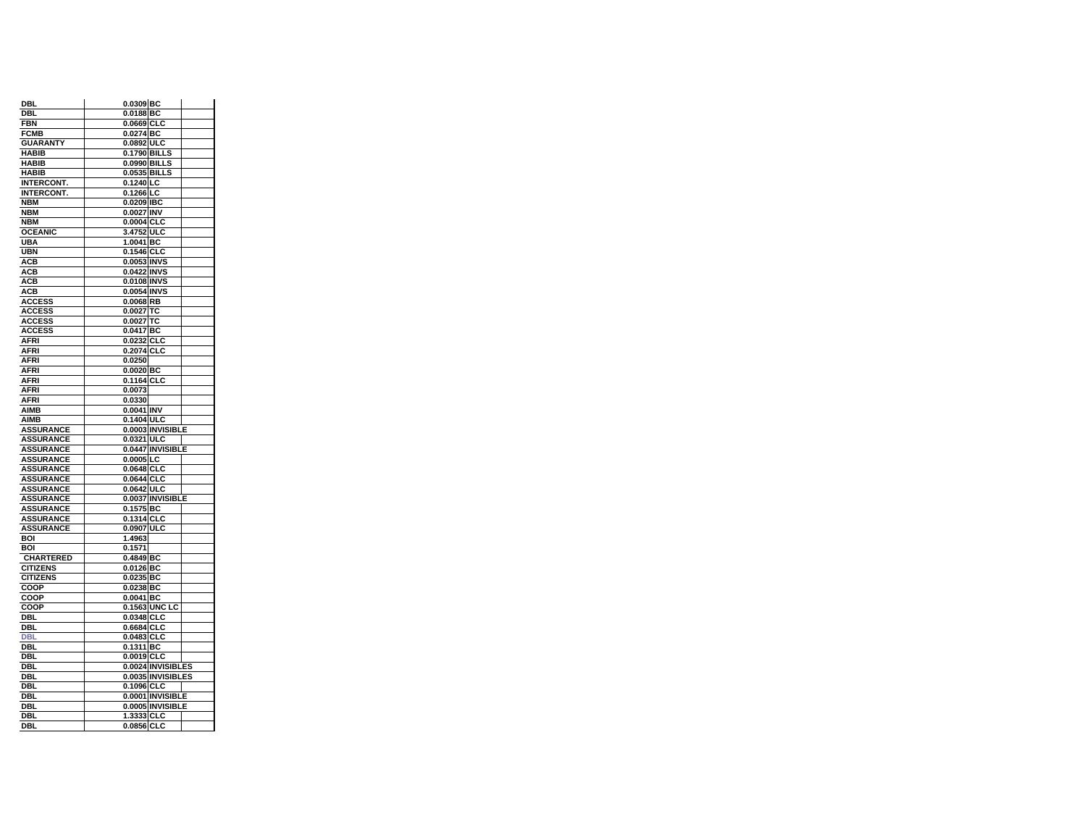| DBL               | 0.0309 BC                |
|-------------------|--------------------------|
| <b>DBL</b>        | 0.0188 BC                |
| <b>FBN</b>        | 0.0669 CLC               |
| <b>FCMB</b>       | 0.0274 BC                |
| <b>GUARANTY</b>   | 0.0892 ULC               |
| <b>HABIB</b>      | 0.1790 BILLS             |
| <b>HABIB</b>      | 0.0990 BILLS             |
| <b>HABIB</b>      | 0.0535 BILLS             |
| <b>INTERCONT.</b> | $0.1240$ LC              |
| <b>INTERCONT.</b> | 0.1266 LC                |
| <b>NBM</b>        | 0.0209 IBC               |
| <b>NBM</b>        | 0.0027 INV               |
| <b>NBM</b>        | 0.0004 CLC               |
| <b>OCEANIC</b>    | 3.4752 ULC               |
| UBA               | $1.0041$ BC              |
|                   |                          |
| <b>UBN</b>        | 0.1546 CLC               |
| <b>ACB</b>        | 0.0053 INVS              |
| АСВ               | 0.0422 INVS              |
| АСВ               | 0.0108 INVS              |
| ACB               | 0.0054 INVS              |
| <b>ACCESS</b>     | 0.0068 RB                |
| <b>ACCESS</b>     | 0.0027 TC                |
| <b>ACCESS</b>     | 0.0027 TC                |
| <b>ACCESS</b>     | $0.0417$ BC              |
| AFRI              | 0.0232 CLC               |
| AFRI              | 0.2074 CLC               |
| AFRI              | 0.0250                   |
| AFRI              | 0.0020 BC                |
| <b>AFRI</b>       | 0.1164 CLC               |
| AFRI              | 0.0073                   |
| <b>AFRI</b>       | 0.0330                   |
|                   |                          |
| <b>AIMB</b>       | 0.0041 INV               |
| AIMB              | 0.1404 ULC               |
| <b>ASSURANCE</b>  | 0.0003 INVISIBLE         |
| <b>ASSURANCE</b>  | 0.0321 ULC               |
| <b>ASSURANCE</b>  | 0.0447 INVISIBLE         |
| <b>ASSURANCE</b>  | 0.0005 LC                |
| <b>ASSURANCE</b>  | 0.0648 CLC               |
| <b>ASSURANCE</b>  | 0.0644 CLC               |
|                   |                          |
| <b>ASSURANCE</b>  | 0.0642 ULC               |
| <b>ASSURANCE</b>  | 0.0037 INVISIBLE         |
|                   |                          |
| <b>ASSURANCE</b>  | 0.1575 BC                |
| <b>ASSURANCE</b>  | 0.1314 CLC               |
| <b>ASSURANCE</b>  | 0.0907 ULC               |
| <b>BOI</b>        | 1.4963                   |
| BOI               | 0.1571                   |
| <b>CHARTERED</b>  | 0.4849 BC                |
| <b>CITIZENS</b>   | 0.0126 BC                |
| <b>CITIZENS</b>   | 0.0235 BC                |
| COOP              | 0.0238 BC                |
| COOP              | 0.0041 BC                |
| COOP              | 0.1563 UNC LC            |
| DBL               | 0.0348 CLC               |
| DBI.              | 0.6684 CLC               |
| <b>DBL</b>        | 0.0483 CLC               |
| DBL               | 0.1311 BC                |
| DBL               | 0.0019 CLC               |
| DBL               | 0.0024 INVISIBLES        |
| DBL               | 0.0035 INVISIBLES        |
| DBL               | 0.1096 CLC               |
| DBI.              | 0.0001 INVISIBLE         |
| DBL               |                          |
|                   | 0.0005 INVISIBLE         |
| <b>DBL</b><br>DBL | 1.3333 CLC<br>0.0856 CLC |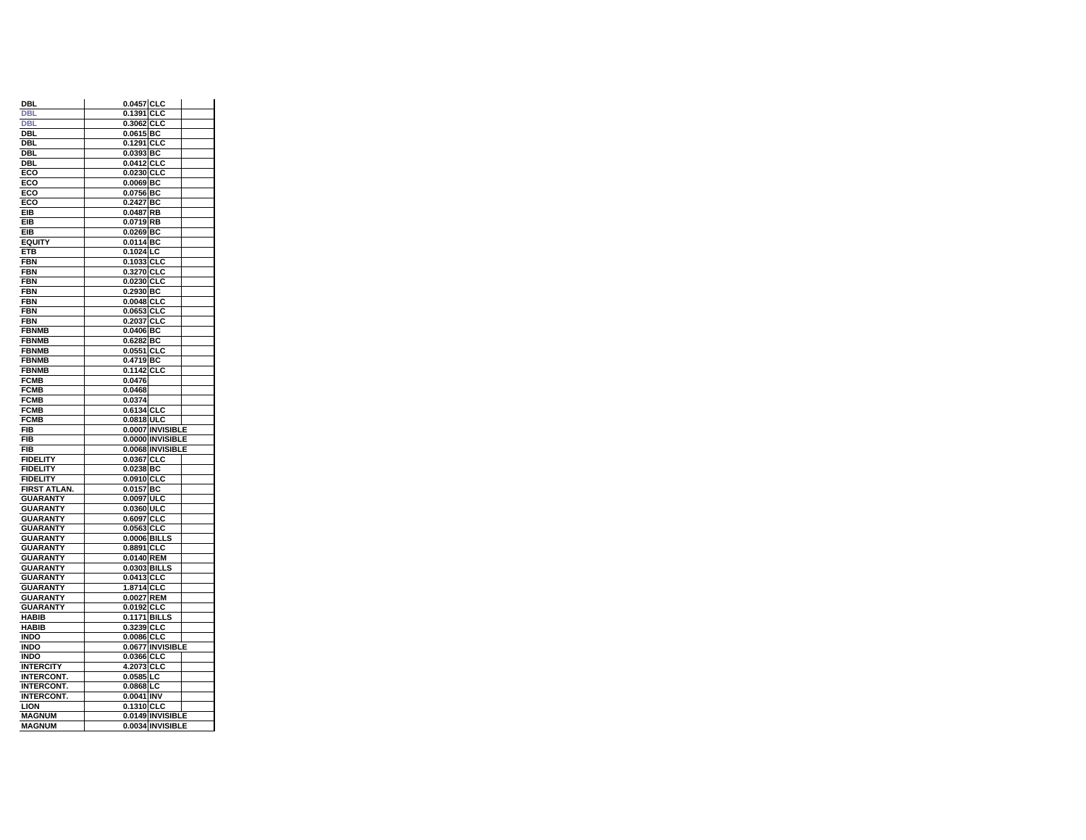| DBL                            | 0.0457 CLC                           |
|--------------------------------|--------------------------------------|
| <b>DBL</b>                     | 0.1391 CLC                           |
| <b>DBI</b>                     | 0.3062 CLC                           |
| DBL                            | 0.0615 BC                            |
| DBL                            | 0.1291 CLC                           |
| DBL                            | $0.0393$ BC                          |
| DBL                            | 0.0412 CLC                           |
| ECO                            | 0.0230 CLC                           |
| ECO                            | $0.0069$ BC                          |
| ECO                            | 0.0756 BC                            |
| ECO                            | 0.2427 BC                            |
| EIB                            | $0.0487$ RB                          |
| EIB                            | 0.0719 RB                            |
| EIB                            | 0.0269 BC                            |
| <b>EQUITY</b>                  | $0.0114$ BC                          |
| ETB                            | 0.1024 LC                            |
| <b>FBN</b>                     | 0.1033 CLC                           |
| FBN                            | 0.3270 CLC                           |
| FBN                            | 0.0230 CLC                           |
| <b>FBN</b>                     | 0.2930 BC                            |
| <b>FBN</b>                     | $0.0048$ CLC                         |
| FBN                            | 0.0653 CLC                           |
| <b>FBN</b>                     | 0.2037 CLC                           |
| <b>FBNMB</b>                   | $0.0406$ BC                          |
| <b>FBNMB</b>                   | 0.6282 BC                            |
| <b>FBNMB</b>                   | 0.0551 CLC                           |
| <b>FBNMB</b>                   | 0.4719 BC                            |
| <b>FBNMB</b>                   | 0.1142 CLC                           |
| <b>FCMB</b>                    | 0.0476                               |
| <b>FCMB</b>                    | 0.0468                               |
| <b>FCMB</b>                    | 0.0374                               |
| <b>FCMB</b>                    | 0.6134 CLC                           |
| FCMB                           | 0.0818 ULC                           |
|                                |                                      |
| <b>FIB</b>                     | 0.0007 INVISIBLE                     |
| <b>FIB</b>                     | 0.0000 INVISIBLE                     |
| <b>FIB</b>                     | 0.0068 INVISIBLE                     |
| <b>FIDELITY</b>                | 0.0367 CLC                           |
| <b>FIDELITY</b>                | 0.0238 BC                            |
| <b>FIDELITY</b>                | 0.0910 CLC                           |
| FIRST ATLAN.                   | $0.0157$ BC                          |
| <b>GUARANTY</b>                | 0.0097 ULC                           |
| <b>GUARANTY</b>                | 0.0360 ULC                           |
| <b>GUARANTY</b>                | 0.6097 CLC                           |
| <b>GUARANTY</b>                | 0.0563 CLC                           |
| <b>GUARANTY</b>                | 0.0006 BILLS                         |
| <b>GUARANTY</b>                | 0.8891<br><b>CLC</b>                 |
| <b>GUARANTY</b>                | 0.0140 REM                           |
| <b>GUARANTY</b>                | 0.0303 BILLS                         |
| <b>GUARANTY</b>                | 0.0413 CLC                           |
| <b>GUARANTY</b>                | 1.8714 CLC                           |
| <b>GUARANTY</b>                | 0.0027 REM                           |
| <b>GUARANTY</b>                | 0.0192 CLC                           |
| <b>HABIB</b>                   | 0.1171 BILLS                         |
| <b>HABIB</b>                   | 0.3239 CLC                           |
| <b>INDO</b>                    | 0.0086 CLC                           |
| <b>INDO</b>                    | 0.0677 INVISIBLE                     |
| <b>INDO</b>                    | 0.0366 CLC                           |
| INTERCITY                      | 4.2073 CLC                           |
| <b>INTERCONT.</b>              | $0.0585$ LC                          |
| <b>INTERCONT.</b>              | 0.0868 LC                            |
| INTERCONT.                     | 0.0041 INV                           |
| <b>LION</b>                    | 0.1310 CLC                           |
| <b>MAGNUM</b><br><b>MAGNUM</b> | 0.0149 INVISIBLE<br>0.0034 INVISIBLE |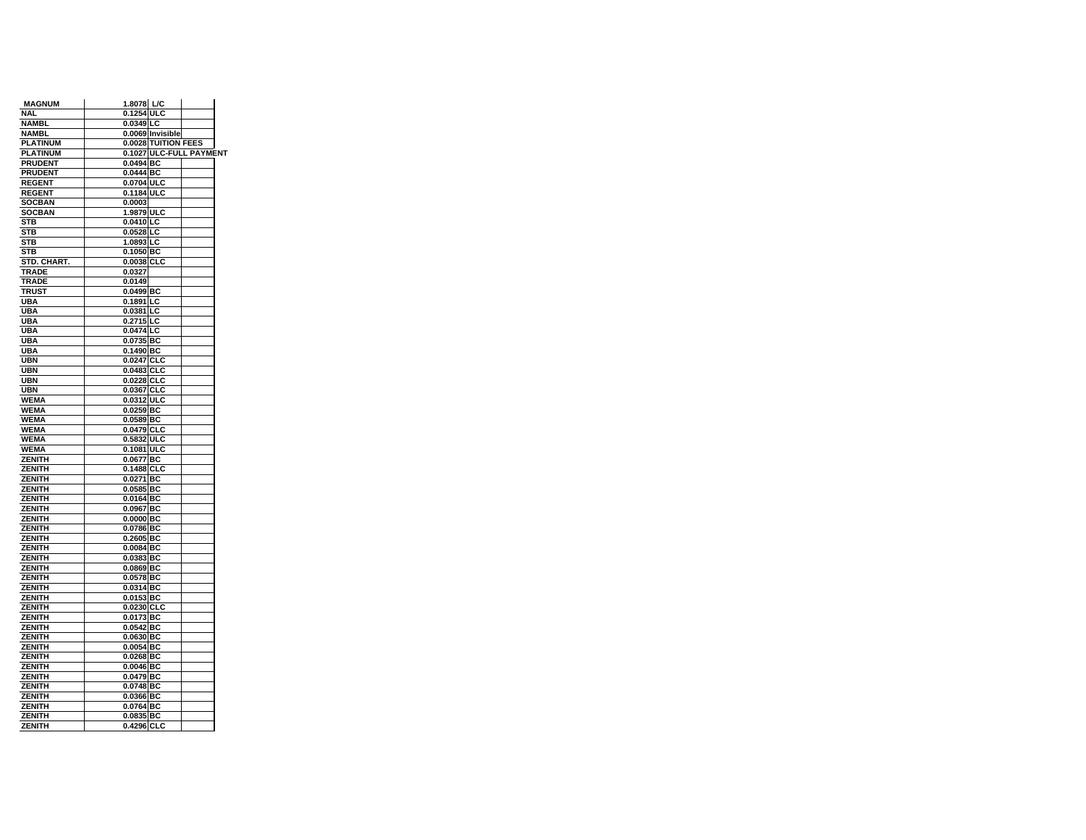| <b>MAGNUM</b>   | 1.8078 L/C             |                     |                         |  |
|-----------------|------------------------|---------------------|-------------------------|--|
| <b>NAL</b>      | 0.1254 ULC             |                     |                         |  |
| NAMBL           | 0.0349 LC              |                     |                         |  |
| <b>NAMBL</b>    |                        | 0.0069 Invisible    |                         |  |
| <b>PLATINUM</b> |                        | 0.0028 TUITION FEES |                         |  |
| <b>PLATINUM</b> |                        |                     | 0.1027 ULC-FULL PAYMENT |  |
| <b>PRUDENT</b>  | 0.0494 BC              |                     |                         |  |
| <b>PRUDENT</b>  | 0.0444 BC              |                     |                         |  |
| <b>REGENT</b>   | 0.0704 ULC             |                     |                         |  |
| <b>REGENT</b>   | 0.1184 ULC             |                     |                         |  |
| <b>SOCBAN</b>   | 0.0003                 |                     |                         |  |
| <b>SOCBAN</b>   | 1.9879 ULC             |                     |                         |  |
| STB             | $0.0410$ <sub>LC</sub> |                     |                         |  |
| STB             | $0.0528$ LC            |                     |                         |  |
| STB             | 1.0893 LC              |                     |                         |  |
| <b>STB</b>      | 0.1050 BC              |                     |                         |  |
| STD. CHART.     | 0.0038 CLC             |                     |                         |  |
| TRADE           | 0.0327                 |                     |                         |  |
| TRADE           | 0.0149                 |                     |                         |  |
| <b>TRUST</b>    | 0.0499 BC              |                     |                         |  |
| UBA             | 0.1891 LC              |                     |                         |  |
| <b>UBA</b>      | $0.0381$ LC            |                     |                         |  |
| UBA             | 0.2715 LC              |                     |                         |  |
| UBA             | 0.0474 LC              |                     |                         |  |
| <b>UBA</b>      | 0.0735 BC              |                     |                         |  |
| <b>UBA</b>      | 0.1490 BC              |                     |                         |  |
| <b>UBN</b>      | 0.0247 CLC             |                     |                         |  |
| UBN             | 0.0483 CLC             |                     |                         |  |
| <b>UBN</b>      | 0.0228 CLC             |                     |                         |  |
| UBN             | 0.0367 CLC             |                     |                         |  |
| <b>WEMA</b>     | 0.0312 ULC             |                     |                         |  |
| <b>WEMA</b>     | 0.0259 BC              |                     |                         |  |
| <b>WEMA</b>     | 0.0589 BC              |                     |                         |  |
| WEMA            | 0.0479 CLC             |                     |                         |  |
| <b>WEMA</b>     | 0.5832 ULC             |                     |                         |  |
| <b>WEMA</b>     | 0.1081 ULC             |                     |                         |  |
| <b>ZENITH</b>   | 0.0677 BC              |                     |                         |  |
| <b>ZENITH</b>   | 0.1488 CLC             |                     |                         |  |
| <b>ZENITH</b>   | 0.0271 BC              |                     |                         |  |
| <b>ZENITH</b>   | $0.0585$ BC            |                     |                         |  |
| <b>ZENITH</b>   | 0.0164 BC              |                     |                         |  |
| <b>ZENITH</b>   | 0.0967 BC              |                     |                         |  |
| <b>ZENITH</b>   | $0.0000$ BC            |                     |                         |  |
| ZENITH          | 0.0786 BC              |                     |                         |  |
| <b>ZENITH</b>   | 0.2605 BC              |                     |                         |  |
| <b>ZENITH</b>   | $0.0084$ BC            |                     |                         |  |
| ZENITH          | 0.0383 BC              |                     |                         |  |
| <b>ZENITH</b>   | $0.0869$ BC            |                     |                         |  |
| <b>ZENITH</b>   | 0.0578 BC              |                     |                         |  |
| <b>ZENITH</b>   | 0.0314 BC              |                     |                         |  |
| ZENITH          | 0.0153 BC              |                     |                         |  |
| <b>ZENITH</b>   | 0.0230 CLC             |                     |                         |  |
| ZENITH          | 0.0173 BC              |                     |                         |  |
| <b>ZENITH</b>   | 0.0542 BC              |                     |                         |  |
| <b>ZENITH</b>   | 0.0630 BC              |                     |                         |  |
| ZENITH          | 0.0054 BC              |                     |                         |  |
| <b>ZENITH</b>   | $0.0268$ BC            |                     |                         |  |
| <b>ZENITH</b>   | $0.0046$ BC            |                     |                         |  |
| ZENITH          | 0.0479 BC              |                     |                         |  |
| <b>ZENITH</b>   | 0.0748 BC              |                     |                         |  |
| <b>ZENITH</b>   | 0.0366 BC              |                     |                         |  |
| ZENITH          | 0.0764 BC              |                     |                         |  |
| <b>ZENITH</b>   | 0.0835 BC              |                     |                         |  |
| <b>ZENITH</b>   | 0.4296 CLC             |                     |                         |  |
|                 |                        |                     |                         |  |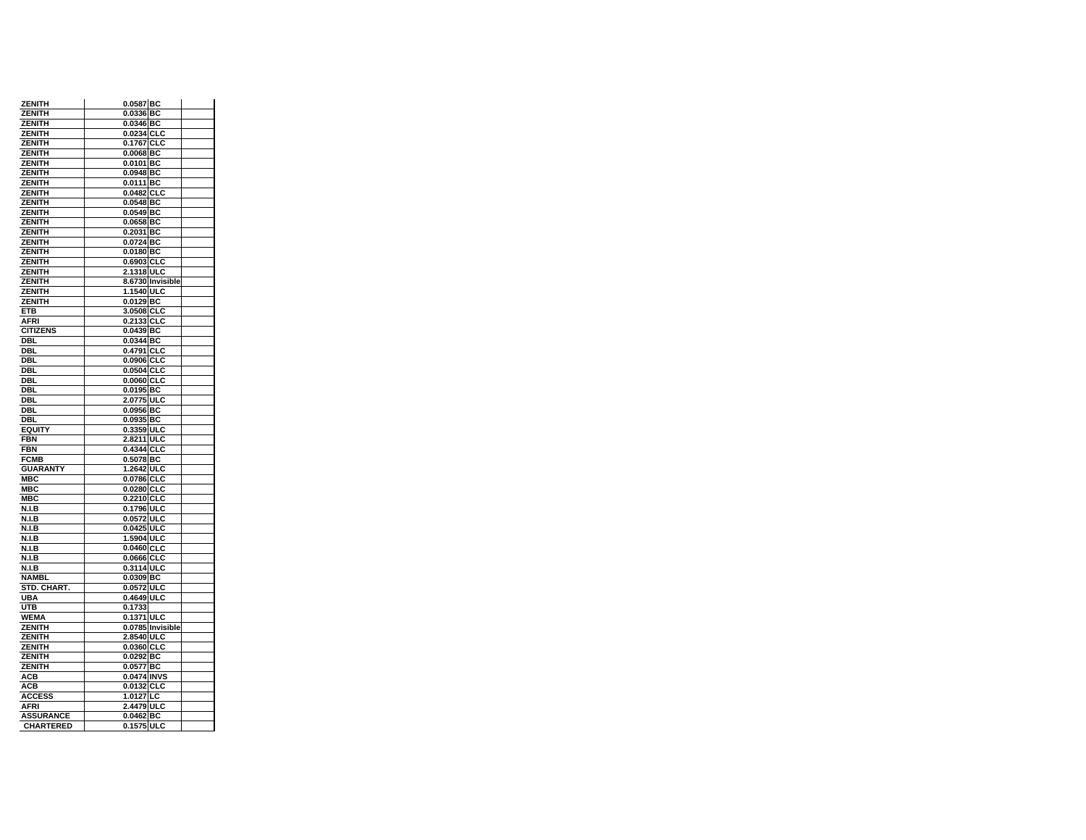| <b>ZENITH</b>           | 0.0587 BC                |  |
|-------------------------|--------------------------|--|
| ZENITH                  | 0.0336 BC                |  |
| <b>ZENITH</b>           | 0.0346 BC                |  |
| ZENITH<br><b>ZENITH</b> | 0.0234 CLC<br>0.1767 CLC |  |
| ZENITH                  | $0.0068$ BC              |  |
| ZENITH                  | 0.0101 BC                |  |
| <b>ZENITH</b>           | 0.0948 BC                |  |
| ZENITH                  | 0.0111 BC                |  |
| <b>ZENITH</b>           | $0.0482$ CLC             |  |
| ZENITH                  | 0.0548 BC                |  |
| ZENITH                  | $0.0549$ BC              |  |
| <b>ZENITH</b>           | 0.0658 BC                |  |
| ZENITH                  | 0.2031 BC                |  |
| <b>ZENITH</b>           | 0.0724 BC                |  |
| ZENITH                  | $0.0180$ BC              |  |
| ZENITH                  | 0.6903 CLC               |  |
| <b>ZENITH</b>           | 2.1318 ULC               |  |
| ZENITH                  | 8.6730 Invisible         |  |
| <b>ZENITH</b>           | 1.1540 ULC               |  |
| <b>ZENITH</b>           | 0.0129 BC                |  |
| ETB                     | 3.0508 CLC               |  |
| AFRI                    | 0.2133 CLC               |  |
| <b>CITIZENS</b>         | 0.0439 BC                |  |
| DBL                     | 0.0344 BC                |  |
| DBI.                    | 0.4791 CLC               |  |
| DBL                     | 0.0906 CLC               |  |
| DBL                     | 0.0504 CLC               |  |
| DBL<br>DBL              | 0.0060 CLC               |  |
| DBI.                    | 0.0195 BC<br>2.0775 ULC  |  |
| <b>DBL</b>              | 0.0956 BC                |  |
| DBL                     | 0.0935 BC                |  |
| <b>EQUITY</b>           | 0.3359 ULC               |  |
| FBN                     | 2.8211 ULC               |  |
| <b>FBN</b>              | 0.4344 CLC               |  |
| <b>FCMB</b>             | 0.5078 BC                |  |
| <b>GUARANTY</b>         | 1.2642 ULC               |  |
| MBC                     | 0.0786 CLC               |  |
| <b>MBC</b>              | 0.0280 CLC               |  |
| MBC                     | 0.2210 CLC               |  |
| N.I.B                   | 0.1796 ULC               |  |
| <b>N.I.B</b>            | 0.0572 ULC               |  |
| N.I.B                   | 0.0425 ULC               |  |
| N.I.B                   | 1.5904 ULC               |  |
| <b>N.I.B</b>            | 0.0460 CLC               |  |
| N.I.B                   | 0.0666 CLC               |  |
| N.I.B                   | 0.3114 ULC               |  |
| NAMBL                   | 0.0309 BC                |  |
| STD. CHART.             | 0.0572 ULC               |  |
| UBA                     | 0.4649 ULC               |  |
| UTB<br>WEMA             | 0.1733<br>0.1371 ULC     |  |
| ZENITH                  | 0.0785 Invisible         |  |
| <b>ZENITH</b>           | 2.8540 ULC               |  |
| ZENITH                  | 0.0360 CLC               |  |
| ZENITH                  | 0.0292 BC                |  |
| <b>ZENITH</b>           | 0.0577 BC                |  |
| ACB                     | 0.0474 INVS              |  |
| АСВ                     | 0.0132 CLC               |  |
| <b>ACCESS</b>           | 1.0127 LC                |  |
| <b>AFRI</b>             | 2.4479 ULC               |  |
| <b>ASSURANCE</b>        | 0.0462 BC                |  |
| <b>CHARTERED</b>        | 0.1575 ULC               |  |
|                         |                          |  |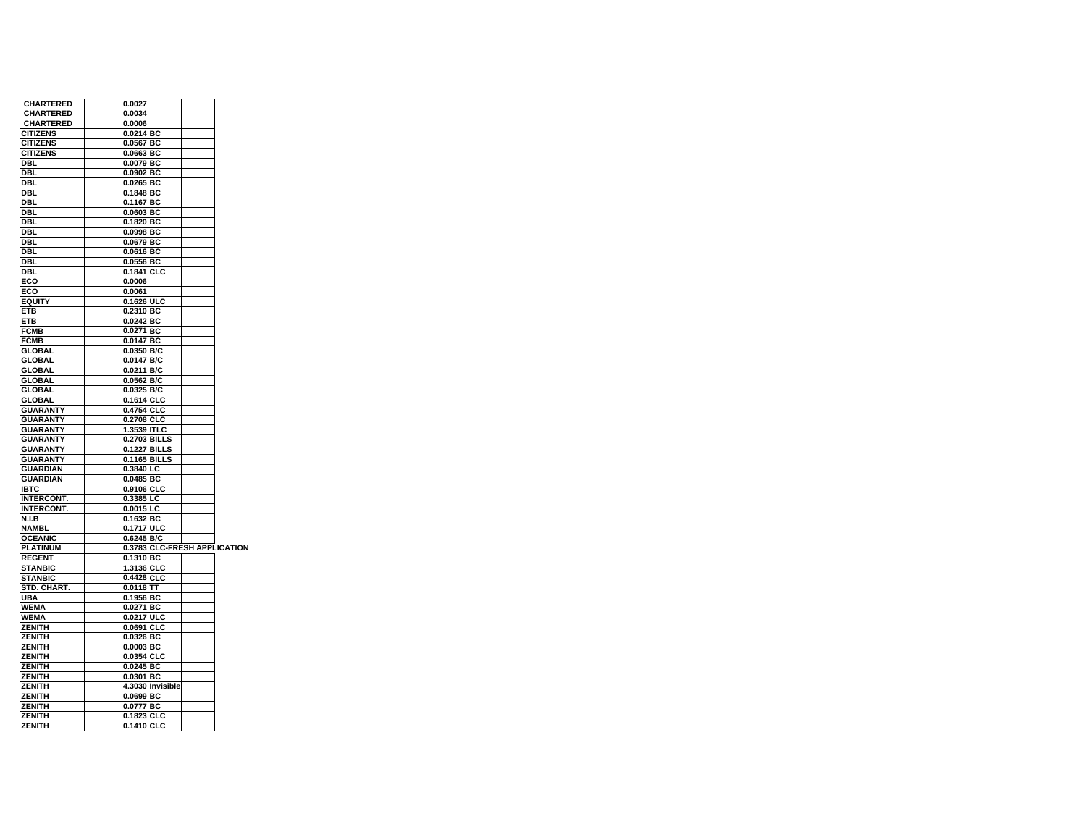| <b>CHARTERED</b>  | 0.0027                 |                  |                              |
|-------------------|------------------------|------------------|------------------------------|
| <b>CHARTERED</b>  | 0.0034                 |                  |                              |
| <b>CHARTERED</b>  | 0.0006                 |                  |                              |
| <b>CITIZENS</b>   | $0.0214$ BC            |                  |                              |
| <b>CITIZENS</b>   | 0.0567 BC              |                  |                              |
| <b>CITIZENS</b>   | 0.0663 BC              |                  |                              |
| DBL               | $0.0079$ BC            |                  |                              |
| DBL               | $0.0902$ BC            |                  |                              |
| DBL               | 0.0265 BC              |                  |                              |
| DBL               | $0.1848$ BC            |                  |                              |
| DBL               | 0.1167 BC              |                  |                              |
| DBL               | 0.0603 BC              |                  |                              |
| DBL               | $0.1820$ BC            |                  |                              |
| DBL               | $0.0998$ <sub>BC</sub> |                  |                              |
| DBL               | 0.0679 BC              |                  |                              |
| DBL               | 0.0616 BC              |                  |                              |
| DBL               | 0.0556 BC              |                  |                              |
| DBL               | 0.1841 CLC             |                  |                              |
| ECO               | 0.0006                 |                  |                              |
| ECO               | 0.0061                 |                  |                              |
| <b>EQUITY</b>     | 0.1626 ULC             |                  |                              |
| <b>ETB</b>        | 0.2310 BC              |                  |                              |
| ETB               | $0.0242$ BC            |                  |                              |
| <b>FCMB</b>       | 0.0271 BC              |                  |                              |
| <b>FCMB</b>       | 0.0147 BC              |                  |                              |
| <b>GLOBAL</b>     | 0.0350 B/C             |                  |                              |
| <b>GLOBAL</b>     | 0.0147 B/C             |                  |                              |
| <b>GLOBAL</b>     | 0.0211 B/C             |                  |                              |
| <b>GLOBAL</b>     | 0.0562 B/C             |                  |                              |
| <b>GLOBAL</b>     | 0.0325 B/C             |                  |                              |
| <b>GLOBAL</b>     | 0.1614 CLC             |                  |                              |
| <b>GUARANTY</b>   | 0.4754 CLC             |                  |                              |
| <b>GUARANTY</b>   | 0.2708 CLC             |                  |                              |
| <b>GUARANTY</b>   | 1.3539 ITLC            |                  |                              |
| <b>GUARANTY</b>   | 0.2703 BILLS           |                  |                              |
| <b>GUARANTY</b>   | 0.1227 BILLS           |                  |                              |
| <b>GUARANTY</b>   | 0.1165 BILLS           |                  |                              |
| <b>GUARDIAN</b>   | $0.3840$ <sub>LC</sub> |                  |                              |
| <b>GUARDIAN</b>   | $0.0485$ BC            |                  |                              |
| <b>IBTC</b>       | 0.9106 CLC             |                  |                              |
| <b>INTERCONT.</b> | 0.3385 LC              |                  |                              |
| <b>INTERCONT.</b> | 0.0015 LC              |                  |                              |
| N.I.B             | 0.1632 BC              |                  |                              |
| <b>NAMBL</b>      | 0.1717 ULC             |                  |                              |
| <b>OCEANIC</b>    | 0.6245 B/C             |                  |                              |
| <b>PLATINUM</b>   |                        |                  | 0.3783 CLC-FRESH APPLICATION |
| <b>REGENT</b>     | 0.1310 BC              |                  |                              |
| <b>STANBIC</b>    | 1.3136 CLC             |                  |                              |
| <b>STANBIC</b>    | 0.4428 CLC             |                  |                              |
| STD. CHART.       | $0.0118$ TT            |                  |                              |
| UBA               | $0.1956$ BC            |                  |                              |
| <b>WEMA</b>       | 0.0271 BC              |                  |                              |
| WEMA              | 0.0217 ULC             |                  |                              |
| <b>ZENITH</b>     | $0.0691$ CLC           |                  |                              |
| ZENITH            | $\overline{0.0326}$ BC |                  |                              |
| <b>ZENITH</b>     | 0.0003 BC              |                  |                              |
| ZENITH            | 0.0354 CLC             |                  |                              |
| <b>ZENITH</b>     | 0.0245 BC              |                  |                              |
| <b>ZENITH</b>     | 0.0301 BC              |                  |                              |
| <b>ZENITH</b>     |                        | 4.3030 Invisible |                              |
| ZENITH            | 0.0699 BC              |                  |                              |
| ZENITH            | 0.0777 BC              |                  |                              |
| ZENITH            | 0.1823 CLC             |                  |                              |
| <b>ZENITH</b>     | 0.1410 CLC             |                  |                              |
|                   |                        |                  |                              |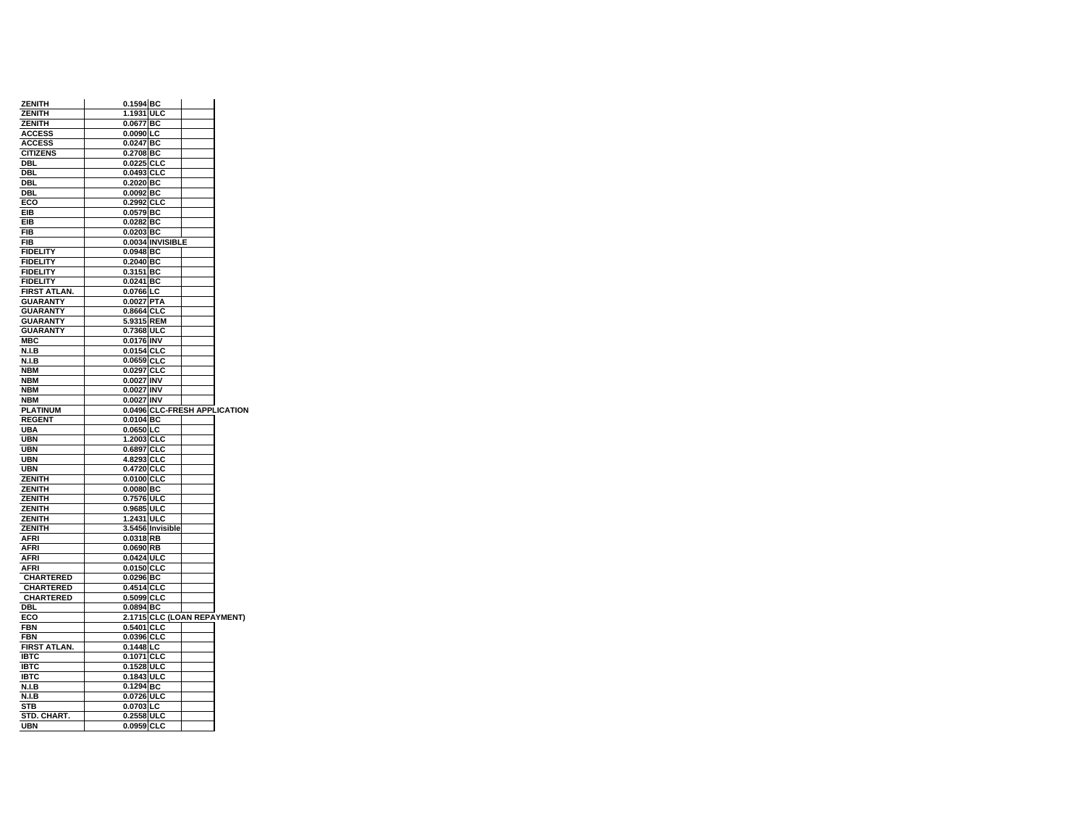| <b>ZENITH</b>       | 0.1594 BC               |                              |
|---------------------|-------------------------|------------------------------|
| <b>ZENITH</b>       | 1.1931 ULC              |                              |
| <b>ZENITH</b>       | 0.0677 BC               |                              |
| <b>ACCESS</b>       | 0.0090 LC               |                              |
| <b>ACCESS</b>       | $0.0247$ BC             |                              |
| <b>CITIZENS</b>     | 0.2708 BC               |                              |
| <b>DBL</b>          | 0.0225 CLC              |                              |
| DBL                 | 0.0493 CLC              |                              |
| DBL                 | 0.2020 BC               |                              |
| <b>DBL</b>          | $0.0092$ BC             |                              |
| ECO                 | 0.2992 CLC              |                              |
| EIB                 | 0.0579 BC               |                              |
| EIB                 | $0.0282$ BC             |                              |
| <b>FIB</b>          | 0.0203 BC               |                              |
| <b>FIB</b>          |                         | 0.0034 INVISIBLE             |
| <b>FIDELITY</b>     | 0.0948 BC               |                              |
| <b>FIDELITY</b>     | $0.2040$ BC             |                              |
| <b>FIDELITY</b>     | 0.3151 BC               |                              |
| <b>FIDELITY</b>     | 0.0241 BC               |                              |
|                     |                         |                              |
| <b>FIRST ATLAN.</b> | 0.0766 LC<br>0.0027 PTA |                              |
| <b>GUARANTY</b>     |                         |                              |
| <b>GUARANTY</b>     | 0.8664 CLC              |                              |
| <b>GUARANTY</b>     | 5.9315 REM              |                              |
| <b>GUARANTY</b>     | 0.7368 ULC              |                              |
| <b>MBC</b>          | 0.0176 INV              |                              |
| N.I.B               | 0.0154 CLC              |                              |
| N.I.B               | 0.0659 CLC              |                              |
| <b>NBM</b>          | 0.0297 CLC              |                              |
| <b>NBM</b>          | 0.0027 INV              |                              |
| <b>NBM</b>          | 0.0027 INV              |                              |
| <b>NBM</b>          | 0.0027 INV              |                              |
| <b>PLATINUM</b>     |                         | 0.0496 CLC-FRESH APPLICATION |
| <b>REGENT</b>       | 0.0104 BC               |                              |
| <b>UBA</b>          | $0.0650$ LC             |                              |
| <b>UBN</b>          | 1.2003 CLC              |                              |
| <b>UBN</b>          | 0.6897 CLC              |                              |
| <b>UBN</b>          | 4.8293 CLC              |                              |
| <b>UBN</b>          | 0.4720 CLC              |                              |
| ZENITH              | 0.0100 CLC              |                              |
| <b>ZENITH</b>       | $0.0080$ BC             |                              |
| <b>ZENITH</b>       | 0.7576 ULC              |                              |
| <b>ZENITH</b>       | 0.9685 ULC              |                              |
| <b>ZENITH</b>       | 1.2431 ULC              |                              |
| <b>ZENITH</b>       |                         | 3.5456 Invisible             |
| <b>AFRI</b>         | 0.0318 RB               |                              |
| <b>AFRI</b>         | 0.0690 RB               |                              |
| <b>AFRI</b>         | 0.0424 ULC              |                              |
| <b>AFRI</b>         | 0.0150 CLC              |                              |
| <b>CHARTERED</b>    | 0.0296 BC               |                              |
| <b>CHARTERED</b>    | 0.4514 CLC              |                              |
| <b>CHARTERED</b>    | 0.5099 CLC              |                              |
|                     |                         |                              |
| DBL                 | 0.0894 BC               |                              |
| ECO<br><b>FBN</b>   | 0.5401 CLC              | 2.1715 CLC (LOAN REPAYMENT)  |
| <b>FBN</b>          |                         |                              |
|                     | 0.0396 CLC              |                              |
| <b>FIRST ATLAN.</b> | $0.1448$ LC             |                              |
| <b>IBTC</b>         | 0.1071 CLC              |                              |
| <b>IBTC</b>         | 0.1528 ULC              |                              |
| <b>IBTC</b>         | 0.1843 ULC              |                              |
| N.I.B               | 0.1294 BC               |                              |
| N.I.B               | 0.0726 ULC              |                              |
| <b>STB</b>          | 0.0703 LC               |                              |
| STD. CHART.         | 0.2558 ULC              |                              |
| <b>UBN</b>          | 0.0959 CLC              |                              |
|                     |                         |                              |